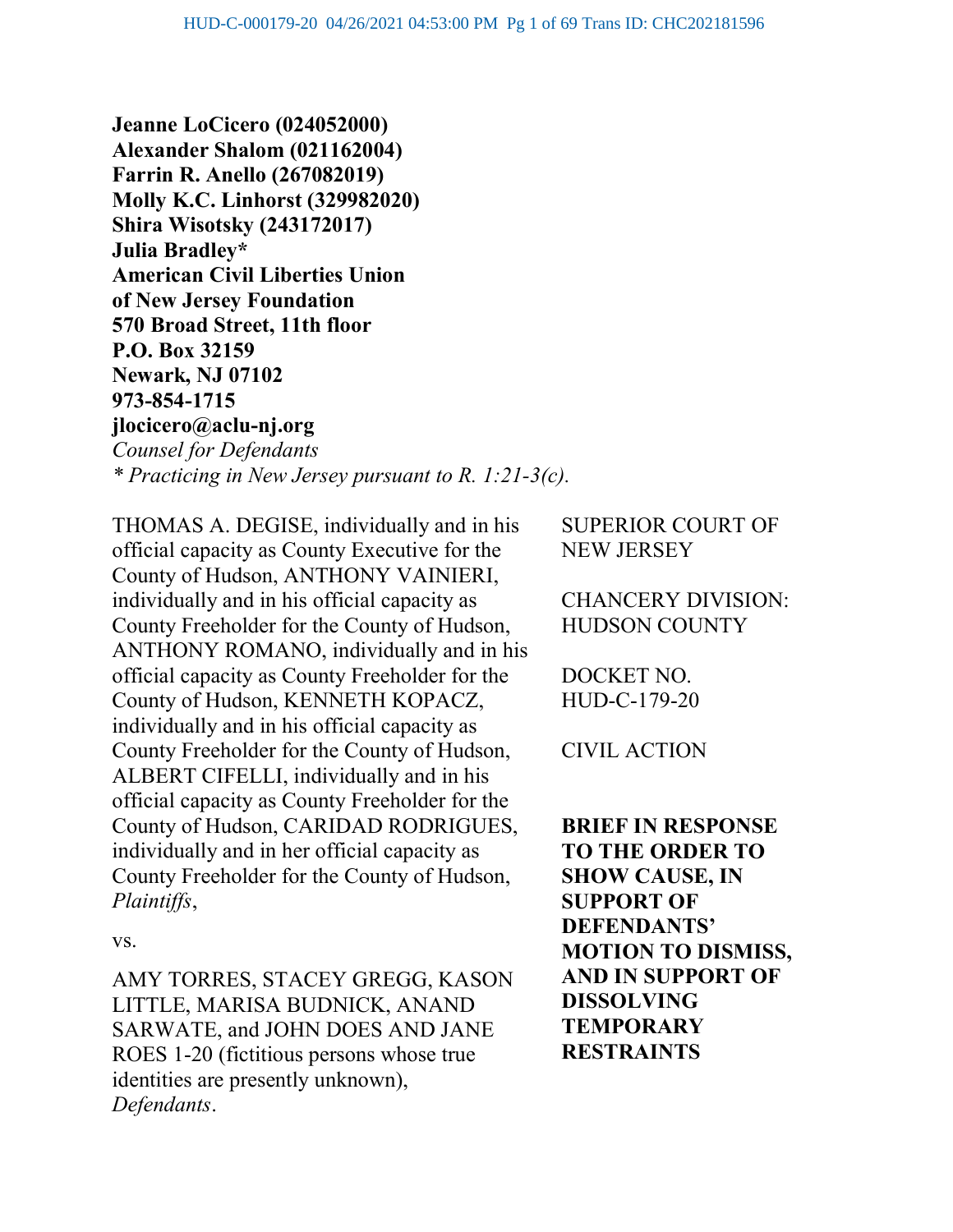Jeanne LoCicero (024052000) Alexander Shalom (021162004) Farrin R. Anello (267082019) Molly K.C. Linhorst (329982020) Shira Wisotsky (243172017) Julia Bradley\* American Civil Liberties Union of New Jersey Foundation 570 Broad Street, 11th floor P.O. Box 32159 Newark, NJ 07102 973-854-1715 jlocicero@aclu-nj.org Counsel for Defendants \* Practicing in New Jersey pursuant to R. 1:21-3(c).

THOMAS A. DEGISE, individually and in his official capacity as County Executive for the County of Hudson, ANTHONY VAINIERI, individually and in his official capacity as County Freeholder for the County of Hudson, ANTHONY ROMANO, individually and in his official capacity as County Freeholder for the County of Hudson, KENNETH KOPACZ, individually and in his official capacity as County Freeholder for the County of Hudson, ALBERT CIFELLI, individually and in his official capacity as County Freeholder for the County of Hudson, CARIDAD RODRIGUES, individually and in her official capacity as County Freeholder for the County of Hudson, Plaintiffs,

vs.

AMY TORRES, STACEY GREGG, KASON LITTLE, MARISA BUDNICK, ANAND SARWATE, and JOHN DOES AND JANE ROES 1-20 (fictitious persons whose true identities are presently unknown), Defendants.

SUPERIOR COURT OF NEW JERSEY

CHANCERY DIVISION: HUDSON COUNTY

DOCKET NO. HUD-C-179-20

CIVIL ACTION

BRIEF IN RESPONSE TO THE ORDER TO SHOW CAUSE, IN SUPPORT OF DEFENDANTS' MOTION TO DISMISS, AND IN SUPPORT OF DISSOLVING **TEMPORARY** RESTRAINTS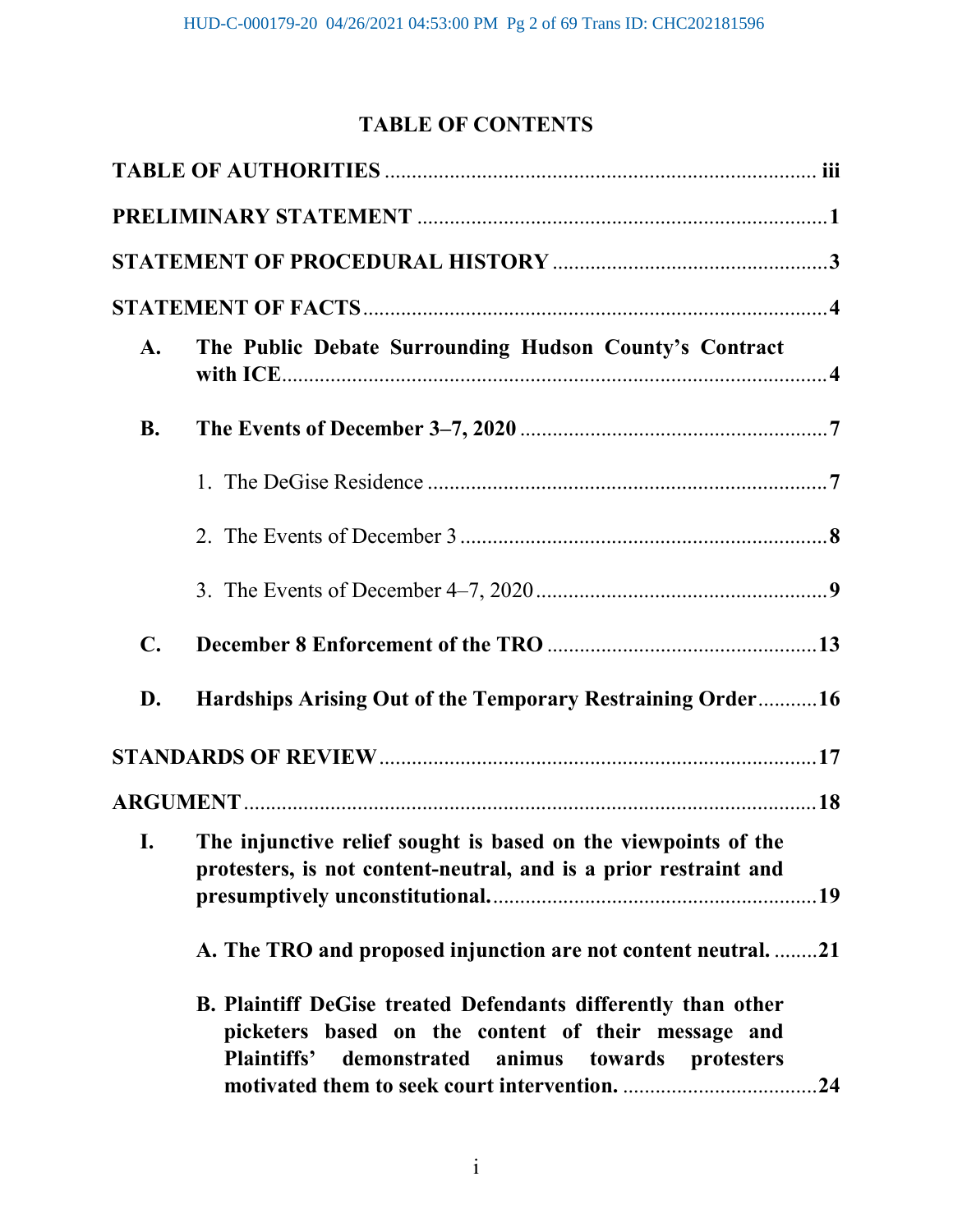# TABLE OF CONTENTS

| <b>A.</b>      | The Public Debate Surrounding Hudson County's Contract                                                                                                                     |
|----------------|----------------------------------------------------------------------------------------------------------------------------------------------------------------------------|
| <b>B.</b>      |                                                                                                                                                                            |
|                |                                                                                                                                                                            |
|                |                                                                                                                                                                            |
|                |                                                                                                                                                                            |
| $\mathbf{C}$ . |                                                                                                                                                                            |
| D.             | Hardships Arising Out of the Temporary Restraining Order16                                                                                                                 |
|                |                                                                                                                                                                            |
|                |                                                                                                                                                                            |
| I.             | The injunctive relief sought is based on the viewpoints of the<br>protesters, is not content-neutral, and is a prior restraint and                                         |
|                | A. The TRO and proposed injunction are not content neutral21                                                                                                               |
|                | B. Plaintiff DeGise treated Defendants differently than other<br>picketers based on the content of their message and<br>Plaintiffs' demonstrated animus towards protesters |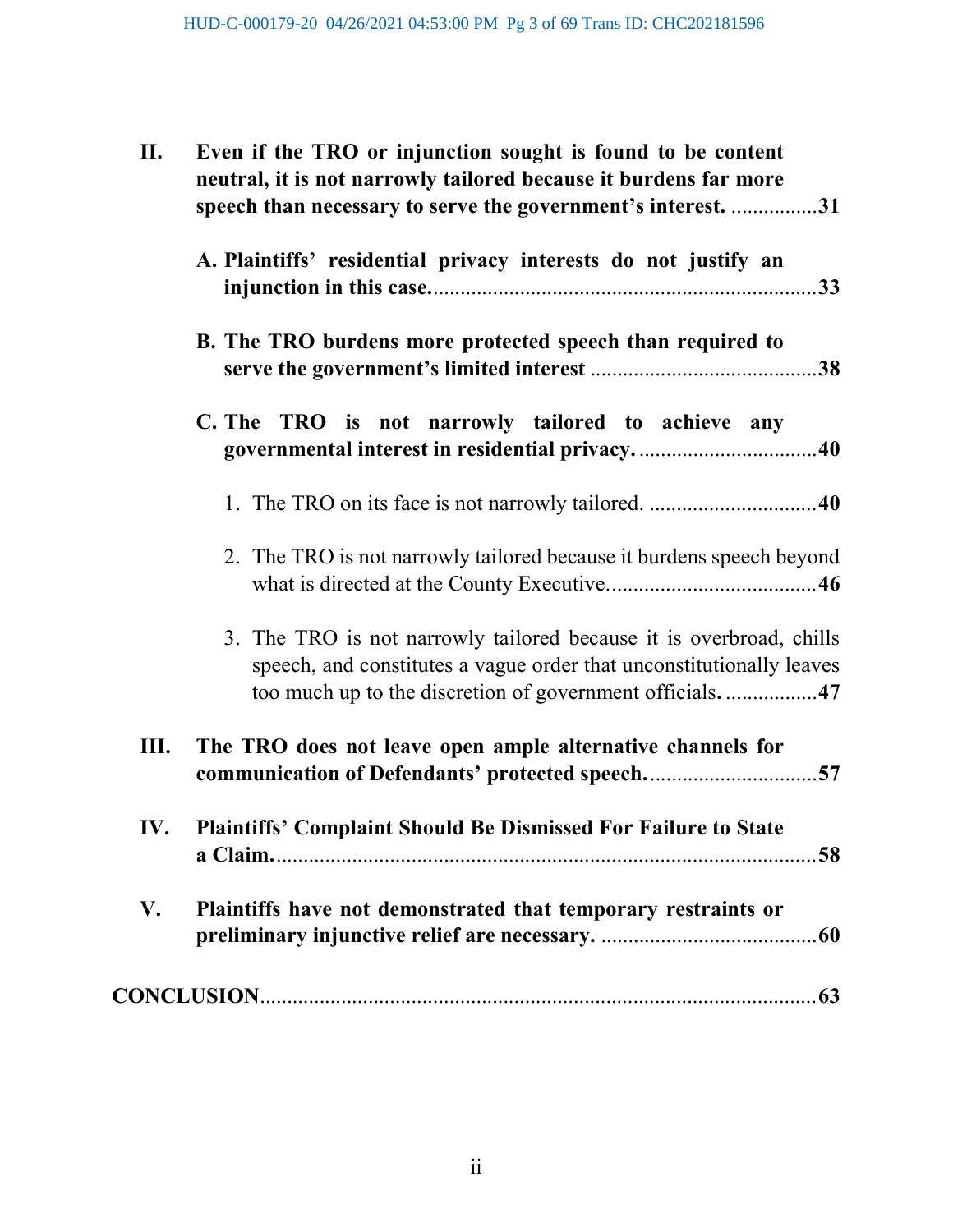| II. | Even if the TRO or injunction sought is found to be content<br>neutral, it is not narrowly tailored because it burdens far more<br>speech than necessary to serve the government's interest. 31        |
|-----|--------------------------------------------------------------------------------------------------------------------------------------------------------------------------------------------------------|
|     | A. Plaintiffs' residential privacy interests do not justify an                                                                                                                                         |
|     | B. The TRO burdens more protected speech than required to                                                                                                                                              |
|     | C. The TRO is not narrowly tailored to achieve any                                                                                                                                                     |
|     |                                                                                                                                                                                                        |
|     | 2. The TRO is not narrowly tailored because it burdens speech beyond                                                                                                                                   |
|     | 3. The TRO is not narrowly tailored because it is overbroad, chills<br>speech, and constitutes a vague order that unconstitutionally leaves<br>too much up to the discretion of government officials47 |
| Ш.  | The TRO does not leave open ample alternative channels for<br>communication of Defendants' protected speech57                                                                                          |
| IV. | <b>Plaintiffs' Complaint Should Be Dismissed For Failure to State</b>                                                                                                                                  |
| V.  | Plaintiffs have not demonstrated that temporary restraints or                                                                                                                                          |
|     |                                                                                                                                                                                                        |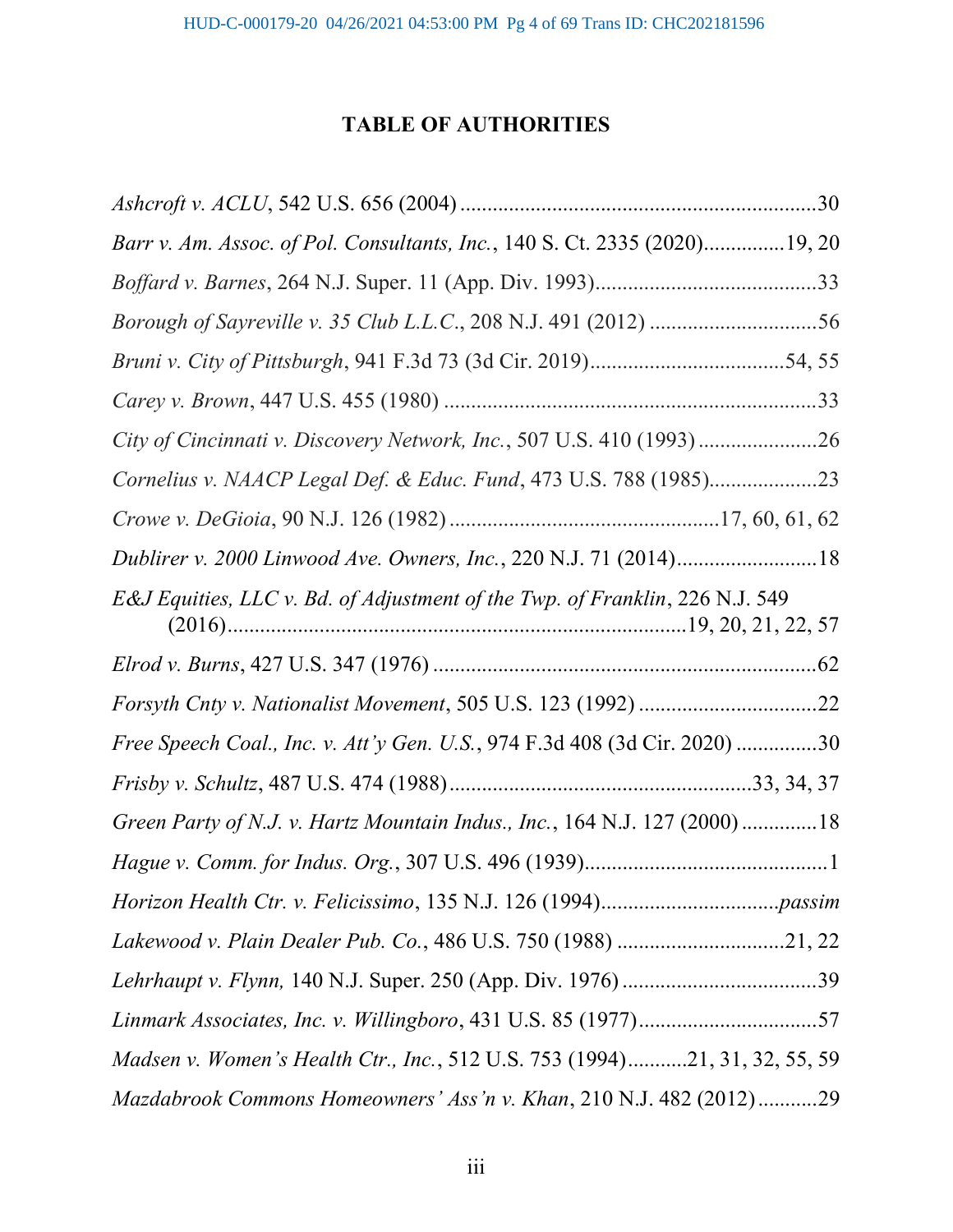# TABLE OF AUTHORITIES

| Barr v. Am. Assoc. of Pol. Consultants, Inc., 140 S. Ct. 2335 (2020)19, 20   |
|------------------------------------------------------------------------------|
|                                                                              |
| Borough of Sayreville v. 35 Club L.L.C., 208 N.J. 491 (2012) 56              |
|                                                                              |
|                                                                              |
| City of Cincinnati v. Discovery Network, Inc., 507 U.S. 410 (1993)26         |
| Cornelius v. NAACP Legal Def. & Educ. Fund, 473 U.S. 788 (1985)23            |
|                                                                              |
| Dublirer v. 2000 Linwood Ave. Owners, Inc., 220 N.J. 71 (2014)18             |
| E&J Equities, LLC v. Bd. of Adjustment of the Twp. of Franklin, 226 N.J. 549 |
|                                                                              |
|                                                                              |
| Free Speech Coal., Inc. v. Att'y Gen. U.S., 974 F.3d 408 (3d Cir. 2020) 30   |
|                                                                              |
| Green Party of N.J. v. Hartz Mountain Indus., Inc., 164 N.J. 127 (2000) 18   |
|                                                                              |
|                                                                              |
|                                                                              |
|                                                                              |
| Linmark Associates, Inc. v. Willingboro, 431 U.S. 85 (1977)57                |
| Madsen v. Women's Health Ctr., Inc., 512 U.S. 753 (1994)21, 31, 32, 55, 59   |
| Mazdabrook Commons Homeowners' Ass'n v. Khan, 210 N.J. 482 (2012)29          |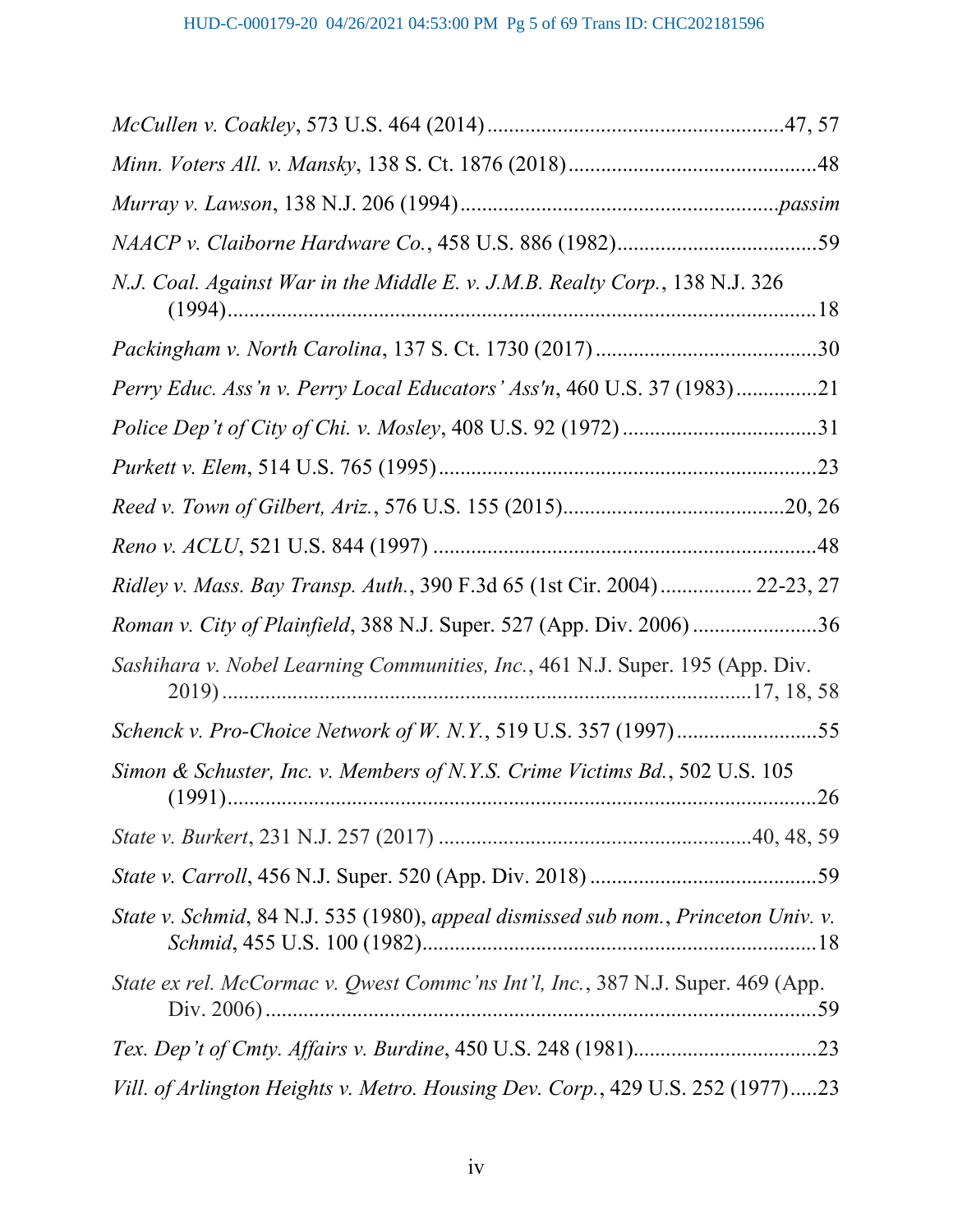| N.J. Coal. Against War in the Middle E. v. J.M.B. Realty Corp., 138 N.J. 326       |
|------------------------------------------------------------------------------------|
|                                                                                    |
| Perry Educ. Ass'n v. Perry Local Educators' Ass'n, 460 U.S. 37 (1983)21            |
|                                                                                    |
|                                                                                    |
|                                                                                    |
|                                                                                    |
|                                                                                    |
| Ridley v. Mass. Bay Transp. Auth., 390 F.3d 65 (1st Cir. 2004) 22-23, 27           |
| Roman v. City of Plainfield, 388 N.J. Super. 527 (App. Div. 2006) 36               |
| Sashihara v. Nobel Learning Communities, Inc., 461 N.J. Super. 195 (App. Div.      |
|                                                                                    |
| Simon & Schuster, Inc. v. Members of N.Y.S. Crime Victims Bd., 502 U.S. 105        |
|                                                                                    |
|                                                                                    |
| State v. Schmid, 84 N.J. 535 (1980), appeal dismissed sub nom., Princeton Univ. v. |
| State ex rel. McCormac v. Qwest Commc'ns Int'l, Inc., 387 N.J. Super. 469 (App.    |
|                                                                                    |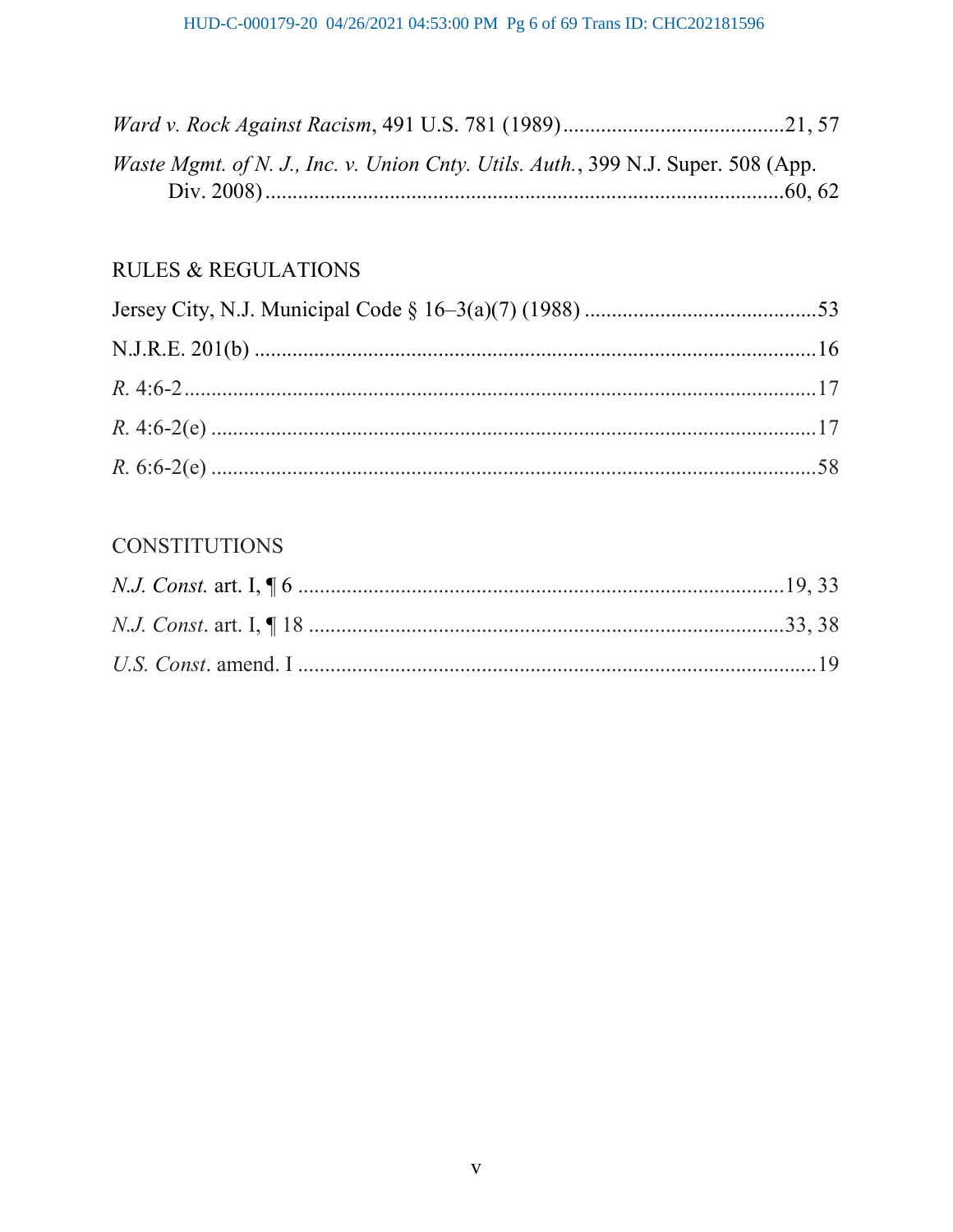| Waste Mgmt. of N. J., Inc. v. Union Cnty. Utils. Auth., 399 N.J. Super. 508 (App. |  |
|-----------------------------------------------------------------------------------|--|
|                                                                                   |  |

# **RULES & REGULATIONS**

# **CONSTITUTIONS**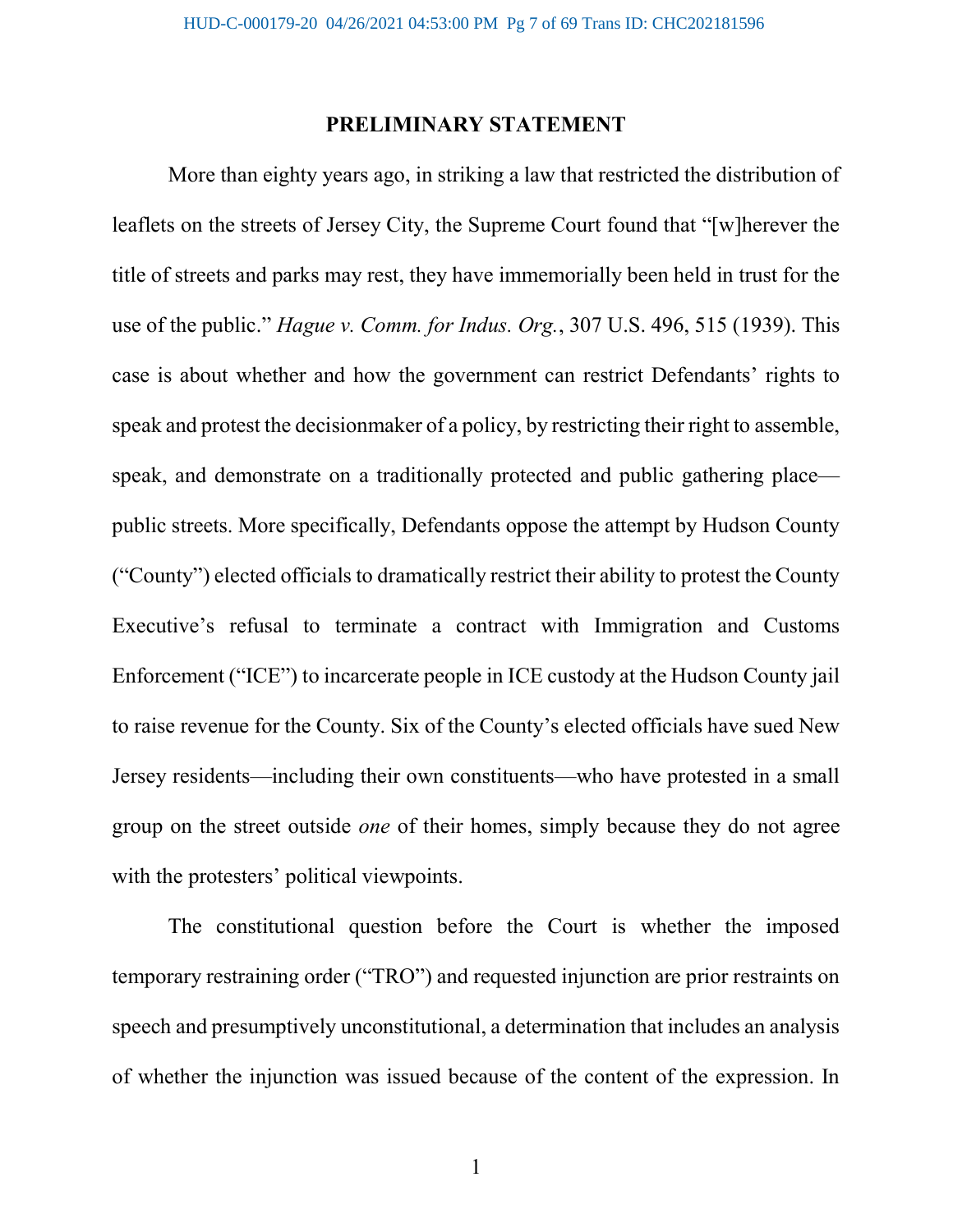#### PRELIMINARY STATEMENT

More than eighty years ago, in striking a law that restricted the distribution of leaflets on the streets of Jersey City, the Supreme Court found that "[w]herever the title of streets and parks may rest, they have immemorially been held in trust for the use of the public." Hague v. Comm. for Indus. Org., 307 U.S. 496, 515 (1939). This case is about whether and how the government can restrict Defendants' rights to speak and protest the decisionmaker of a policy, by restricting their right to assemble, speak, and demonstrate on a traditionally protected and public gathering place public streets. More specifically, Defendants oppose the attempt by Hudson County ("County") elected officials to dramatically restrict their ability to protest the County Executive's refusal to terminate a contract with Immigration and Customs Enforcement ("ICE") to incarcerate people in ICE custody at the Hudson County jail to raise revenue for the County. Six of the County's elected officials have sued New Jersey residents—including their own constituents—who have protested in a small group on the street outside one of their homes, simply because they do not agree with the protesters' political viewpoints.

The constitutional question before the Court is whether the imposed temporary restraining order ("TRO") and requested injunction are prior restraints on speech and presumptively unconstitutional, a determination that includes an analysis of whether the injunction was issued because of the content of the expression. In

1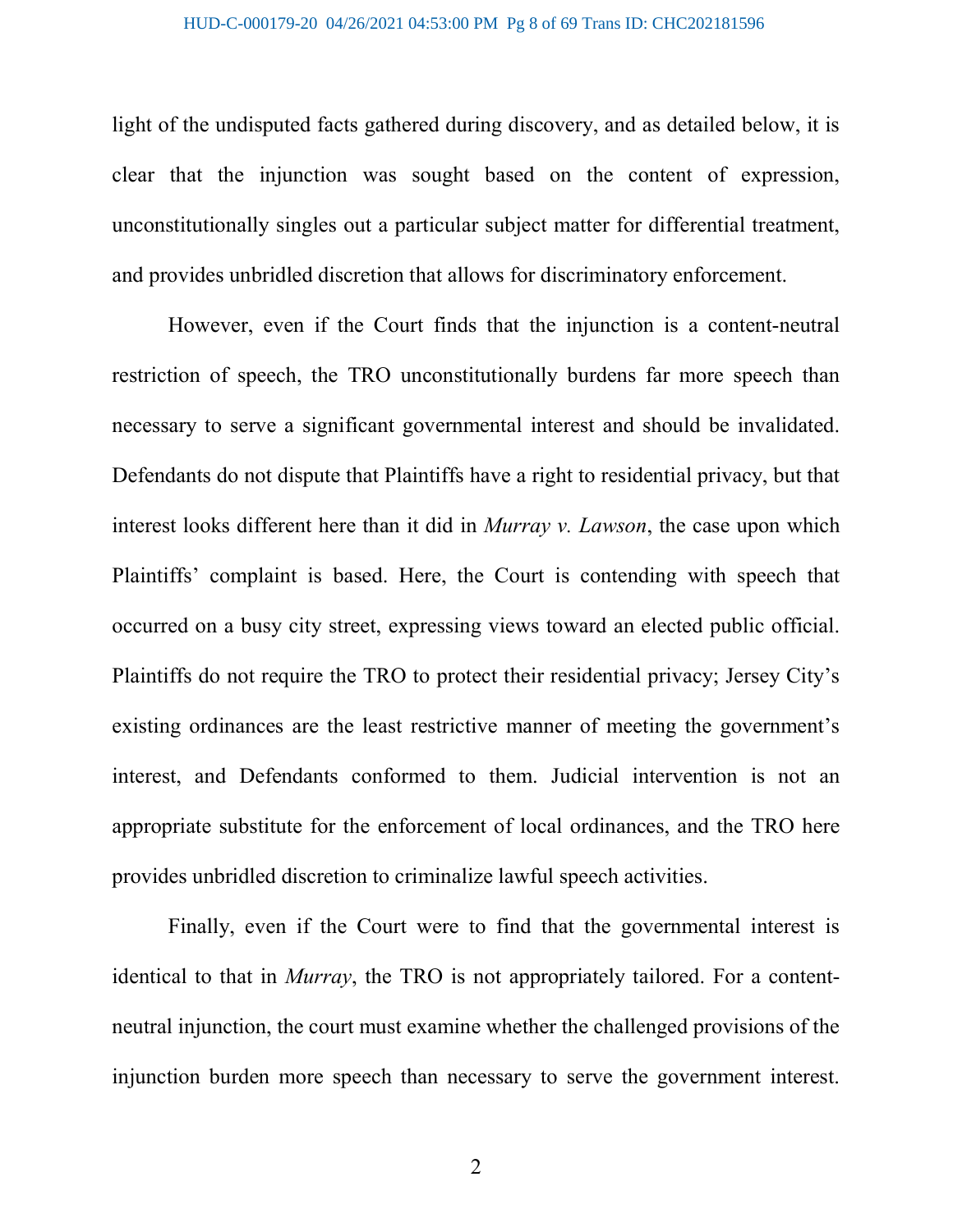light of the undisputed facts gathered during discovery, and as detailed below, it is clear that the injunction was sought based on the content of expression, unconstitutionally singles out a particular subject matter for differential treatment, and provides unbridled discretion that allows for discriminatory enforcement.

However, even if the Court finds that the injunction is a content-neutral restriction of speech, the TRO unconstitutionally burdens far more speech than necessary to serve a significant governmental interest and should be invalidated. Defendants do not dispute that Plaintiffs have a right to residential privacy, but that interest looks different here than it did in *Murray v. Lawson*, the case upon which Plaintiffs' complaint is based. Here, the Court is contending with speech that occurred on a busy city street, expressing views toward an elected public official. Plaintiffs do not require the TRO to protect their residential privacy; Jersey City's existing ordinances are the least restrictive manner of meeting the government's interest, and Defendants conformed to them. Judicial intervention is not an appropriate substitute for the enforcement of local ordinances, and the TRO here provides unbridled discretion to criminalize lawful speech activities.

Finally, even if the Court were to find that the governmental interest is identical to that in *Murray*, the TRO is not appropriately tailored. For a contentneutral injunction, the court must examine whether the challenged provisions of the injunction burden more speech than necessary to serve the government interest.

2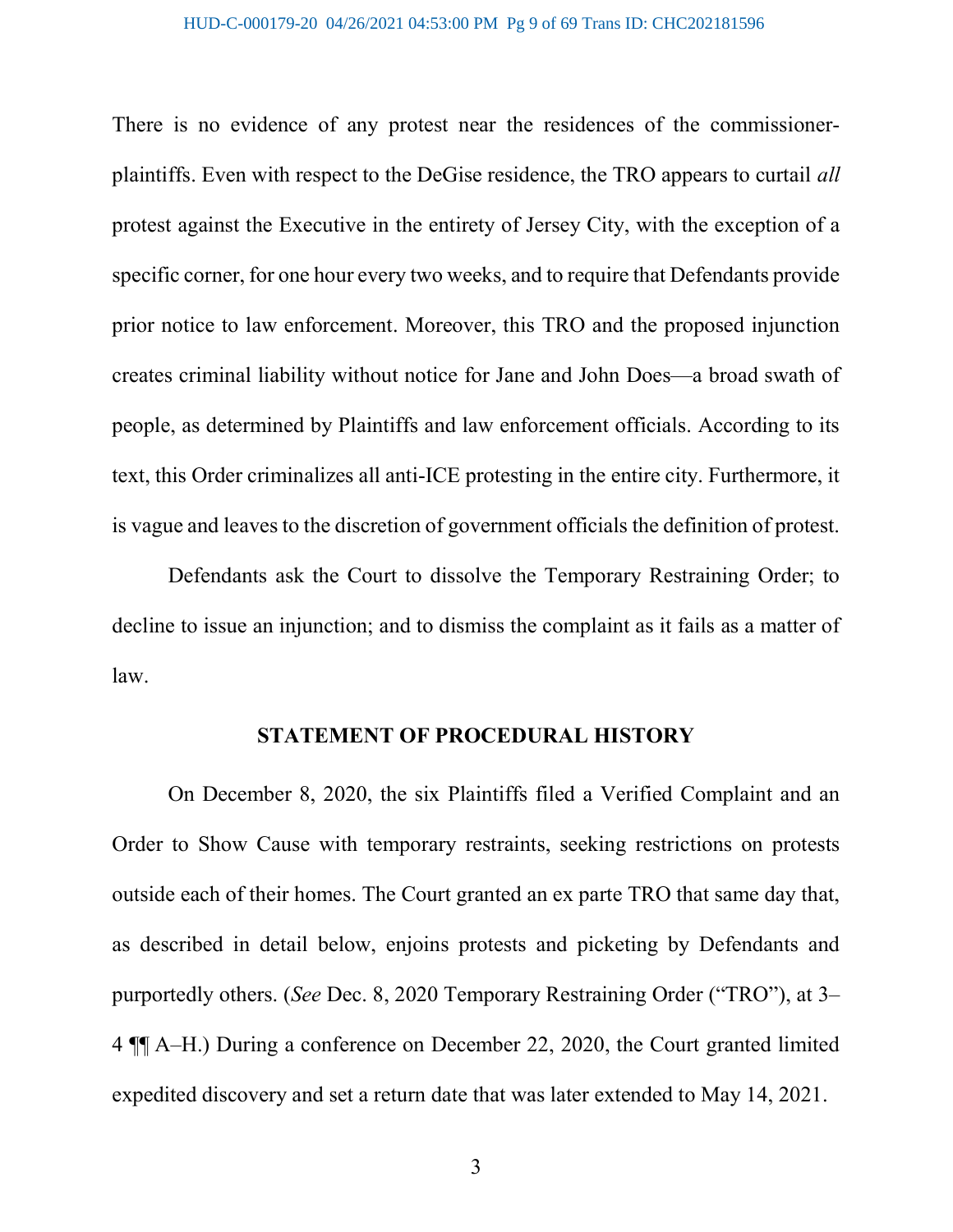There is no evidence of any protest near the residences of the commissionerplaintiffs. Even with respect to the DeGise residence, the TRO appears to curtail all protest against the Executive in the entirety of Jersey City, with the exception of a specific corner, for one hour every two weeks, and to require that Defendants provide prior notice to law enforcement. Moreover, this TRO and the proposed injunction creates criminal liability without notice for Jane and John Does—a broad swath of people, as determined by Plaintiffs and law enforcement officials. According to its text, this Order criminalizes all anti-ICE protesting in the entire city. Furthermore, it is vague and leaves to the discretion of government officials the definition of protest.

Defendants ask the Court to dissolve the Temporary Restraining Order; to decline to issue an injunction; and to dismiss the complaint as it fails as a matter of law.

#### STATEMENT OF PROCEDURAL HISTORY

On December 8, 2020, the six Plaintiffs filed a Verified Complaint and an Order to Show Cause with temporary restraints, seeking restrictions on protests outside each of their homes. The Court granted an ex parte TRO that same day that, as described in detail below, enjoins protests and picketing by Defendants and purportedly others. (See Dec. 8, 2020 Temporary Restraining Order ("TRO"), at 3– 4 ¶¶ A–H.) During a conference on December 22, 2020, the Court granted limited expedited discovery and set a return date that was later extended to May 14, 2021.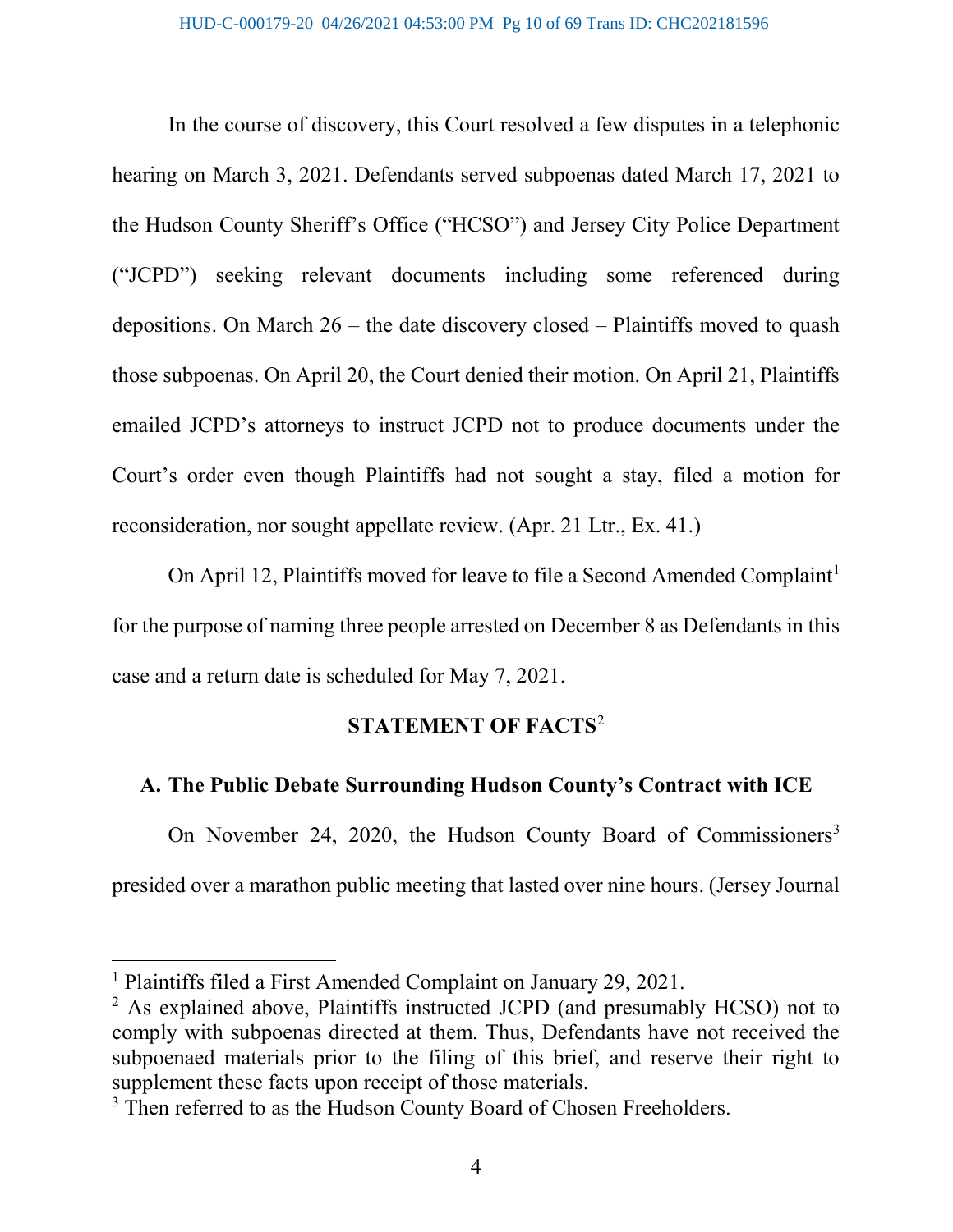In the course of discovery, this Court resolved a few disputes in a telephonic hearing on March 3, 2021. Defendants served subpoenas dated March 17, 2021 to the Hudson County Sheriff's Office ("HCSO") and Jersey City Police Department ("JCPD") seeking relevant documents including some referenced during depositions. On March 26 – the date discovery closed – Plaintiffs moved to quash those subpoenas. On April 20, the Court denied their motion. On April 21, Plaintiffs emailed JCPD's attorneys to instruct JCPD not to produce documents under the Court's order even though Plaintiffs had not sought a stay, filed a motion for reconsideration, nor sought appellate review. (Apr. 21 Ltr., Ex. 41.)

On April 12, Plaintiffs moved for leave to file a Second Amended Complaint<sup>1</sup> for the purpose of naming three people arrested on December 8 as Defendants in this case and a return date is scheduled for May 7, 2021.

## STATEMENT OF FACTS<sup>2</sup>

#### A. The Public Debate Surrounding Hudson County's Contract with ICE

On November 24, 2020, the Hudson County Board of Commissioners<sup>3</sup> presided over a marathon public meeting that lasted over nine hours. (Jersey Journal

<sup>1</sup> Plaintiffs filed a First Amended Complaint on January 29, 2021.

<sup>&</sup>lt;sup>2</sup> As explained above, Plaintiffs instructed JCPD (and presumably HCSO) not to comply with subpoenas directed at them. Thus, Defendants have not received the subpoenaed materials prior to the filing of this brief, and reserve their right to supplement these facts upon receipt of those materials.

<sup>&</sup>lt;sup>3</sup> Then referred to as the Hudson County Board of Chosen Freeholders.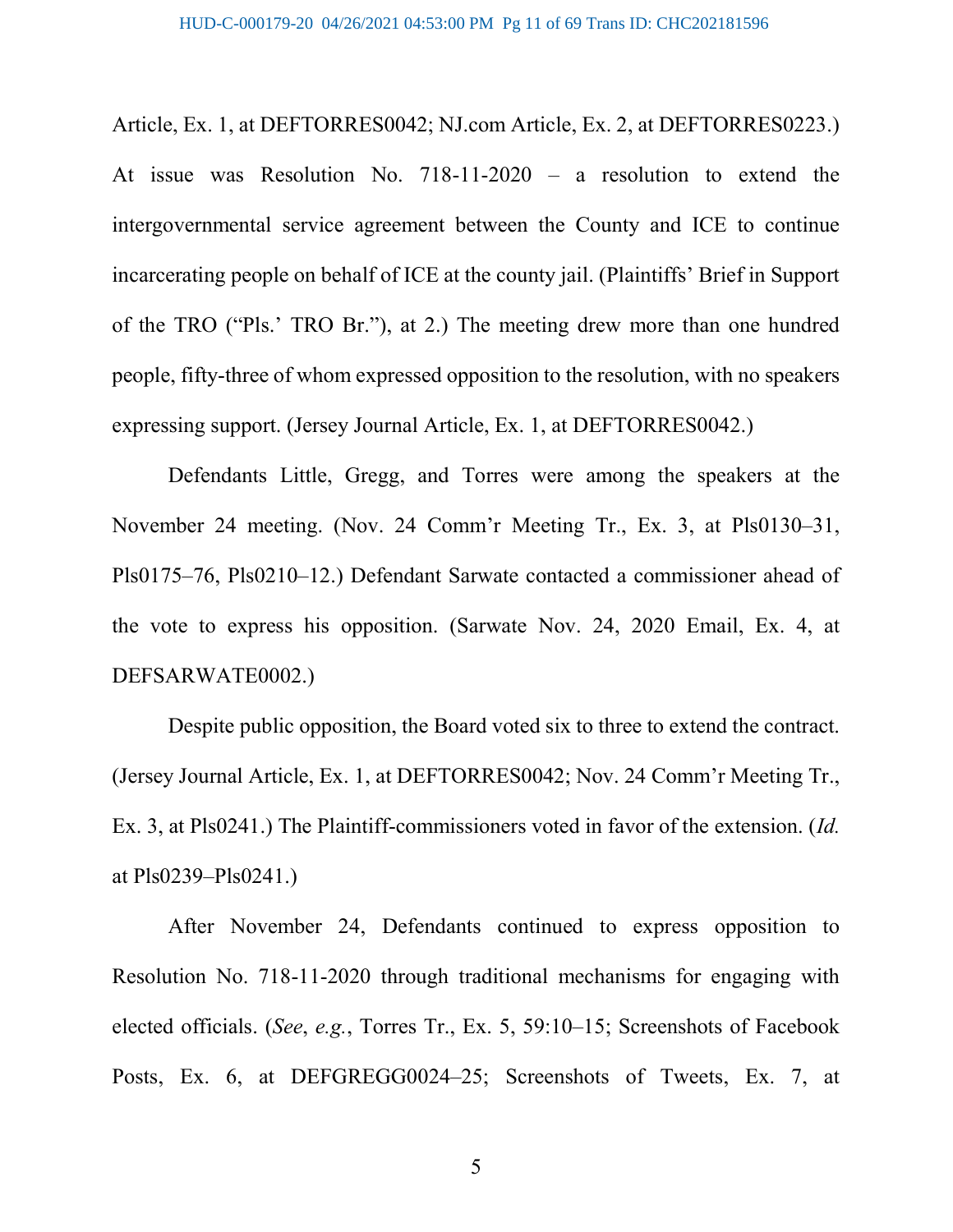Article, Ex. 1, at DEFTORRES0042; NJ.com Article, Ex. 2, at DEFTORRES0223.) At issue was Resolution No. 718-11-2020 – a resolution to extend the intergovernmental service agreement between the County and ICE to continue incarcerating people on behalf of ICE at the county jail. (Plaintiffs' Brief in Support of the TRO ("Pls.' TRO Br."), at 2.) The meeting drew more than one hundred people, fifty-three of whom expressed opposition to the resolution, with no speakers expressing support. (Jersey Journal Article, Ex. 1, at DEFTORRES0042.)

Defendants Little, Gregg, and Torres were among the speakers at the November 24 meeting. (Nov. 24 Comm'r Meeting Tr., Ex. 3, at Pls0130–31, Pls0175–76, Pls0210–12.) Defendant Sarwate contacted a commissioner ahead of the vote to express his opposition. (Sarwate Nov. 24, 2020 Email, Ex. 4, at DEFSARWATE0002.)

Despite public opposition, the Board voted six to three to extend the contract. (Jersey Journal Article, Ex. 1, at DEFTORRES0042; Nov. 24 Comm'r Meeting Tr., Ex. 3, at Pls0241.) The Plaintiff-commissioners voted in favor of the extension. (Id. at Pls0239–Pls0241.)

After November 24, Defendants continued to express opposition to Resolution No. 718-11-2020 through traditional mechanisms for engaging with elected officials. (See, e.g., Torres Tr., Ex. 5, 59:10–15; Screenshots of Facebook Posts, Ex. 6, at DEFGREGG0024–25; Screenshots of Tweets, Ex. 7, at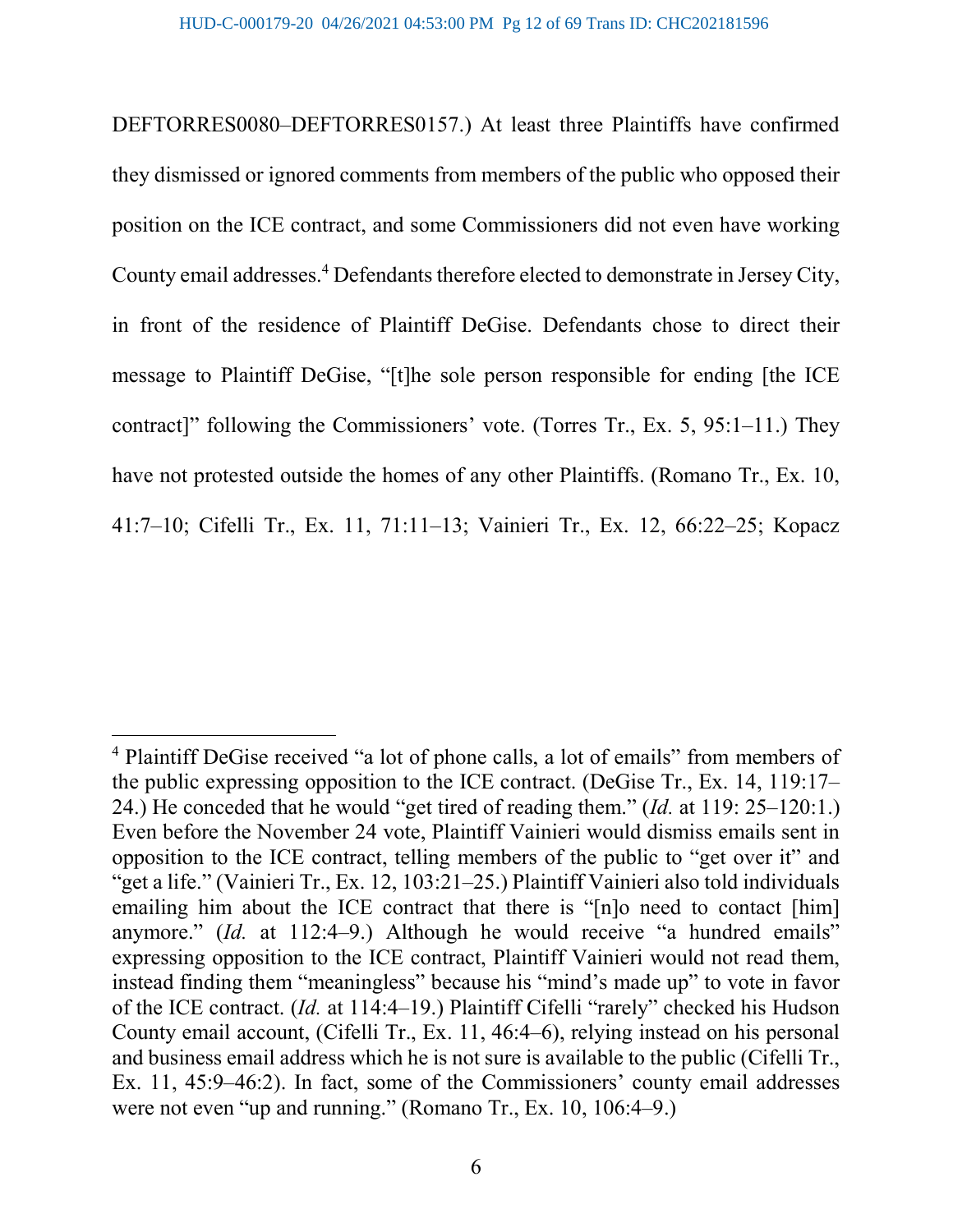DEFTORRES0080–DEFTORRES0157.) At least three Plaintiffs have confirmed they dismissed or ignored comments from members of the public who opposed their position on the ICE contract, and some Commissioners did not even have working County email addresses.<sup>4</sup> Defendants therefore elected to demonstrate in Jersey City, in front of the residence of Plaintiff DeGise. Defendants chose to direct their message to Plaintiff DeGise, "[t]he sole person responsible for ending [the ICE contract]" following the Commissioners' vote. (Torres Tr., Ex. 5, 95:1–11.) They have not protested outside the homes of any other Plaintiffs. (Romano Tr., Ex. 10, 41:7–10; Cifelli Tr., Ex. 11, 71:11–13; Vainieri Tr., Ex. 12, 66:22–25; Kopacz

<sup>&</sup>lt;sup>4</sup> Plaintiff DeGise received "a lot of phone calls, a lot of emails" from members of the public expressing opposition to the ICE contract. (DeGise Tr., Ex. 14, 119:17– 24.) He conceded that he would "get tired of reading them." (Id. at 119: 25–120:1.) Even before the November 24 vote, Plaintiff Vainieri would dismiss emails sent in opposition to the ICE contract, telling members of the public to "get over it" and "get a life." (Vainieri Tr., Ex. 12, 103:21–25.) Plaintiff Vainieri also told individuals emailing him about the ICE contract that there is "Inlo need to contact [him] anymore." (Id. at 112:4–9.) Although he would receive "a hundred emails" expressing opposition to the ICE contract, Plaintiff Vainieri would not read them, instead finding them "meaningless" because his "mind's made up" to vote in favor of the ICE contract. (Id. at 114:4–19.) Plaintiff Cifelli "rarely" checked his Hudson County email account, (Cifelli Tr., Ex. 11, 46:4–6), relying instead on his personal and business email address which he is not sure is available to the public (Cifelli Tr., Ex. 11, 45:9–46:2). In fact, some of the Commissioners' county email addresses were not even "up and running." (Romano Tr., Ex. 10, 106:4–9.)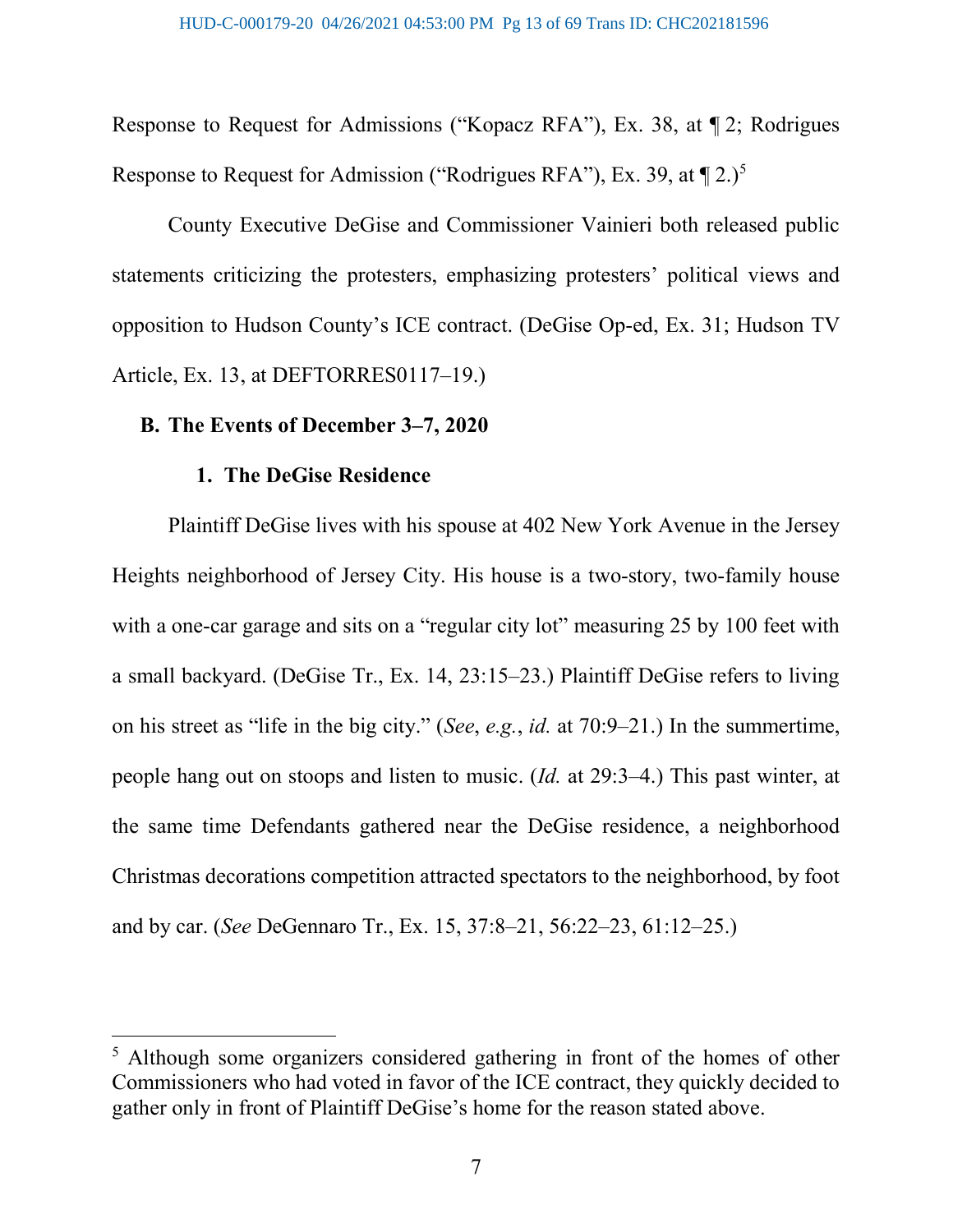Response to Request for Admissions ("Kopacz RFA"), Ex. 38, at ¶ 2; Rodrigues Response to Request for Admission ("Rodrigues RFA"), Ex. 39, at  $\P 2.$ )<sup>5</sup>

County Executive DeGise and Commissioner Vainieri both released public statements criticizing the protesters, emphasizing protesters' political views and opposition to Hudson County's ICE contract. (DeGise Op-ed, Ex. 31; Hudson TV Article, Ex. 13, at DEFTORRES0117–19.)

#### B. The Events of December 3–7, 2020

#### 1. The DeGise Residence

 $\overline{a}$ 

Plaintiff DeGise lives with his spouse at 402 New York Avenue in the Jersey Heights neighborhood of Jersey City. His house is a two-story, two-family house with a one-car garage and sits on a "regular city lot" measuring 25 by 100 feet with a small backyard. (DeGise Tr., Ex. 14, 23:15–23.) Plaintiff DeGise refers to living on his street as "life in the big city." (See, e.g., id. at 70:9–21.) In the summertime, people hang out on stoops and listen to music. (Id. at 29:3–4.) This past winter, at the same time Defendants gathered near the DeGise residence, a neighborhood Christmas decorations competition attracted spectators to the neighborhood, by foot and by car. (See DeGennaro Tr., Ex. 15, 37:8–21, 56:22–23, 61:12–25.)

<sup>&</sup>lt;sup>5</sup> Although some organizers considered gathering in front of the homes of other Commissioners who had voted in favor of the ICE contract, they quickly decided to gather only in front of Plaintiff DeGise's home for the reason stated above.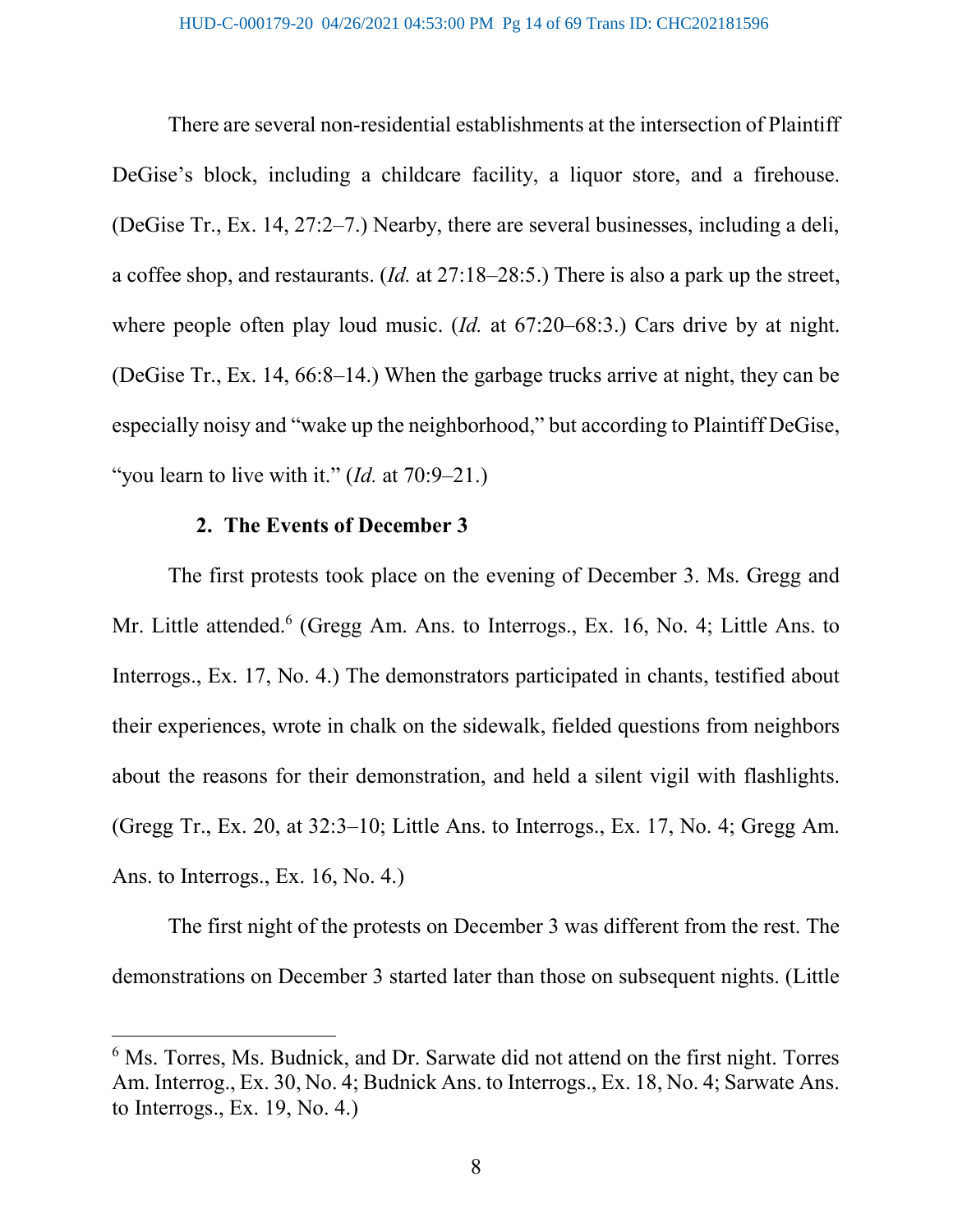There are several non-residential establishments at the intersection of Plaintiff DeGise's block, including a childcare facility, a liquor store, and a firehouse. (DeGise Tr., Ex. 14, 27:2–7.) Nearby, there are several businesses, including a deli, a coffee shop, and restaurants. (Id. at 27:18–28:5.) There is also a park up the street, where people often play loud music. (*Id.* at 67:20–68:3.) Cars drive by at night. (DeGise Tr., Ex. 14, 66:8–14.) When the garbage trucks arrive at night, they can be especially noisy and "wake up the neighborhood," but according to Plaintiff DeGise, "you learn to live with it."  $(Id.$  at 70:9-21.)

## 2. The Events of December 3

 $\overline{a}$ 

The first protests took place on the evening of December 3. Ms. Gregg and Mr. Little attended.<sup>6</sup> (Gregg Am. Ans. to Interrogs., Ex. 16, No. 4; Little Ans. to Interrogs., Ex. 17, No. 4.) The demonstrators participated in chants, testified about their experiences, wrote in chalk on the sidewalk, fielded questions from neighbors about the reasons for their demonstration, and held a silent vigil with flashlights. (Gregg Tr., Ex. 20, at 32:3–10; Little Ans. to Interrogs., Ex. 17, No. 4; Gregg Am. Ans. to Interrogs., Ex. 16, No. 4.)

The first night of the protests on December 3 was different from the rest. The demonstrations on December 3 started later than those on subsequent nights. (Little

<sup>&</sup>lt;sup>6</sup> Ms. Torres, Ms. Budnick, and Dr. Sarwate did not attend on the first night. Torres Am. Interrog., Ex. 30, No. 4; Budnick Ans. to Interrogs., Ex. 18, No. 4; Sarwate Ans. to Interrogs., Ex. 19, No. 4.)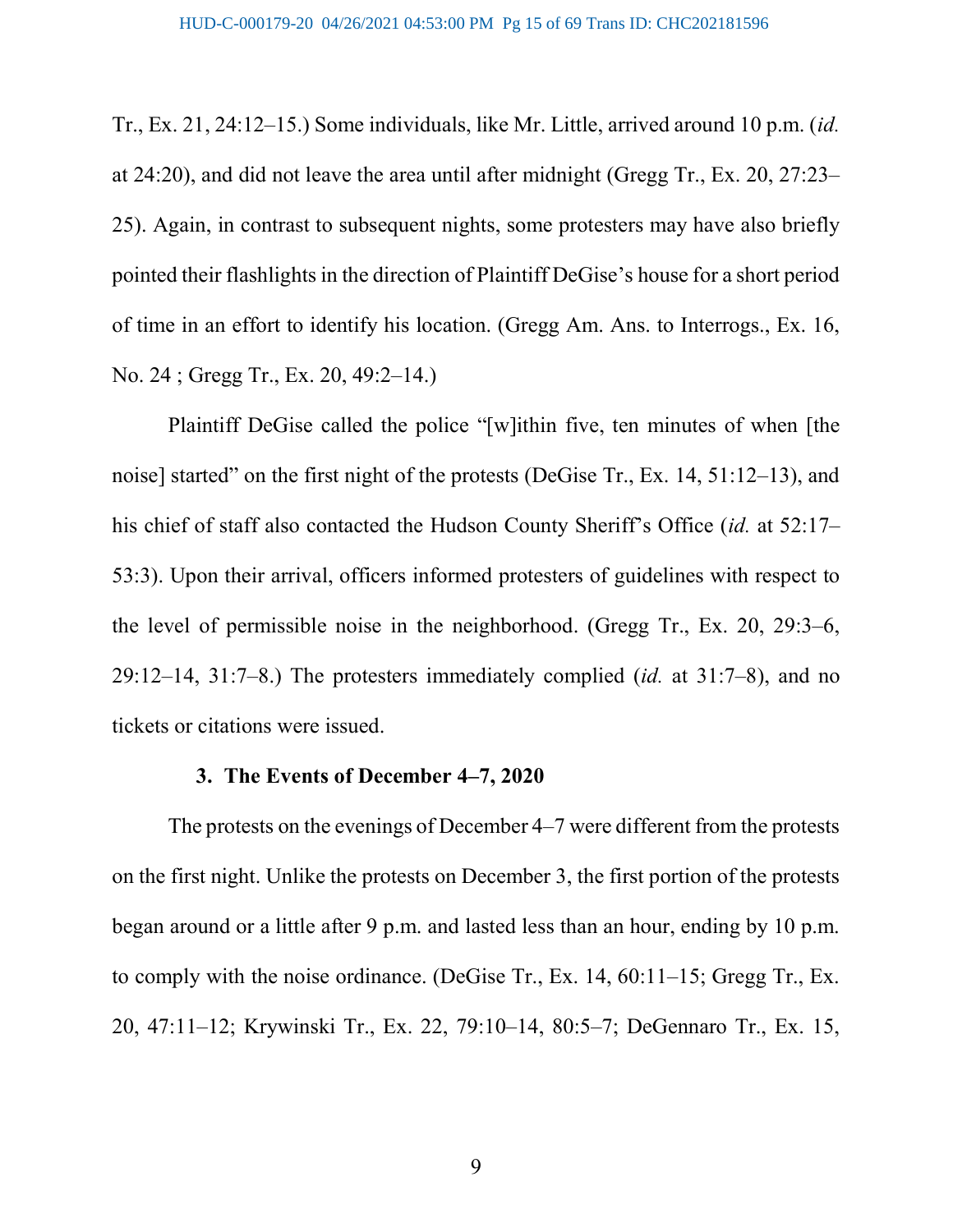Tr., Ex. 21, 24:12–15.) Some individuals, like Mr. Little, arrived around 10 p.m. (id. at 24:20), and did not leave the area until after midnight (Gregg Tr., Ex. 20, 27:23– 25). Again, in contrast to subsequent nights, some protesters may have also briefly pointed their flashlights in the direction of Plaintiff DeGise's house for a short period of time in an effort to identify his location. (Gregg Am. Ans. to Interrogs., Ex. 16, No. 24 ; Gregg Tr., Ex. 20, 49:2–14.)

Plaintiff DeGise called the police "[w]ithin five, ten minutes of when [the noise] started" on the first night of the protests (DeGise Tr., Ex. 14, 51:12–13), and his chief of staff also contacted the Hudson County Sheriff's Office (id. at 52:17– 53:3). Upon their arrival, officers informed protesters of guidelines with respect to the level of permissible noise in the neighborhood. (Gregg Tr., Ex. 20, 29:3–6, 29:12–14, 31:7–8.) The protesters immediately complied  $(id.$  at 31:7–8), and no tickets or citations were issued.

#### 3. The Events of December 4–7, 2020

The protests on the evenings of December 4–7 were different from the protests on the first night. Unlike the protests on December 3, the first portion of the protests began around or a little after 9 p.m. and lasted less than an hour, ending by 10 p.m. to comply with the noise ordinance. (DeGise Tr., Ex. 14, 60:11–15; Gregg Tr., Ex. 20, 47:11–12; Krywinski Tr., Ex. 22, 79:10–14, 80:5–7; DeGennaro Tr., Ex. 15,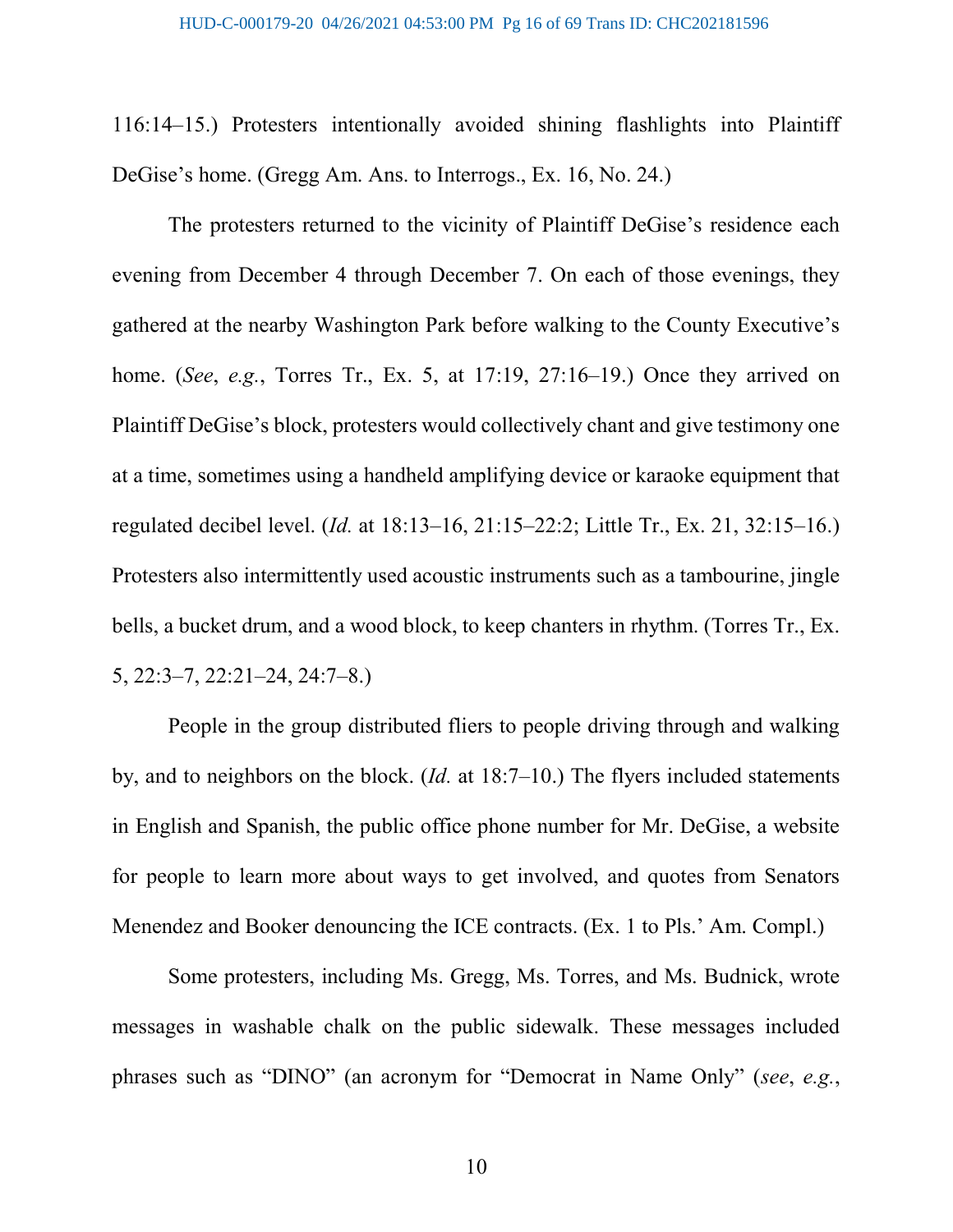116:14–15.) Protesters intentionally avoided shining flashlights into Plaintiff DeGise's home. (Gregg Am. Ans. to Interrogs., Ex. 16, No. 24.)

The protesters returned to the vicinity of Plaintiff DeGise's residence each evening from December 4 through December 7. On each of those evenings, they gathered at the nearby Washington Park before walking to the County Executive's home. (See, e.g., Torres Tr., Ex. 5, at 17:19, 27:16–19.) Once they arrived on Plaintiff DeGise's block, protesters would collectively chant and give testimony one at a time, sometimes using a handheld amplifying device or karaoke equipment that regulated decibel level. (Id. at 18:13–16, 21:15–22:2; Little Tr., Ex. 21, 32:15–16.) Protesters also intermittently used acoustic instruments such as a tambourine, jingle bells, a bucket drum, and a wood block, to keep chanters in rhythm. (Torres Tr., Ex. 5, 22:3–7, 22:21–24, 24:7–8.)

People in the group distributed fliers to people driving through and walking by, and to neighbors on the block.  $(Id.$  at 18:7–10.) The flyers included statements in English and Spanish, the public office phone number for Mr. DeGise, a website for people to learn more about ways to get involved, and quotes from Senators Menendez and Booker denouncing the ICE contracts. (Ex. 1 to Pls.' Am. Compl.)

Some protesters, including Ms. Gregg, Ms. Torres, and Ms. Budnick, wrote messages in washable chalk on the public sidewalk. These messages included phrases such as "DINO" (an acronym for "Democrat in Name Only" (see, e.g.,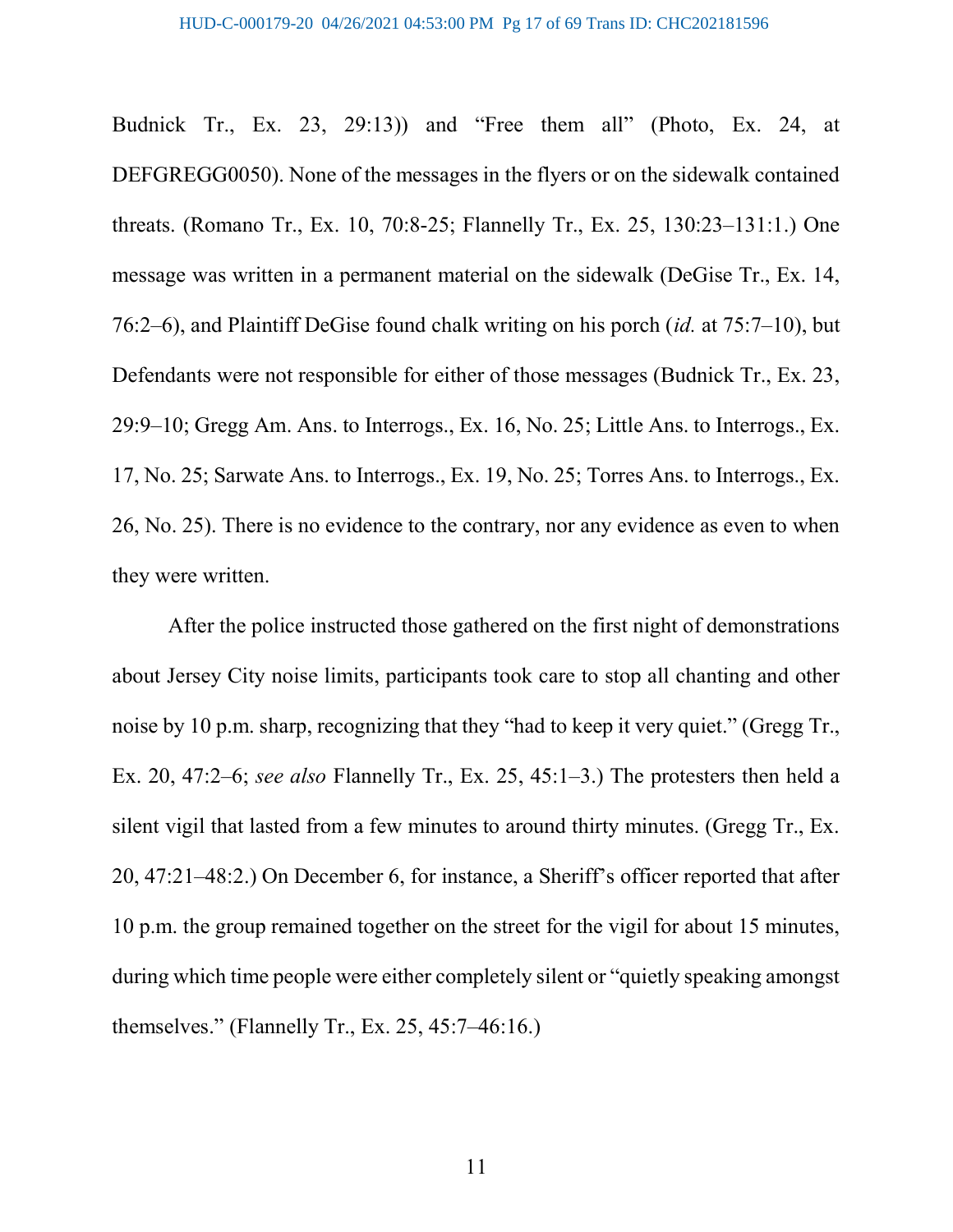Budnick Tr., Ex. 23, 29:13)) and "Free them all" (Photo, Ex. 24, at DEFGREGG0050). None of the messages in the flyers or on the sidewalk contained threats. (Romano Tr., Ex. 10, 70:8-25; Flannelly Tr., Ex. 25, 130:23–131:1.) One message was written in a permanent material on the sidewalk (DeGise Tr., Ex. 14, 76:2–6), and Plaintiff DeGise found chalk writing on his porch (id. at 75:7–10), but Defendants were not responsible for either of those messages (Budnick Tr., Ex. 23, 29:9–10; Gregg Am. Ans. to Interrogs., Ex. 16, No. 25; Little Ans. to Interrogs., Ex. 17, No. 25; Sarwate Ans. to Interrogs., Ex. 19, No. 25; Torres Ans. to Interrogs., Ex. 26, No. 25). There is no evidence to the contrary, nor any evidence as even to when they were written.

After the police instructed those gathered on the first night of demonstrations about Jersey City noise limits, participants took care to stop all chanting and other noise by 10 p.m. sharp, recognizing that they "had to keep it very quiet." (Gregg Tr., Ex. 20, 47:2–6; see also Flannelly Tr., Ex. 25, 45:1–3.) The protesters then held a silent vigil that lasted from a few minutes to around thirty minutes. (Gregg Tr., Ex. 20, 47:21–48:2.) On December 6, for instance, a Sheriff's officer reported that after 10 p.m. the group remained together on the street for the vigil for about 15 minutes, during which time people were either completely silent or "quietly speaking amongst themselves." (Flannelly Tr., Ex. 25, 45:7–46:16.)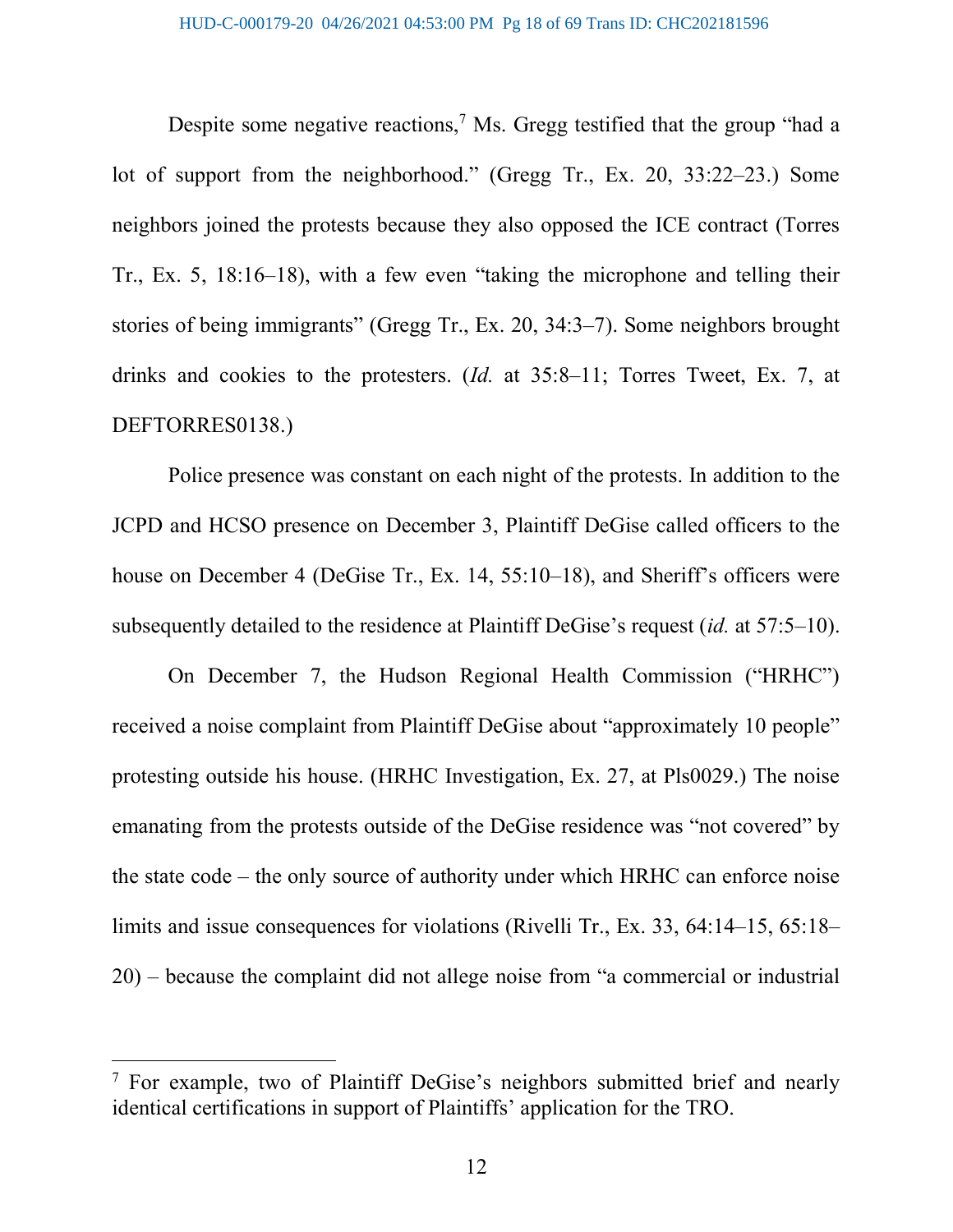Despite some negative reactions,<sup>7</sup> Ms. Gregg testified that the group "had a lot of support from the neighborhood." (Gregg Tr., Ex. 20, 33:22–23.) Some neighbors joined the protests because they also opposed the ICE contract (Torres Tr., Ex. 5, 18:16–18), with a few even "taking the microphone and telling their stories of being immigrants" (Gregg Tr., Ex. 20, 34:3–7). Some neighbors brought drinks and cookies to the protesters. (Id. at 35:8–11; Torres Tweet, Ex. 7, at DEFTORRES0138.)

Police presence was constant on each night of the protests. In addition to the JCPD and HCSO presence on December 3, Plaintiff DeGise called officers to the house on December 4 (DeGise Tr., Ex. 14, 55:10–18), and Sheriff's officers were subsequently detailed to the residence at Plaintiff DeGise's request (id. at 57:5–10).

On December 7, the Hudson Regional Health Commission ("HRHC") received a noise complaint from Plaintiff DeGise about "approximately 10 people" protesting outside his house. (HRHC Investigation, Ex. 27, at Pls0029.) The noise emanating from the protests outside of the DeGise residence was "not covered" by the state code – the only source of authority under which HRHC can enforce noise limits and issue consequences for violations (Rivelli Tr., Ex. 33, 64:14–15, 65:18– 20) – because the complaint did not allege noise from "a commercial or industrial

<sup>&</sup>lt;sup>7</sup> For example, two of Plaintiff DeGise's neighbors submitted brief and nearly identical certifications in support of Plaintiffs' application for the TRO.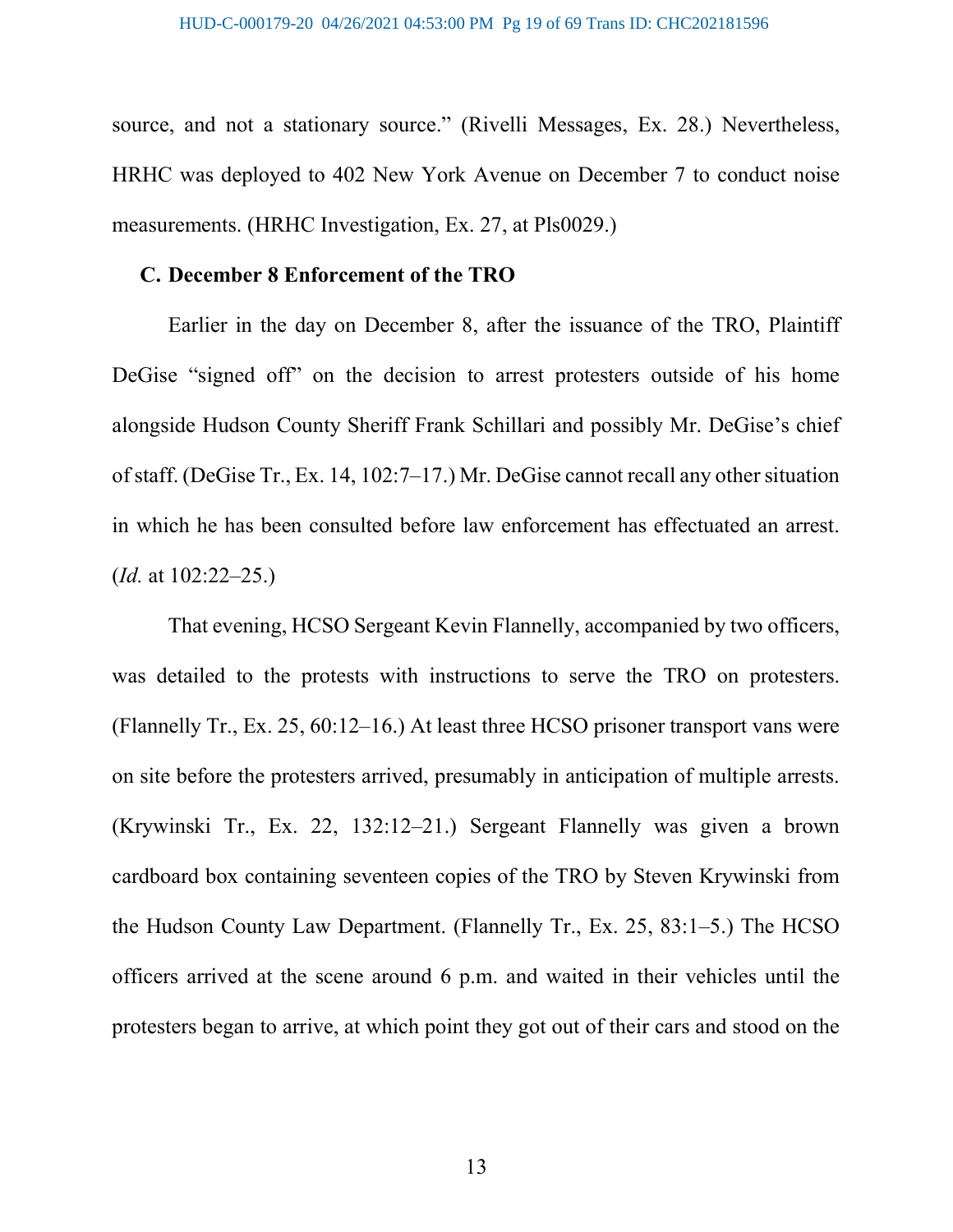source, and not a stationary source." (Rivelli Messages, Ex. 28.) Nevertheless, HRHC was deployed to 402 New York Avenue on December 7 to conduct noise measurements. (HRHC Investigation, Ex. 27, at Pls0029.)

#### C. December 8 Enforcement of the TRO

Earlier in the day on December 8, after the issuance of the TRO, Plaintiff DeGise "signed off" on the decision to arrest protesters outside of his home alongside Hudson County Sheriff Frank Schillari and possibly Mr. DeGise's chief of staff. (DeGise Tr., Ex. 14, 102:7–17.) Mr. DeGise cannot recall any other situation in which he has been consulted before law enforcement has effectuated an arrest.  $(Id. at 102:22-25.)$ 

That evening, HCSO Sergeant Kevin Flannelly, accompanied by two officers, was detailed to the protests with instructions to serve the TRO on protesters. (Flannelly Tr., Ex. 25, 60:12–16.) At least three HCSO prisoner transport vans were on site before the protesters arrived, presumably in anticipation of multiple arrests. (Krywinski Tr., Ex. 22, 132:12–21.) Sergeant Flannelly was given a brown cardboard box containing seventeen copies of the TRO by Steven Krywinski from the Hudson County Law Department. (Flannelly Tr., Ex. 25, 83:1–5.) The HCSO officers arrived at the scene around 6 p.m. and waited in their vehicles until the protesters began to arrive, at which point they got out of their cars and stood on the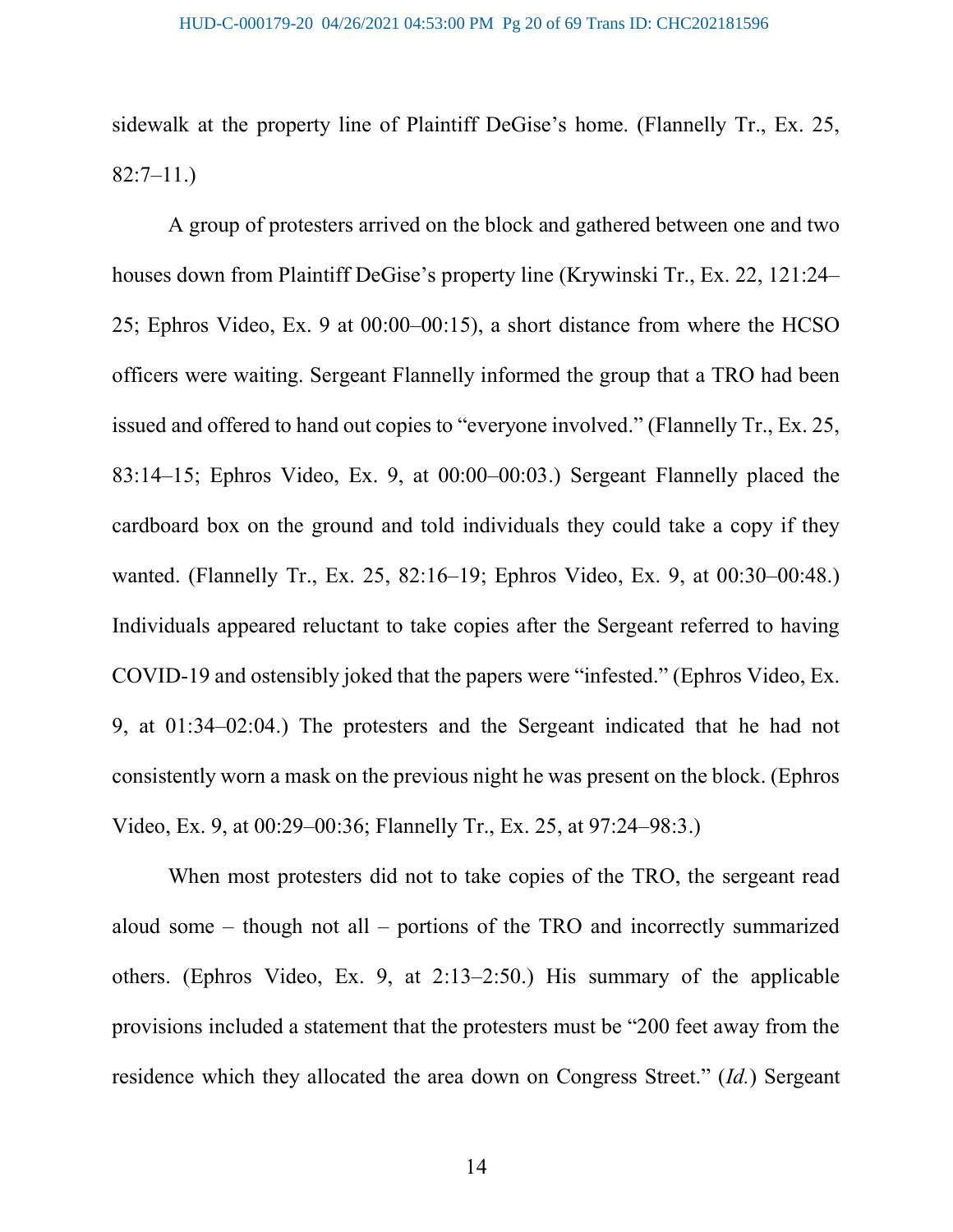sidewalk at the property line of Plaintiff DeGise's home. (Flannelly Tr., Ex. 25, 82:7–11.)

A group of protesters arrived on the block and gathered between one and two houses down from Plaintiff DeGise's property line (Krywinski Tr., Ex. 22, 121:24– 25; Ephros Video, Ex. 9 at 00:00–00:15), a short distance from where the HCSO officers were waiting. Sergeant Flannelly informed the group that a TRO had been issued and offered to hand out copies to "everyone involved." (Flannelly Tr., Ex. 25, 83:14–15; Ephros Video, Ex. 9, at 00:00–00:03.) Sergeant Flannelly placed the cardboard box on the ground and told individuals they could take a copy if they wanted. (Flannelly Tr., Ex. 25, 82:16–19; Ephros Video, Ex. 9, at 00:30–00:48.) Individuals appeared reluctant to take copies after the Sergeant referred to having COVID-19 and ostensibly joked that the papers were "infested." (Ephros Video, Ex. 9, at 01:34–02:04.) The protesters and the Sergeant indicated that he had not consistently worn a mask on the previous night he was present on the block. (Ephros Video, Ex. 9, at 00:29–00:36; Flannelly Tr., Ex. 25, at 97:24–98:3.)

When most protesters did not to take copies of the TRO, the sergeant read aloud some – though not all – portions of the TRO and incorrectly summarized others. (Ephros Video, Ex. 9, at 2:13–2:50.) His summary of the applicable provisions included a statement that the protesters must be "200 feet away from the residence which they allocated the area down on Congress Street." (Id.) Sergeant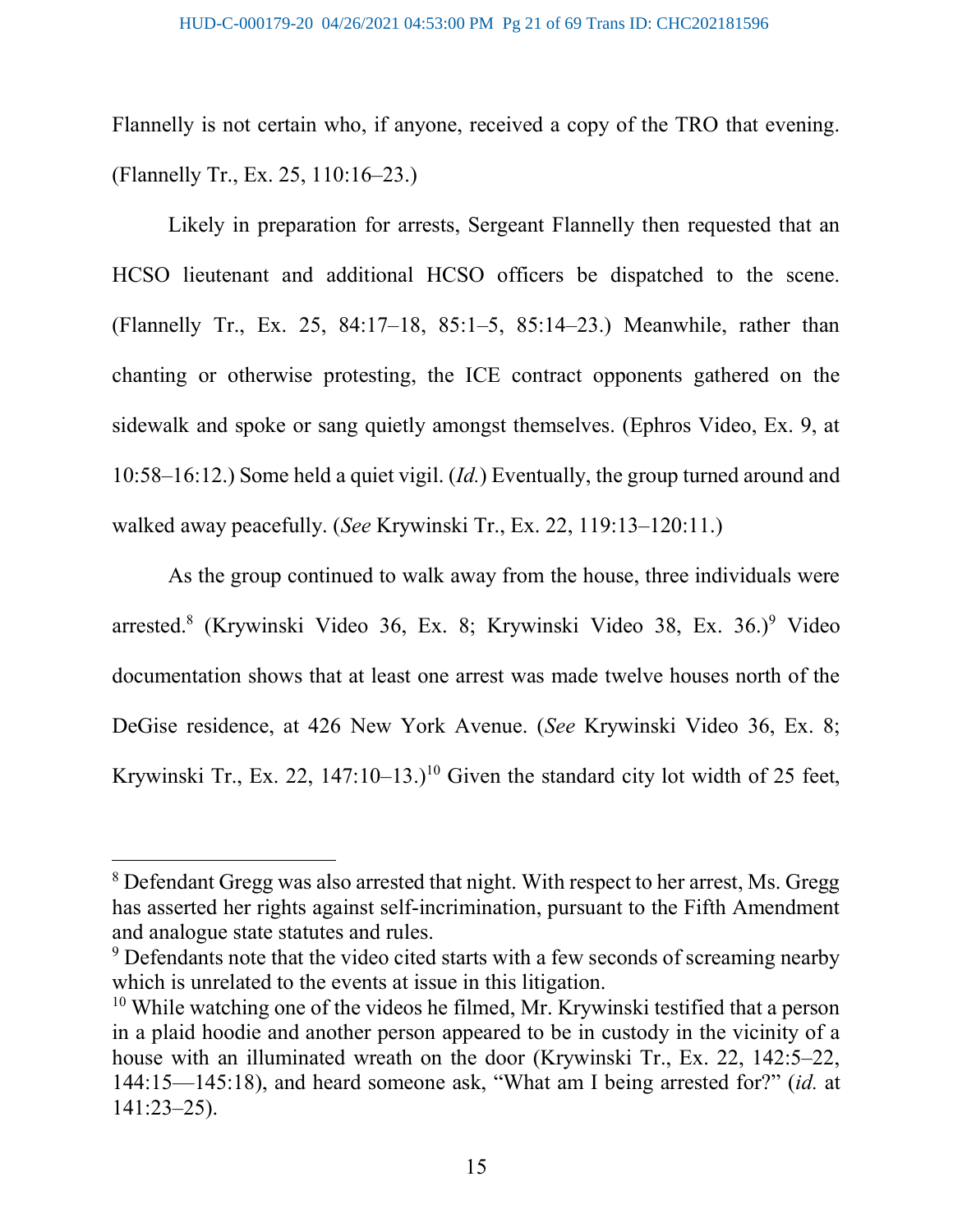Flannelly is not certain who, if anyone, received a copy of the TRO that evening. (Flannelly Tr., Ex. 25, 110:16–23.)

Likely in preparation for arrests, Sergeant Flannelly then requested that an HCSO lieutenant and additional HCSO officers be dispatched to the scene. (Flannelly Tr., Ex. 25, 84:17–18, 85:1–5, 85:14–23.) Meanwhile, rather than chanting or otherwise protesting, the ICE contract opponents gathered on the sidewalk and spoke or sang quietly amongst themselves. (Ephros Video, Ex. 9, at 10:58–16:12.) Some held a quiet vigil. (Id.) Eventually, the group turned around and walked away peacefully. (See Krywinski Tr., Ex. 22, 119:13–120:11.)

As the group continued to walk away from the house, three individuals were arrested.<sup>8</sup> (Krywinski Video 36, Ex. 8; Krywinski Video 38, Ex. 36.)<sup>9</sup> Video documentation shows that at least one arrest was made twelve houses north of the DeGise residence, at 426 New York Avenue. (See Krywinski Video 36, Ex. 8; Krywinski Tr., Ex. 22,  $147:10-13$ .)<sup>10</sup> Given the standard city lot width of 25 feet,

<sup>&</sup>lt;sup>8</sup> Defendant Gregg was also arrested that night. With respect to her arrest, Ms. Gregg has asserted her rights against self-incrimination, pursuant to the Fifth Amendment and analogue state statutes and rules.

<sup>&</sup>lt;sup>9</sup> Defendants note that the video cited starts with a few seconds of screaming nearby which is unrelated to the events at issue in this litigation.

 $10$  While watching one of the videos he filmed, Mr. Krywinski testified that a person in a plaid hoodie and another person appeared to be in custody in the vicinity of a house with an illuminated wreath on the door (Krywinski Tr., Ex. 22, 142:5–22, 144:15—145:18), and heard someone ask, "What am I being arrested for?" (id. at 141:23–25).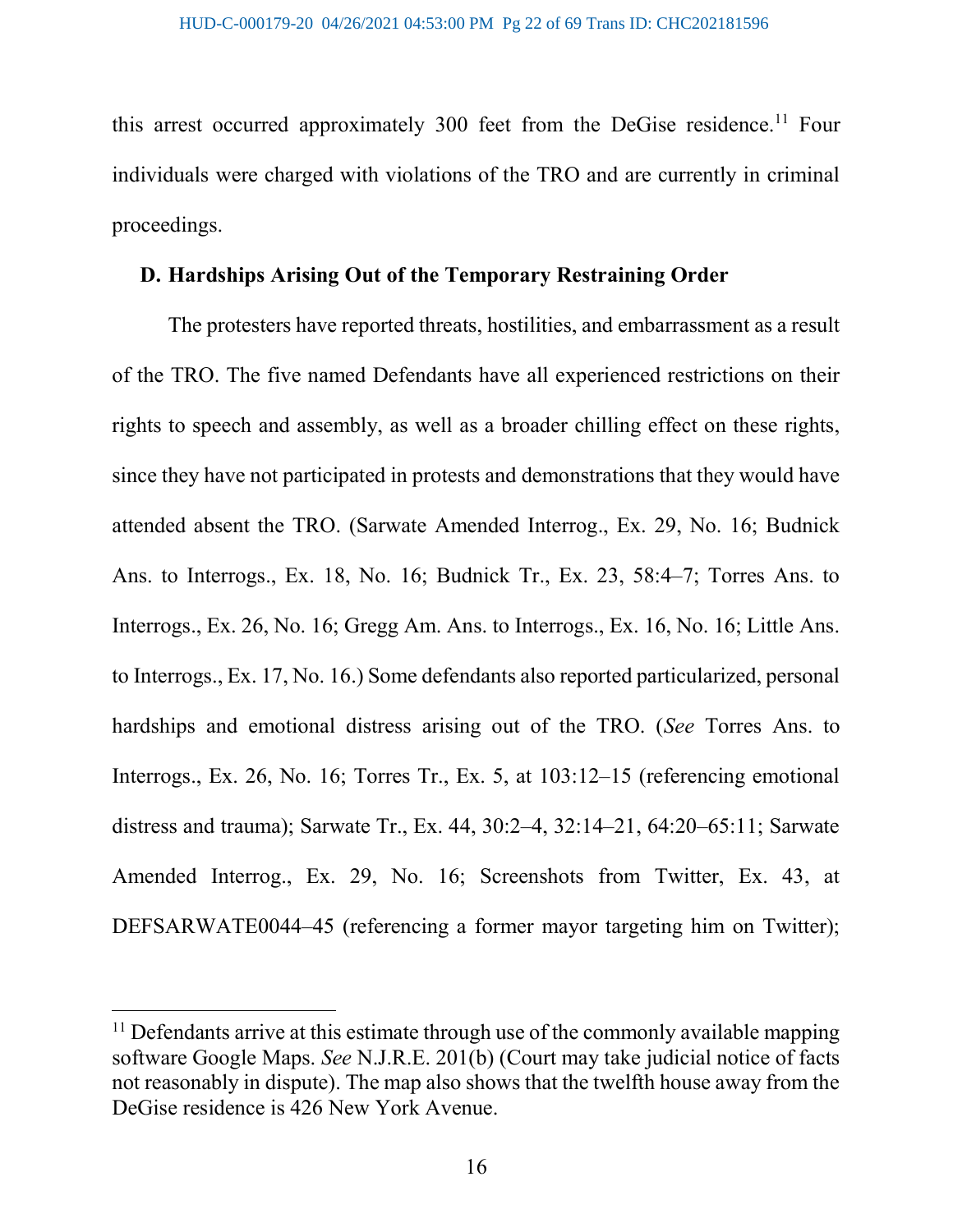this arrest occurred approximately 300 feet from the DeGise residence.<sup>11</sup> Four individuals were charged with violations of the TRO and are currently in criminal proceedings.

### D. Hardships Arising Out of the Temporary Restraining Order

The protesters have reported threats, hostilities, and embarrassment as a result of the TRO. The five named Defendants have all experienced restrictions on their rights to speech and assembly, as well as a broader chilling effect on these rights, since they have not participated in protests and demonstrations that they would have attended absent the TRO. (Sarwate Amended Interrog., Ex. 29, No. 16; Budnick Ans. to Interrogs., Ex. 18, No. 16; Budnick Tr., Ex. 23, 58:4–7; Torres Ans. to Interrogs., Ex. 26, No. 16; Gregg Am. Ans. to Interrogs., Ex. 16, No. 16; Little Ans. to Interrogs., Ex. 17, No. 16.) Some defendants also reported particularized, personal hardships and emotional distress arising out of the TRO. (See Torres Ans. to Interrogs., Ex. 26, No. 16; Torres Tr., Ex. 5, at 103:12–15 (referencing emotional distress and trauma); Sarwate Tr., Ex. 44, 30:2–4, 32:14–21, 64:20–65:11; Sarwate Amended Interrog., Ex. 29, No. 16; Screenshots from Twitter, Ex. 43, at DEFSARWATE0044–45 (referencing a former mayor targeting him on Twitter);

 $11$  Defendants arrive at this estimate through use of the commonly available mapping software Google Maps. See N.J.R.E. 201(b) (Court may take judicial notice of facts not reasonably in dispute). The map also shows that the twelfth house away from the DeGise residence is 426 New York Avenue.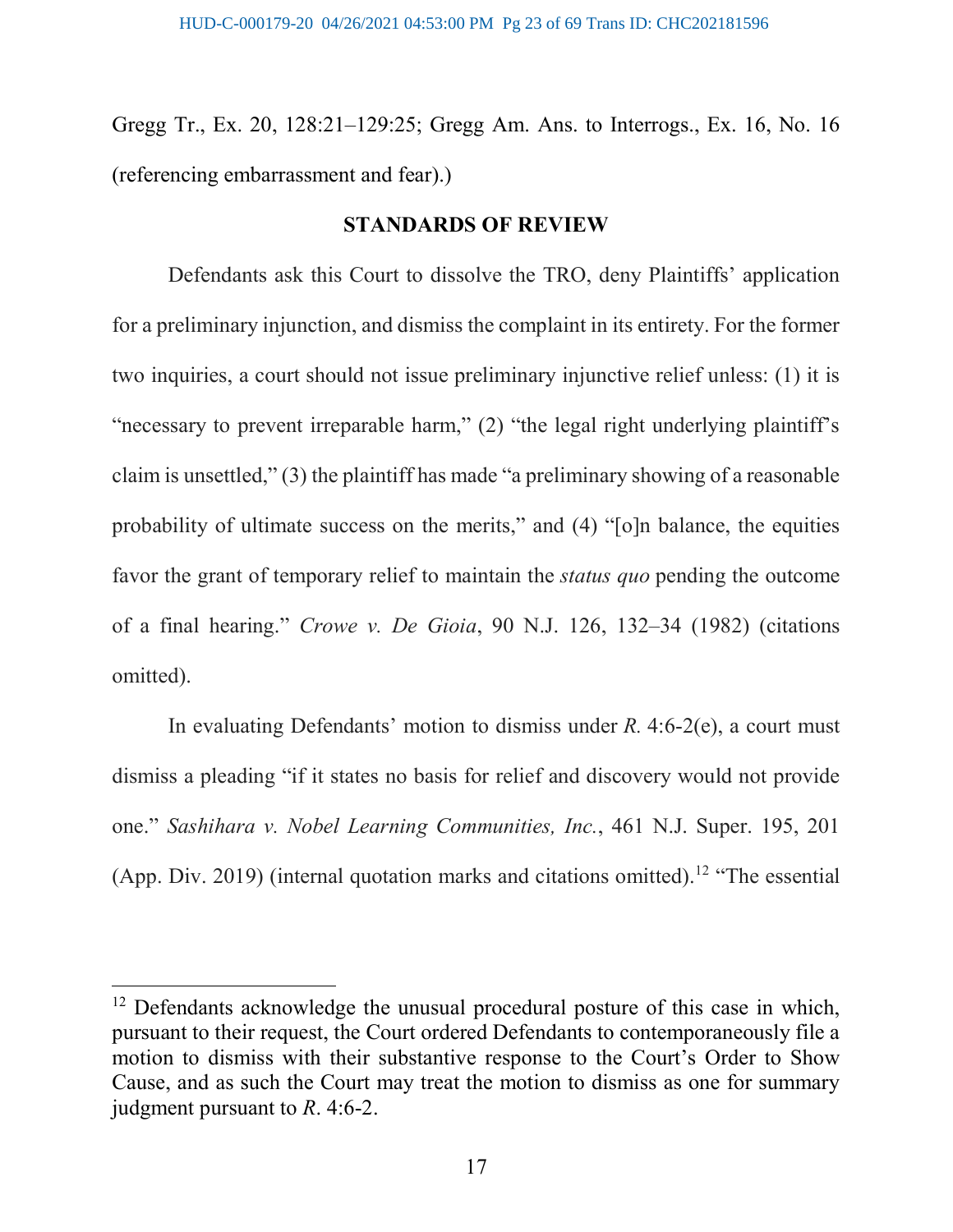Gregg Tr., Ex. 20, 128:21–129:25; Gregg Am. Ans. to Interrogs., Ex. 16, No. 16 (referencing embarrassment and fear).)

#### STANDARDS OF REVIEW

Defendants ask this Court to dissolve the TRO, deny Plaintiffs' application for a preliminary injunction, and dismiss the complaint in its entirety. For the former two inquiries, a court should not issue preliminary injunctive relief unless: (1) it is "necessary to prevent irreparable harm," (2) "the legal right underlying plaintiff's claim is unsettled," (3) the plaintiff has made "a preliminary showing of a reasonable probability of ultimate success on the merits," and (4) "[o]n balance, the equities favor the grant of temporary relief to maintain the status quo pending the outcome of a final hearing." Crowe v. De Gioia, 90 N.J. 126, 132–34 (1982) (citations omitted).

In evaluating Defendants' motion to dismiss under  $R$ . 4:6-2(e), a court must dismiss a pleading "if it states no basis for relief and discovery would not provide one." Sashihara v. Nobel Learning Communities, Inc., 461 N.J. Super. 195, 201 (App. Div. 2019) (internal quotation marks and citations omitted).<sup>12</sup> "The essential

<sup>&</sup>lt;sup>12</sup> Defendants acknowledge the unusual procedural posture of this case in which, pursuant to their request, the Court ordered Defendants to contemporaneously file a motion to dismiss with their substantive response to the Court's Order to Show Cause, and as such the Court may treat the motion to dismiss as one for summary judgment pursuant to R. 4:6-2.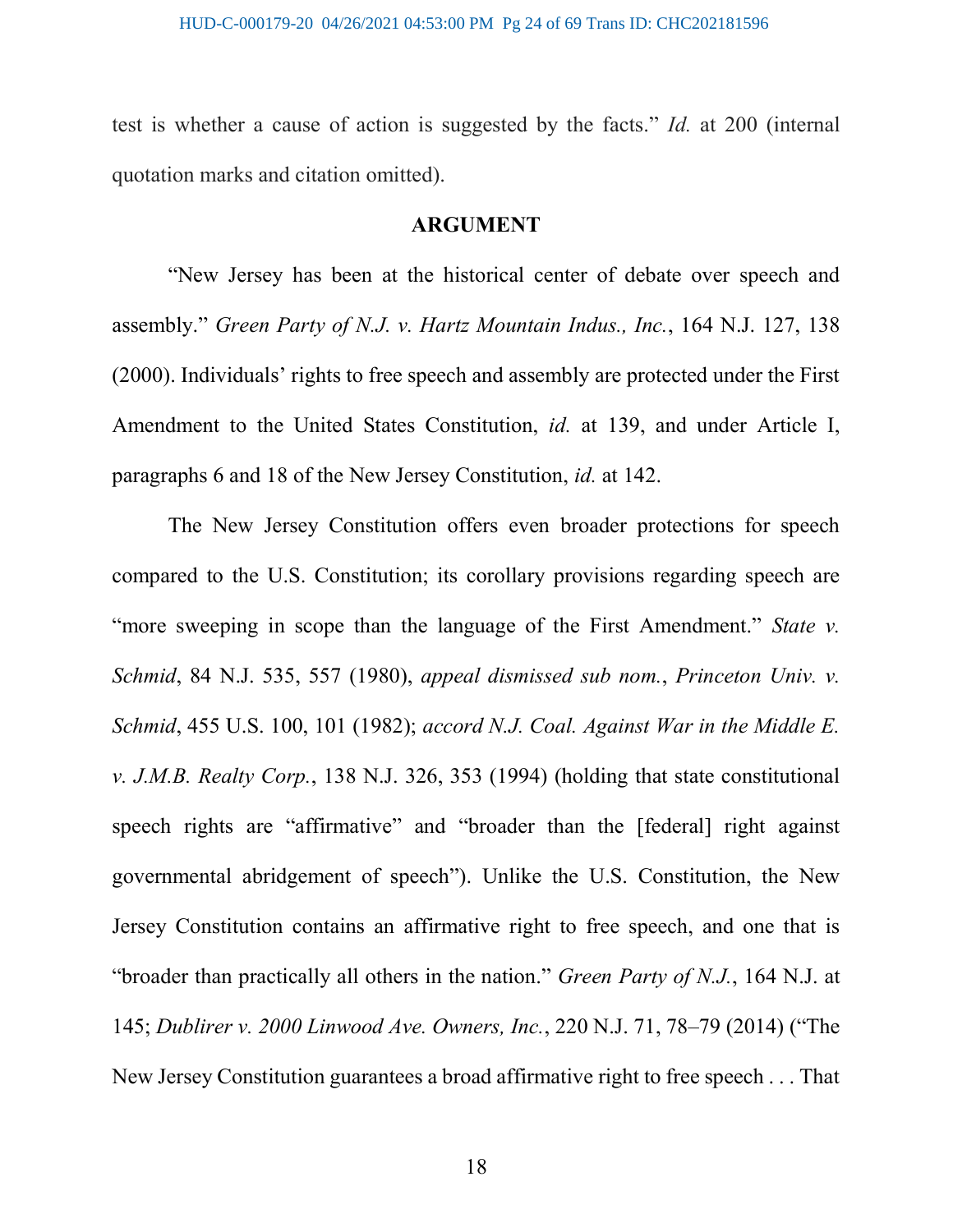test is whether a cause of action is suggested by the facts." Id. at 200 (internal quotation marks and citation omitted).

#### ARGUMENT

"New Jersey has been at the historical center of debate over speech and assembly." Green Party of N.J. v. Hartz Mountain Indus., Inc., 164 N.J. 127, 138 (2000). Individuals' rights to free speech and assembly are protected under the First Amendment to the United States Constitution, id. at 139, and under Article I, paragraphs 6 and 18 of the New Jersey Constitution, id. at 142.

The New Jersey Constitution offers even broader protections for speech compared to the U.S. Constitution; its corollary provisions regarding speech are "more sweeping in scope than the language of the First Amendment." State v. Schmid, 84 N.J. 535, 557 (1980), appeal dismissed sub nom., Princeton Univ. v. Schmid, 455 U.S. 100, 101 (1982); accord N.J. Coal. Against War in the Middle E. v. J.M.B. Realty Corp., 138 N.J. 326, 353 (1994) (holding that state constitutional speech rights are "affirmative" and "broader than the [federal] right against governmental abridgement of speech"). Unlike the U.S. Constitution, the New Jersey Constitution contains an affirmative right to free speech, and one that is "broader than practically all others in the nation." Green Party of N.J., 164 N.J. at 145; Dublirer v. 2000 Linwood Ave. Owners, Inc., 220 N.J. 71, 78–79 (2014) ("The New Jersey Constitution guarantees a broad affirmative right to free speech . . . That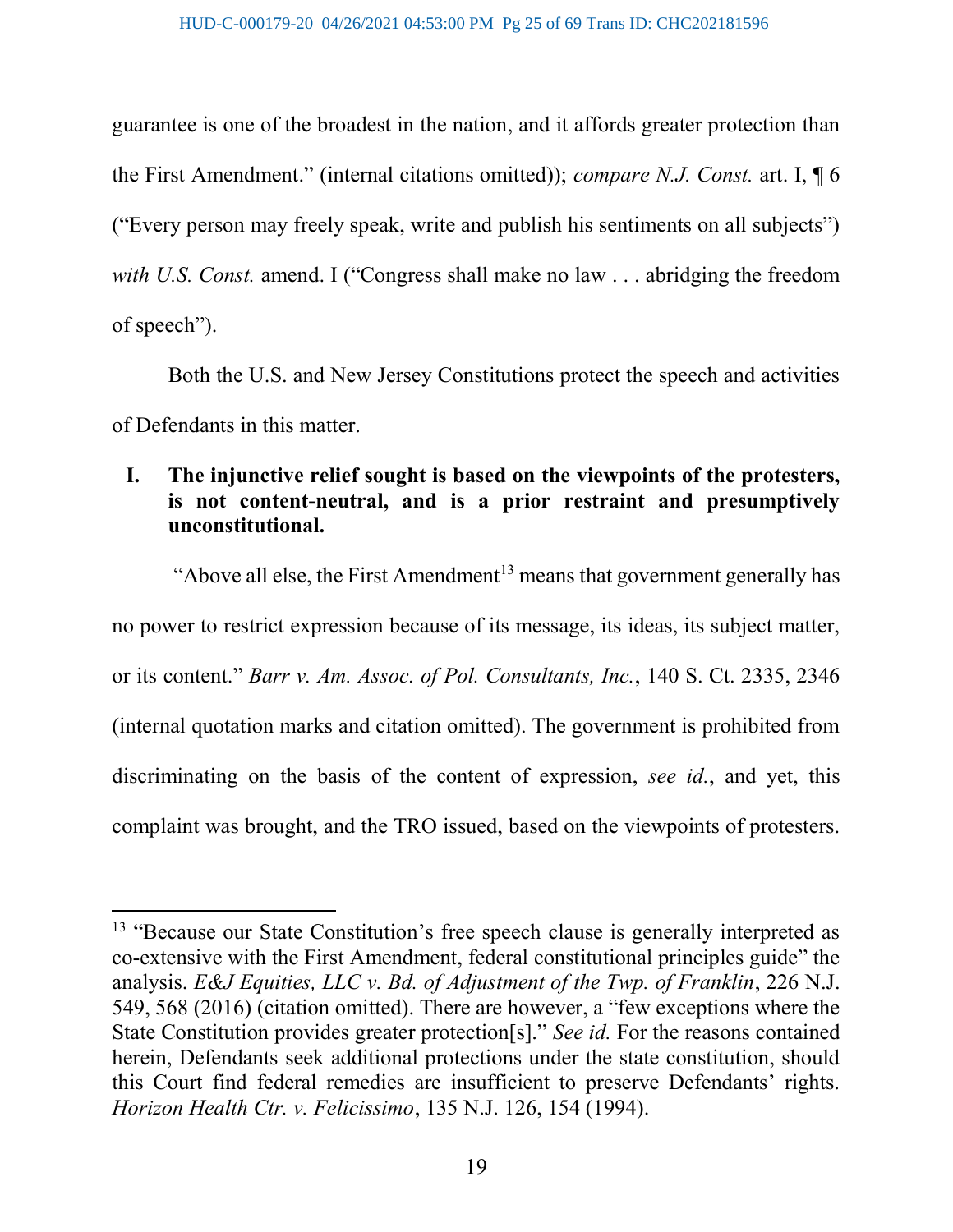guarantee is one of the broadest in the nation, and it affords greater protection than the First Amendment." (internal citations omitted)); compare N.J. Const. art. I, ¶ 6 ("Every person may freely speak, write and publish his sentiments on all subjects") with U.S. Const. amend. I ("Congress shall make no law . . . abridging the freedom of speech").

Both the U.S. and New Jersey Constitutions protect the speech and activities of Defendants in this matter.

# I. The injunctive relief sought is based on the viewpoints of the protesters, is not content-neutral, and is a prior restraint and presumptively unconstitutional.

"Above all else, the First Amendment<sup>13</sup> means that government generally has no power to restrict expression because of its message, its ideas, its subject matter, or its content." Barr v. Am. Assoc. of Pol. Consultants, Inc., 140 S. Ct. 2335, 2346 (internal quotation marks and citation omitted). The government is prohibited from discriminating on the basis of the content of expression, see id., and yet, this complaint was brought, and the TRO issued, based on the viewpoints of protesters.

<sup>&</sup>lt;sup>13</sup> "Because our State Constitution's free speech clause is generally interpreted as co-extensive with the First Amendment, federal constitutional principles guide" the analysis. E&J Equities, LLC v. Bd. of Adjustment of the Twp. of Franklin, 226 N.J. 549, 568 (2016) (citation omitted). There are however, a "few exceptions where the State Constitution provides greater protection[s]." See id. For the reasons contained herein, Defendants seek additional protections under the state constitution, should this Court find federal remedies are insufficient to preserve Defendants' rights. Horizon Health Ctr. v. Felicissimo, 135 N.J. 126, 154 (1994).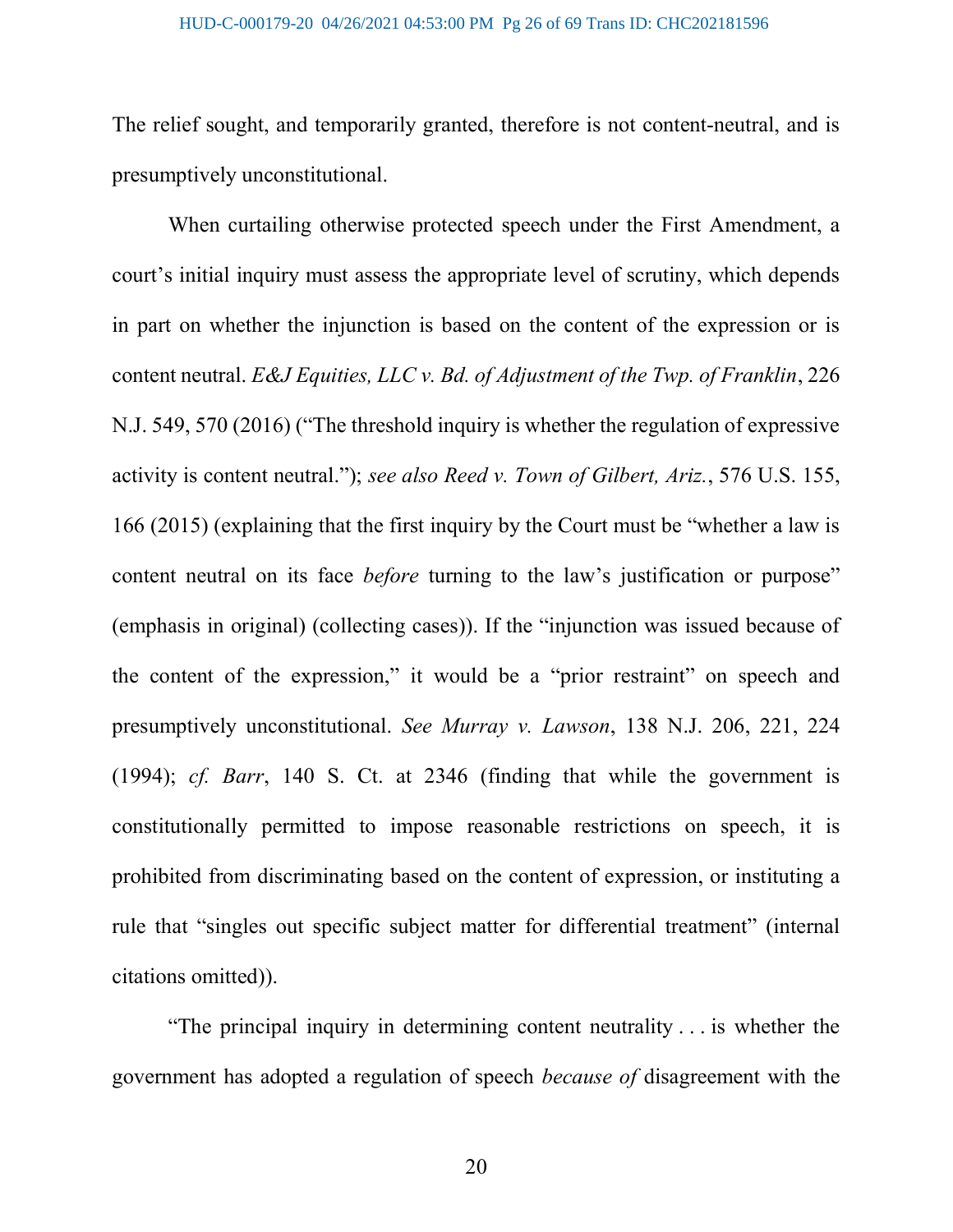The relief sought, and temporarily granted, therefore is not content-neutral, and is presumptively unconstitutional.

 When curtailing otherwise protected speech under the First Amendment, a court's initial inquiry must assess the appropriate level of scrutiny, which depends in part on whether the injunction is based on the content of the expression or is content neutral. E&J Equities, LLC v. Bd. of Adjustment of the Twp. of Franklin, 226 N.J. 549, 570 (2016) ("The threshold inquiry is whether the regulation of expressive activity is content neutral."); see also Reed v. Town of Gilbert, Ariz., 576 U.S. 155, 166 (2015) (explaining that the first inquiry by the Court must be "whether a law is content neutral on its face *before* turning to the law's justification or purpose" (emphasis in original) (collecting cases)). If the "injunction was issued because of the content of the expression," it would be a "prior restraint" on speech and presumptively unconstitutional. See Murray v. Lawson, 138 N.J. 206, 221, 224 (1994); cf. Barr, 140 S. Ct. at 2346 (finding that while the government is constitutionally permitted to impose reasonable restrictions on speech, it is prohibited from discriminating based on the content of expression, or instituting a rule that "singles out specific subject matter for differential treatment" (internal citations omitted)).

"The principal inquiry in determining content neutrality . . . is whether the government has adopted a regulation of speech because of disagreement with the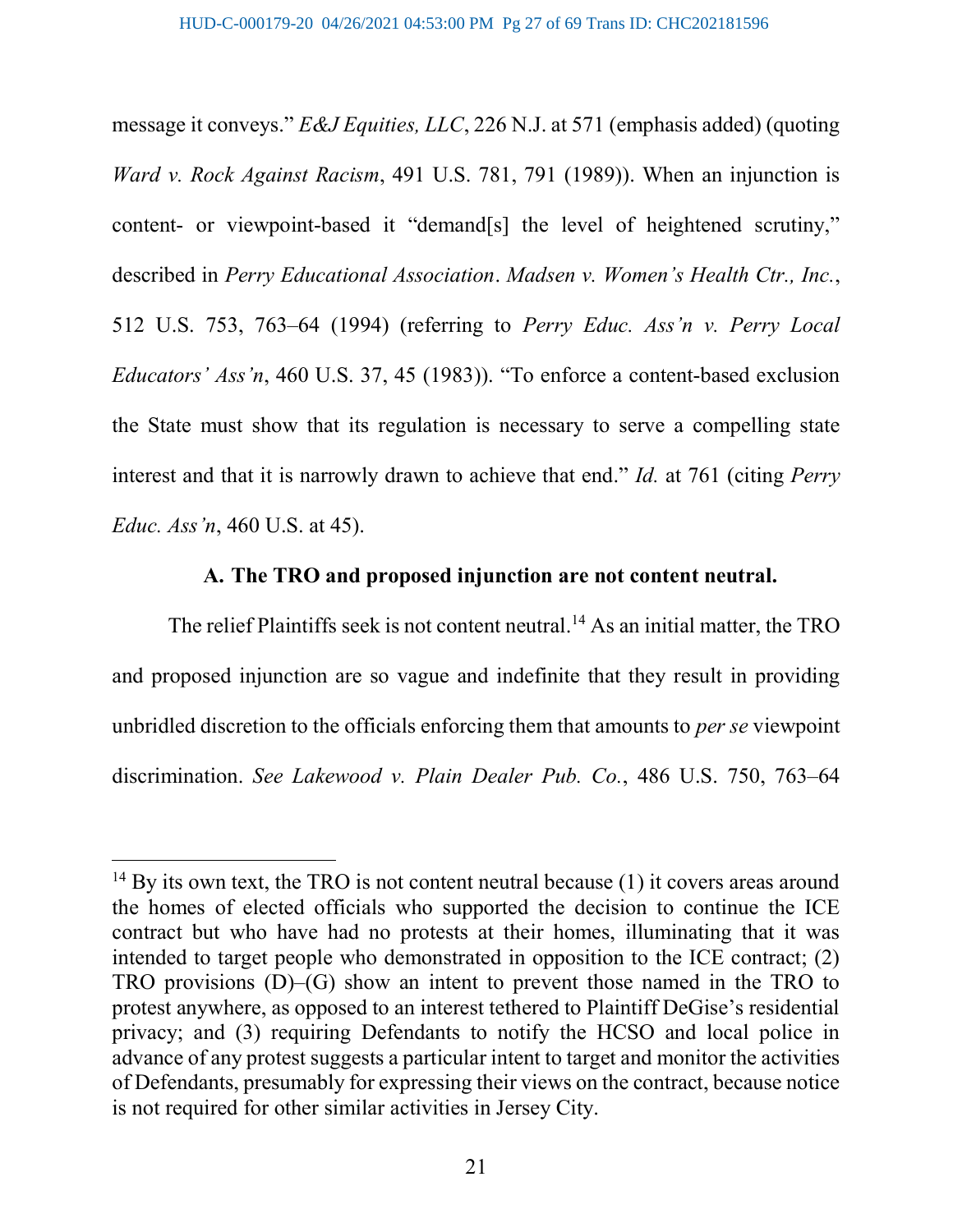message it conveys." E&J Equities, LLC, 226 N.J. at 571 (emphasis added) (quoting Ward v. Rock Against Racism, 491 U.S. 781, 791 (1989)). When an injunction is content- or viewpoint-based it "demand[s] the level of heightened scrutiny," described in Perry Educational Association. Madsen v. Women's Health Ctr., Inc., 512 U.S. 753, 763–64 (1994) (referring to Perry Educ. Ass'n v. Perry Local Educators' Ass'n, 460 U.S. 37, 45 (1983)). "To enforce a content-based exclusion the State must show that its regulation is necessary to serve a compelling state interest and that it is narrowly drawn to achieve that end." Id. at 761 (citing Perry Educ. Ass'n, 460 U.S. at 45).

### A. The TRO and proposed injunction are not content neutral.

The relief Plaintiffs seek is not content neutral.<sup>14</sup> As an initial matter, the TRO and proposed injunction are so vague and indefinite that they result in providing unbridled discretion to the officials enforcing them that amounts to per se viewpoint discrimination. See Lakewood v. Plain Dealer Pub. Co., 486 U.S. 750, 763–64

 $14$  By its own text, the TRO is not content neutral because (1) it covers areas around the homes of elected officials who supported the decision to continue the ICE contract but who have had no protests at their homes, illuminating that it was intended to target people who demonstrated in opposition to the ICE contract; (2) TRO provisions  $(D)$ – $(G)$  show an intent to prevent those named in the TRO to protest anywhere, as opposed to an interest tethered to Plaintiff DeGise's residential privacy; and (3) requiring Defendants to notify the HCSO and local police in advance of any protest suggests a particular intent to target and monitor the activities of Defendants, presumably for expressing their views on the contract, because notice is not required for other similar activities in Jersey City.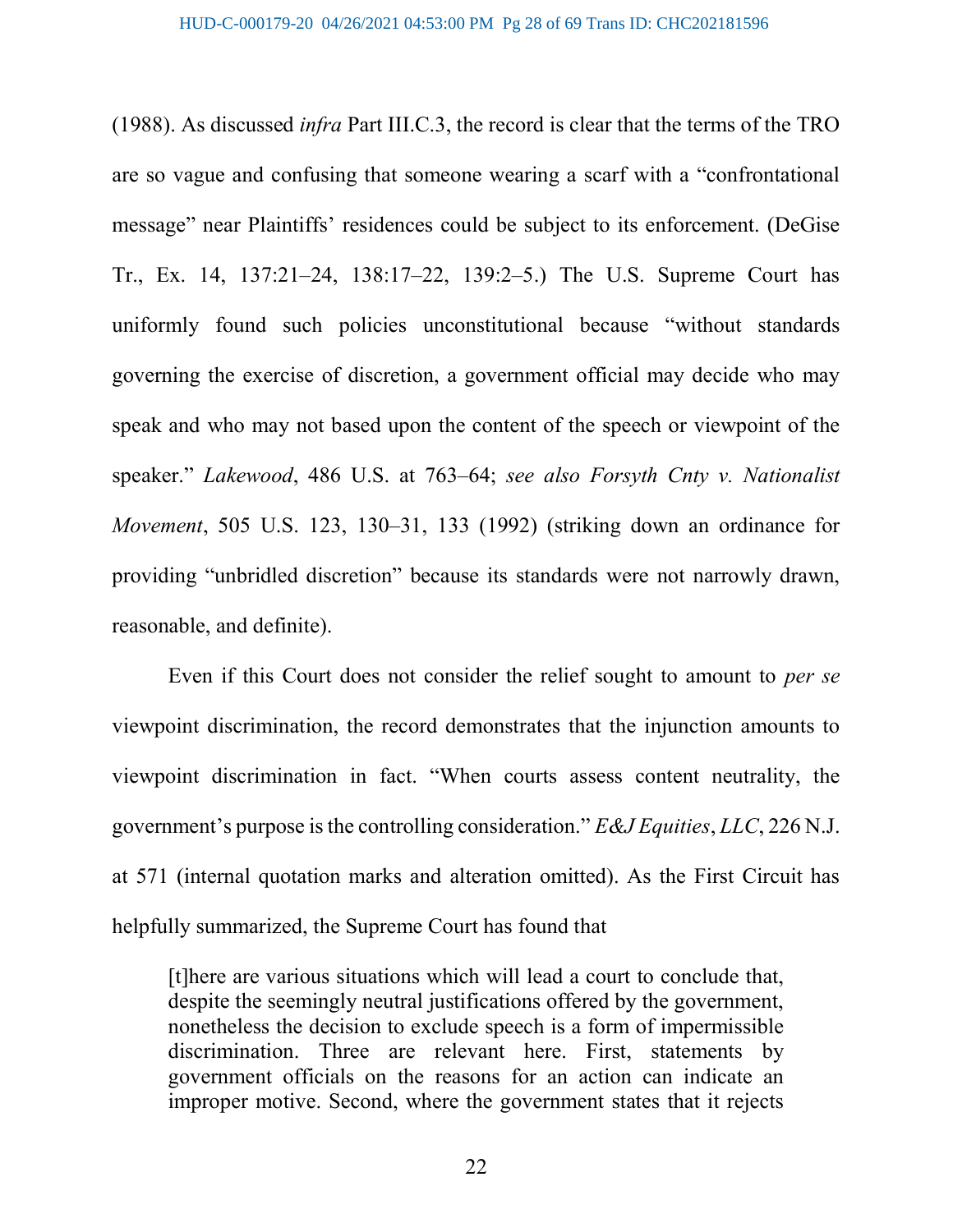(1988). As discussed infra Part III.C.3, the record is clear that the terms of the TRO are so vague and confusing that someone wearing a scarf with a "confrontational message" near Plaintiffs' residences could be subject to its enforcement. (DeGise Tr., Ex. 14, 137:21–24, 138:17–22, 139:2–5.) The U.S. Supreme Court has uniformly found such policies unconstitutional because "without standards governing the exercise of discretion, a government official may decide who may speak and who may not based upon the content of the speech or viewpoint of the speaker." Lakewood, 486 U.S. at 763–64; see also Forsyth Cnty v. Nationalist Movement, 505 U.S. 123, 130–31, 133 (1992) (striking down an ordinance for providing "unbridled discretion" because its standards were not narrowly drawn, reasonable, and definite).

Even if this Court does not consider the relief sought to amount to *per se* viewpoint discrimination, the record demonstrates that the injunction amounts to viewpoint discrimination in fact. "When courts assess content neutrality, the government's purpose is the controlling consideration." E&J Equities, LLC, 226 N.J. at 571 (internal quotation marks and alteration omitted). As the First Circuit has helpfully summarized, the Supreme Court has found that

[t]here are various situations which will lead a court to conclude that, despite the seemingly neutral justifications offered by the government, nonetheless the decision to exclude speech is a form of impermissible discrimination. Three are relevant here. First, statements by government officials on the reasons for an action can indicate an improper motive. Second, where the government states that it rejects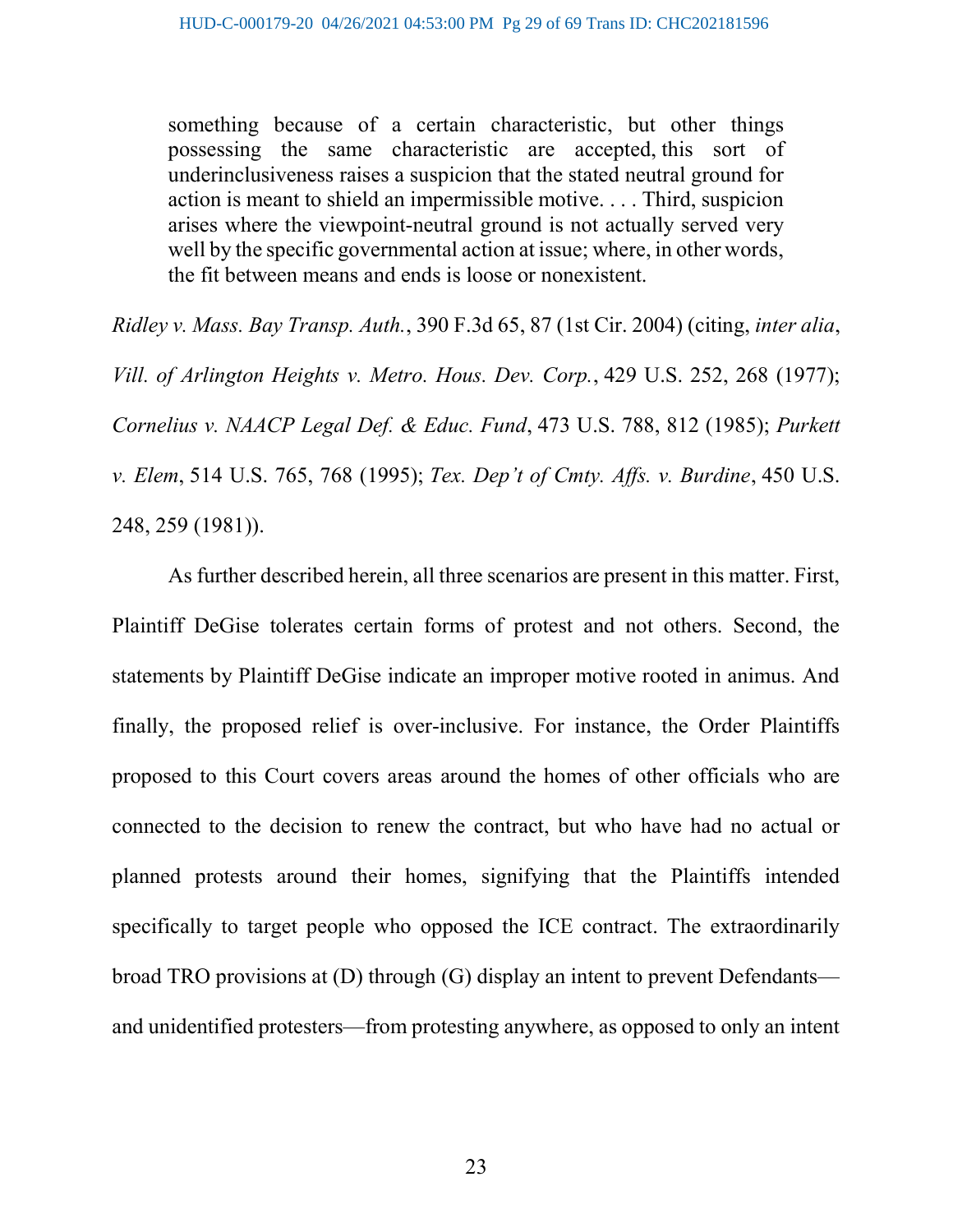something because of a certain characteristic, but other things possessing the same characteristic are accepted, this sort of underinclusiveness raises a suspicion that the stated neutral ground for action is meant to shield an impermissible motive. . . . Third, suspicion arises where the viewpoint-neutral ground is not actually served very well by the specific governmental action at issue; where, in other words, the fit between means and ends is loose or nonexistent.

Ridley v. Mass. Bay Transp. Auth., 390 F.3d 65, 87 (1st Cir. 2004) (citing, inter alia, Vill. of Arlington Heights v. Metro. Hous. Dev. Corp., 429 U.S. 252, 268 (1977); Cornelius v. NAACP Legal Def. & Educ. Fund, 473 U.S. 788, 812 (1985); Purkett v. Elem, 514 U.S. 765, 768 (1995); Tex. Dep't of Cmty. Affs. v. Burdine, 450 U.S. 248, 259 (1981)).

 As further described herein, all three scenarios are present in this matter. First, Plaintiff DeGise tolerates certain forms of protest and not others. Second, the statements by Plaintiff DeGise indicate an improper motive rooted in animus. And finally, the proposed relief is over-inclusive. For instance, the Order Plaintiffs proposed to this Court covers areas around the homes of other officials who are connected to the decision to renew the contract, but who have had no actual or planned protests around their homes, signifying that the Plaintiffs intended specifically to target people who opposed the ICE contract. The extraordinarily broad TRO provisions at (D) through (G) display an intent to prevent Defendants and unidentified protesters—from protesting anywhere, as opposed to only an intent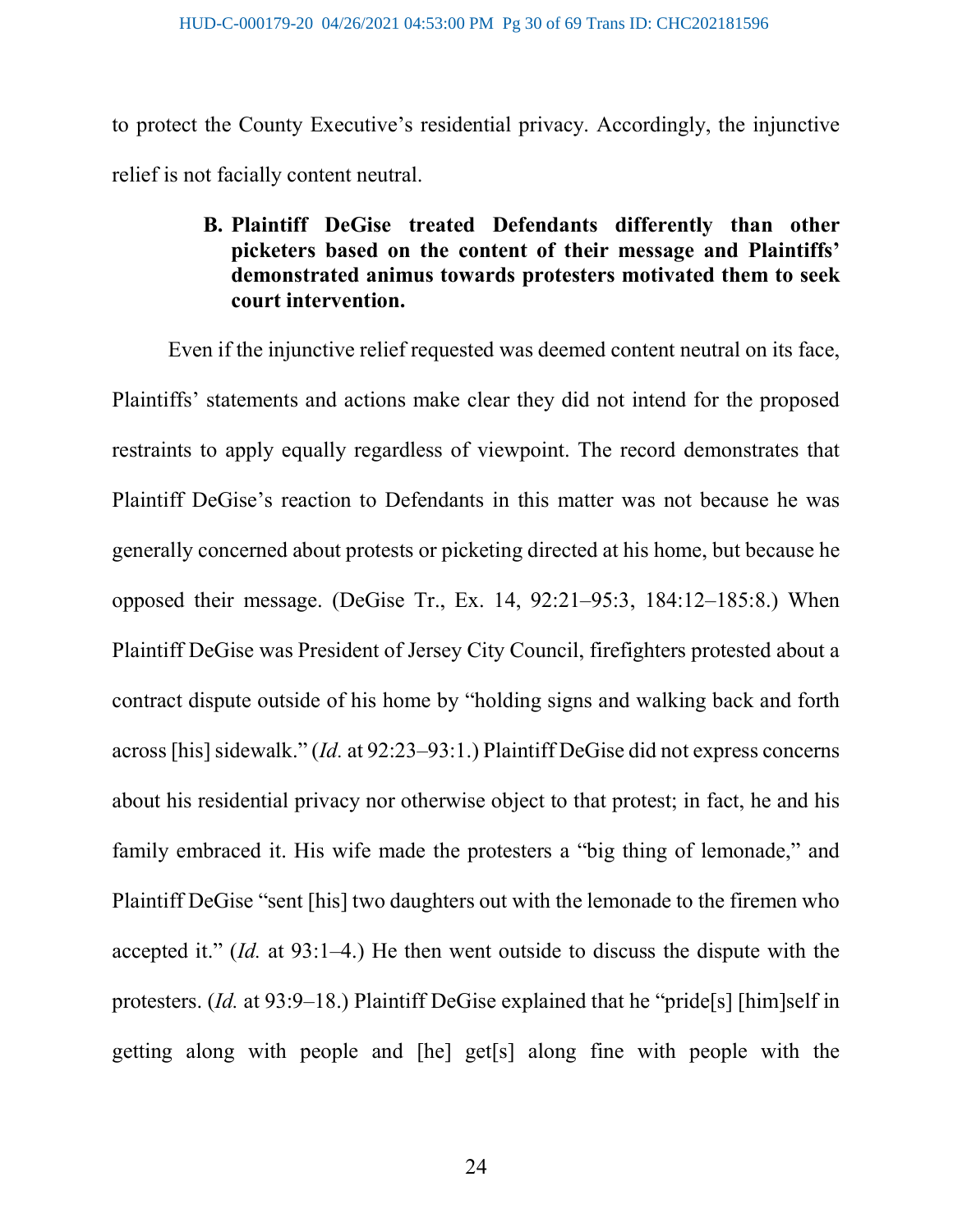to protect the County Executive's residential privacy. Accordingly, the injunctive relief is not facially content neutral.

# B. Plaintiff DeGise treated Defendants differently than other picketers based on the content of their message and Plaintiffs' demonstrated animus towards protesters motivated them to seek court intervention.

Even if the injunctive relief requested was deemed content neutral on its face, Plaintiffs' statements and actions make clear they did not intend for the proposed restraints to apply equally regardless of viewpoint. The record demonstrates that Plaintiff DeGise's reaction to Defendants in this matter was not because he was generally concerned about protests or picketing directed at his home, but because he opposed their message. (DeGise Tr., Ex. 14, 92:21–95:3, 184:12–185:8.) When Plaintiff DeGise was President of Jersey City Council, firefighters protested about a contract dispute outside of his home by "holding signs and walking back and forth across [his] sidewalk." (Id. at 92:23–93:1.) Plaintiff DeGise did not express concerns about his residential privacy nor otherwise object to that protest; in fact, he and his family embraced it. His wife made the protesters a "big thing of lemonade," and Plaintiff DeGise "sent [his] two daughters out with the lemonade to the firemen who accepted it." (Id. at 93:1–4.) He then went outside to discuss the dispute with the protesters. (Id. at 93:9–18.) Plaintiff DeGise explained that he "pride[s] [him]self in getting along with people and [he] get[s] along fine with people with the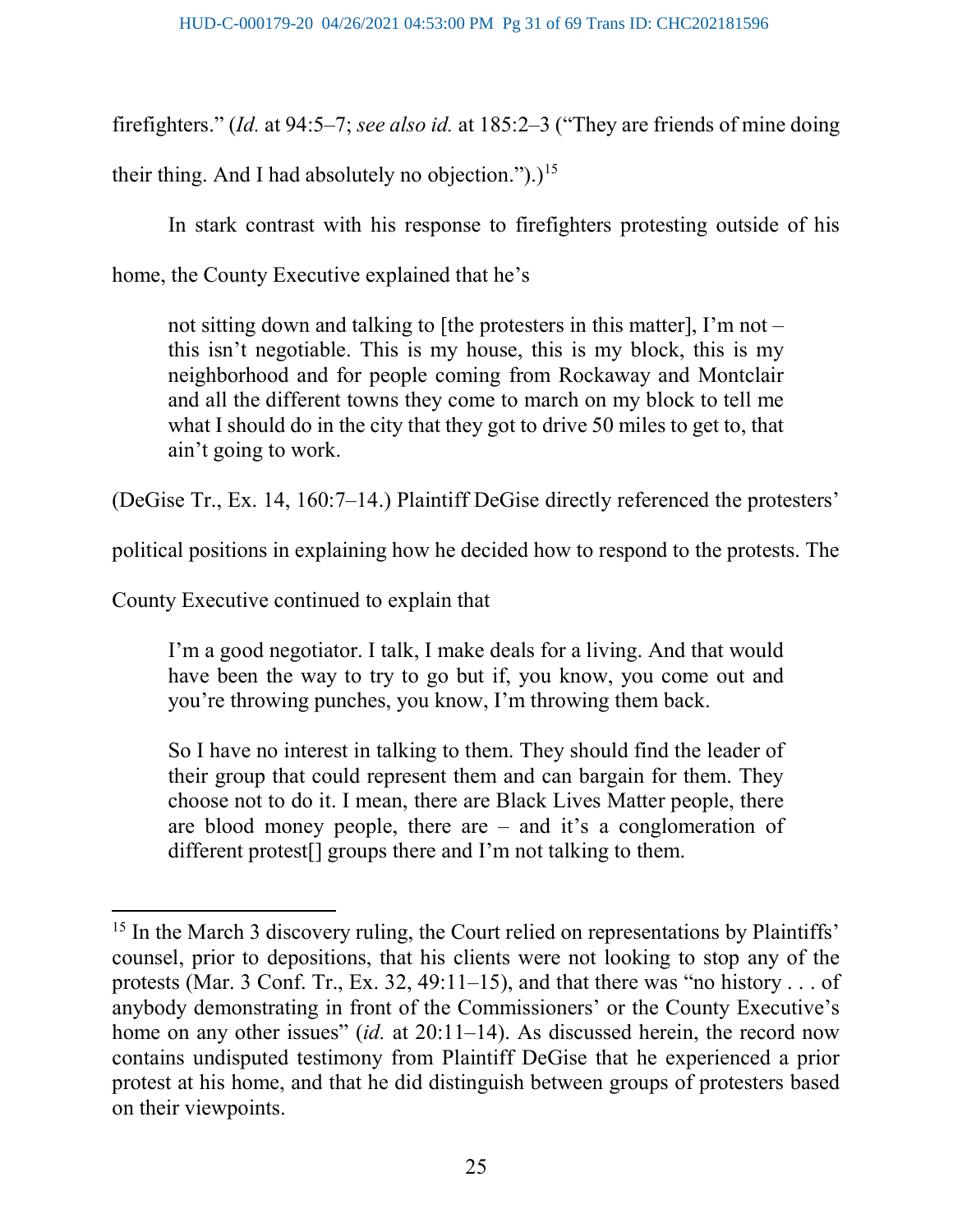firefighters." (Id. at 94:5–7; see also id. at 185:2–3 ("They are friends of mine doing

their thing. And I had absolutely no objection.").)<sup>15</sup>

In stark contrast with his response to firefighters protesting outside of his

home, the County Executive explained that he's

not sitting down and talking to [the protesters in this matter], I'm not – this isn't negotiable. This is my house, this is my block, this is my neighborhood and for people coming from Rockaway and Montclair and all the different towns they come to march on my block to tell me what I should do in the city that they got to drive 50 miles to get to, that ain't going to work.

(DeGise Tr., Ex. 14, 160:7–14.) Plaintiff DeGise directly referenced the protesters'

political positions in explaining how he decided how to respond to the protests. The

County Executive continued to explain that

 $\overline{a}$ 

I'm a good negotiator. I talk, I make deals for a living. And that would have been the way to try to go but if, you know, you come out and you're throwing punches, you know, I'm throwing them back.

So I have no interest in talking to them. They should find the leader of their group that could represent them and can bargain for them. They choose not to do it. I mean, there are Black Lives Matter people, there are blood money people, there are – and it's a conglomeration of different protest[] groups there and I'm not talking to them.

<sup>&</sup>lt;sup>15</sup> In the March 3 discovery ruling, the Court relied on representations by Plaintiffs' counsel, prior to depositions, that his clients were not looking to stop any of the protests (Mar. 3 Conf. Tr., Ex. 32, 49:11–15), and that there was "no history  $\dots$  of anybody demonstrating in front of the Commissioners' or the County Executive's home on any other issues" (id. at  $20:11-14$ ). As discussed herein, the record now contains undisputed testimony from Plaintiff DeGise that he experienced a prior protest at his home, and that he did distinguish between groups of protesters based on their viewpoints.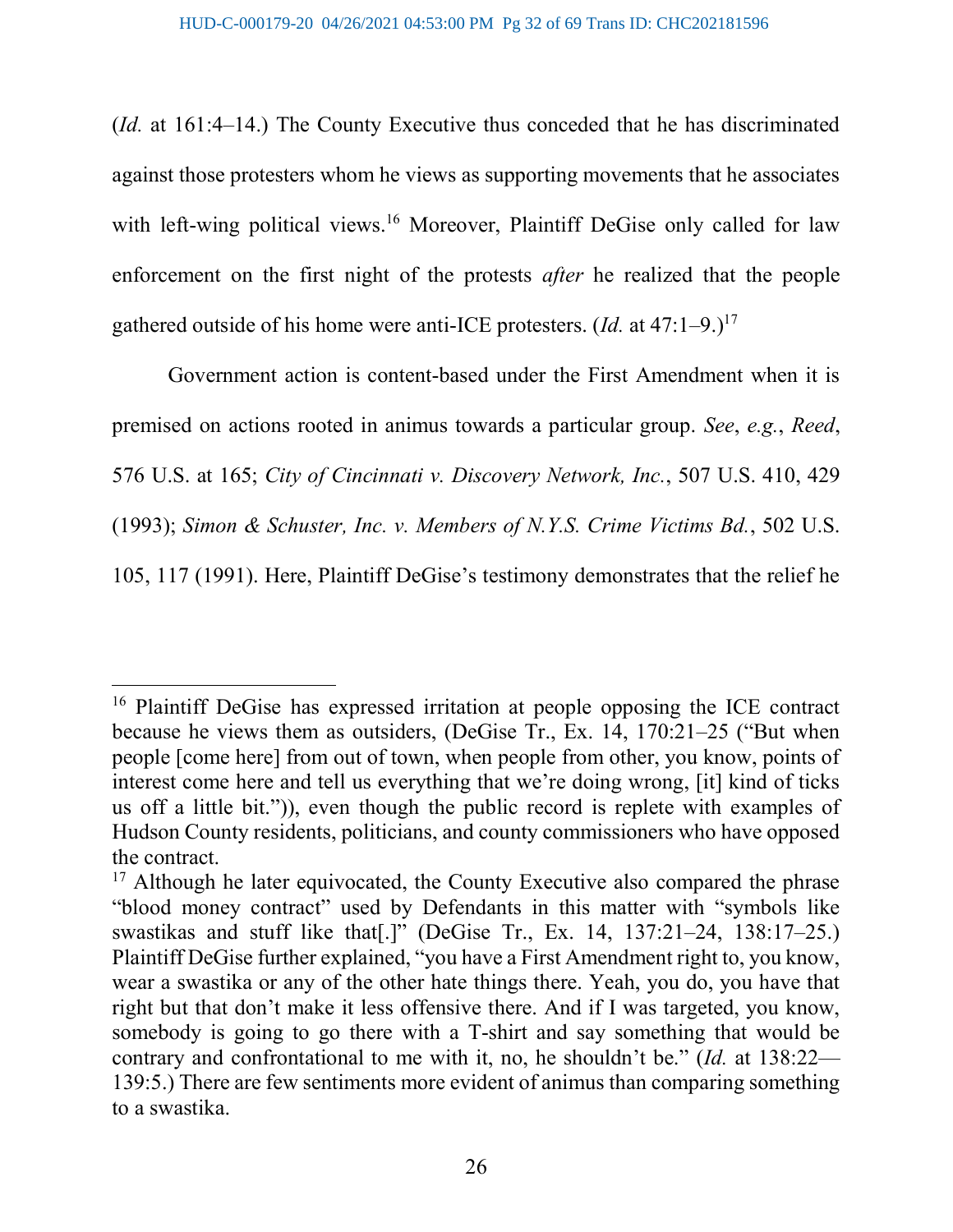(Id. at 161:4–14.) The County Executive thus conceded that he has discriminated against those protesters whom he views as supporting movements that he associates with left-wing political views.<sup>16</sup> Moreover, Plaintiff DeGise only called for law enforcement on the first night of the protests *after* he realized that the people gathered outside of his home were anti-ICE protesters.  $(Id.$  at  $47:1-9.$ )<sup>17</sup>

Government action is content-based under the First Amendment when it is premised on actions rooted in animus towards a particular group. See, e.g., Reed, 576 U.S. at 165; City of Cincinnati v. Discovery Network, Inc., 507 U.S. 410, 429 (1993); Simon & Schuster, Inc. v. Members of N.Y.S. Crime Victims Bd., 502 U.S. 105, 117 (1991). Here, Plaintiff DeGise's testimony demonstrates that the relief he

<sup>&</sup>lt;sup>16</sup> Plaintiff DeGise has expressed irritation at people opposing the ICE contract because he views them as outsiders, (DeGise Tr., Ex. 14, 170:21–25 ("But when people [come here] from out of town, when people from other, you know, points of interest come here and tell us everything that we're doing wrong, [it] kind of ticks us off a little bit.")), even though the public record is replete with examples of Hudson County residents, politicians, and county commissioners who have opposed the contract.

 $17$  Although he later equivocated, the County Executive also compared the phrase "blood money contract" used by Defendants in this matter with "symbols like swastikas and stuff like that[.]" (DeGise Tr., Ex. 14, 137:21–24, 138:17–25.) Plaintiff DeGise further explained, "you have a First Amendment right to, you know, wear a swastika or any of the other hate things there. Yeah, you do, you have that right but that don't make it less offensive there. And if I was targeted, you know, somebody is going to go there with a T-shirt and say something that would be contrary and confrontational to me with it, no, he shouldn't be." (Id. at 138:22— 139:5.) There are few sentiments more evident of animus than comparing something to a swastika.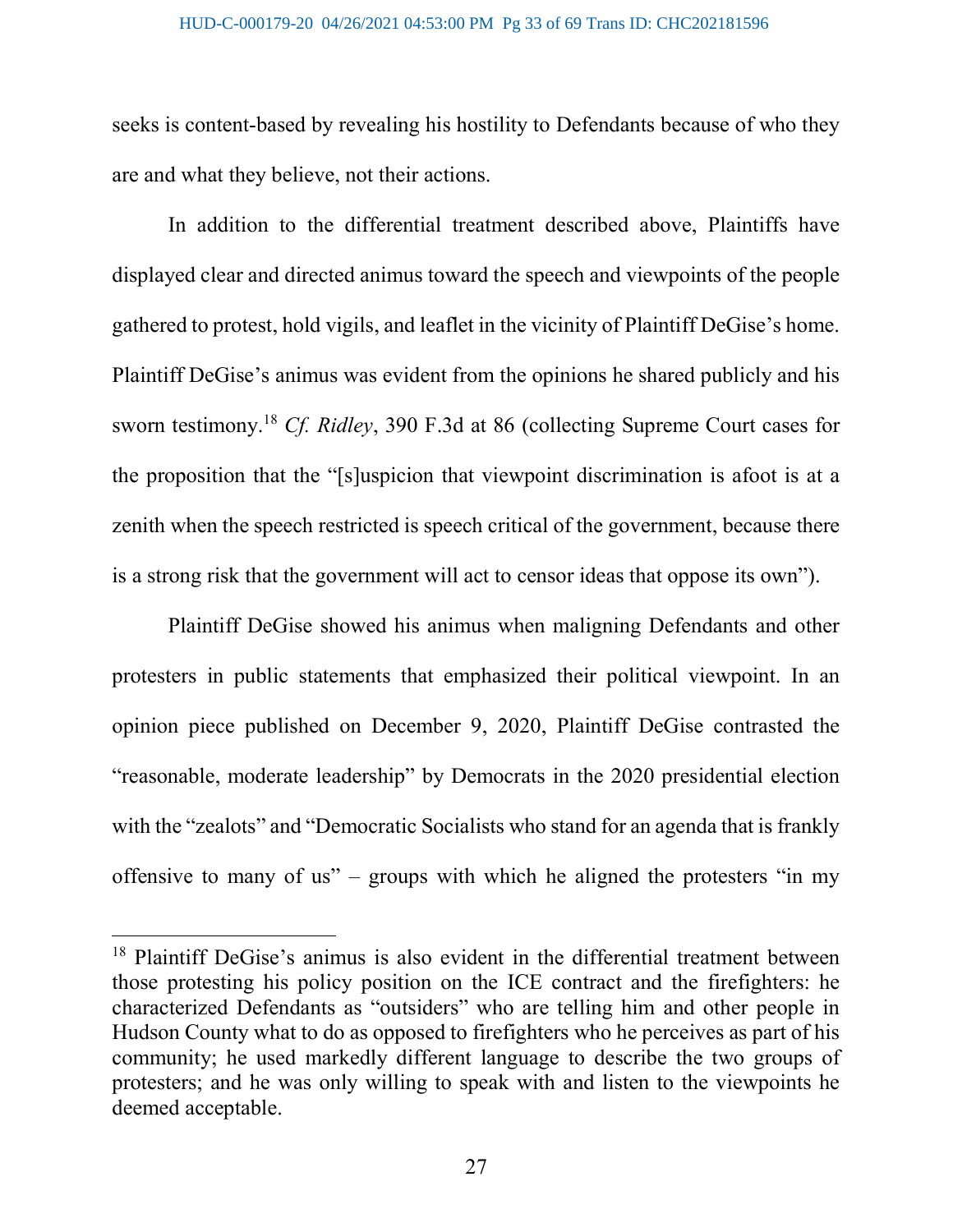seeks is content-based by revealing his hostility to Defendants because of who they are and what they believe, not their actions.

In addition to the differential treatment described above, Plaintiffs have displayed clear and directed animus toward the speech and viewpoints of the people gathered to protest, hold vigils, and leaflet in the vicinity of Plaintiff DeGise's home. Plaintiff DeGise's animus was evident from the opinions he shared publicly and his sworn testimony.<sup>18</sup> Cf. Ridley, 390 F.3d at 86 (collecting Supreme Court cases for the proposition that the "[s]uspicion that viewpoint discrimination is afoot is at a zenith when the speech restricted is speech critical of the government, because there is a strong risk that the government will act to censor ideas that oppose its own").

Plaintiff DeGise showed his animus when maligning Defendants and other protesters in public statements that emphasized their political viewpoint. In an opinion piece published on December 9, 2020, Plaintiff DeGise contrasted the "reasonable, moderate leadership" by Democrats in the 2020 presidential election with the "zealots" and "Democratic Socialists who stand for an agenda that is frankly offensive to many of us" – groups with which he aligned the protesters "in my

<sup>18</sup> Plaintiff DeGise's animus is also evident in the differential treatment between those protesting his policy position on the ICE contract and the firefighters: he characterized Defendants as "outsiders" who are telling him and other people in Hudson County what to do as opposed to firefighters who he perceives as part of his community; he used markedly different language to describe the two groups of protesters; and he was only willing to speak with and listen to the viewpoints he deemed acceptable.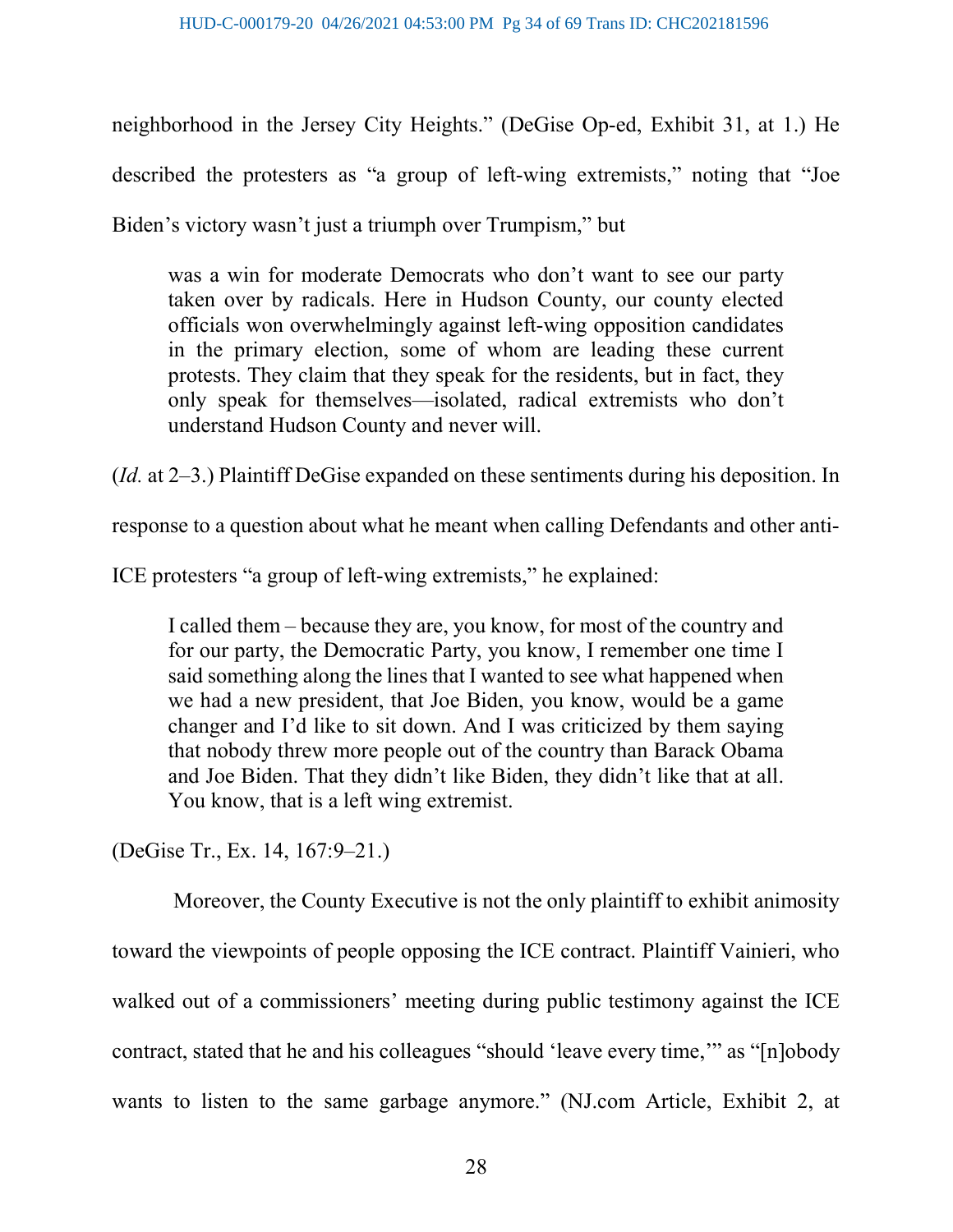neighborhood in the Jersey City Heights." (DeGise Op-ed, Exhibit 31, at 1.) He described the protesters as "a group of left-wing extremists," noting that "Joe Biden's victory wasn't just a triumph over Trumpism," but

was a win for moderate Democrats who don't want to see our party taken over by radicals. Here in Hudson County, our county elected officials won overwhelmingly against left-wing opposition candidates in the primary election, some of whom are leading these current protests. They claim that they speak for the residents, but in fact, they only speak for themselves—isolated, radical extremists who don't understand Hudson County and never will.

(Id. at 2–3.) Plaintiff DeGise expanded on these sentiments during his deposition. In

response to a question about what he meant when calling Defendants and other anti-

ICE protesters "a group of left-wing extremists," he explained:

I called them – because they are, you know, for most of the country and for our party, the Democratic Party, you know, I remember one time I said something along the lines that I wanted to see what happened when we had a new president, that Joe Biden, you know, would be a game changer and I'd like to sit down. And I was criticized by them saying that nobody threw more people out of the country than Barack Obama and Joe Biden. That they didn't like Biden, they didn't like that at all. You know, that is a left wing extremist.

(DeGise Tr., Ex. 14, 167:9–21.)

 Moreover, the County Executive is not the only plaintiff to exhibit animosity toward the viewpoints of people opposing the ICE contract. Plaintiff Vainieri, who walked out of a commissioners' meeting during public testimony against the ICE contract, stated that he and his colleagues "should 'leave every time,'" as "[n]obody wants to listen to the same garbage anymore." (NJ.com Article, Exhibit 2, at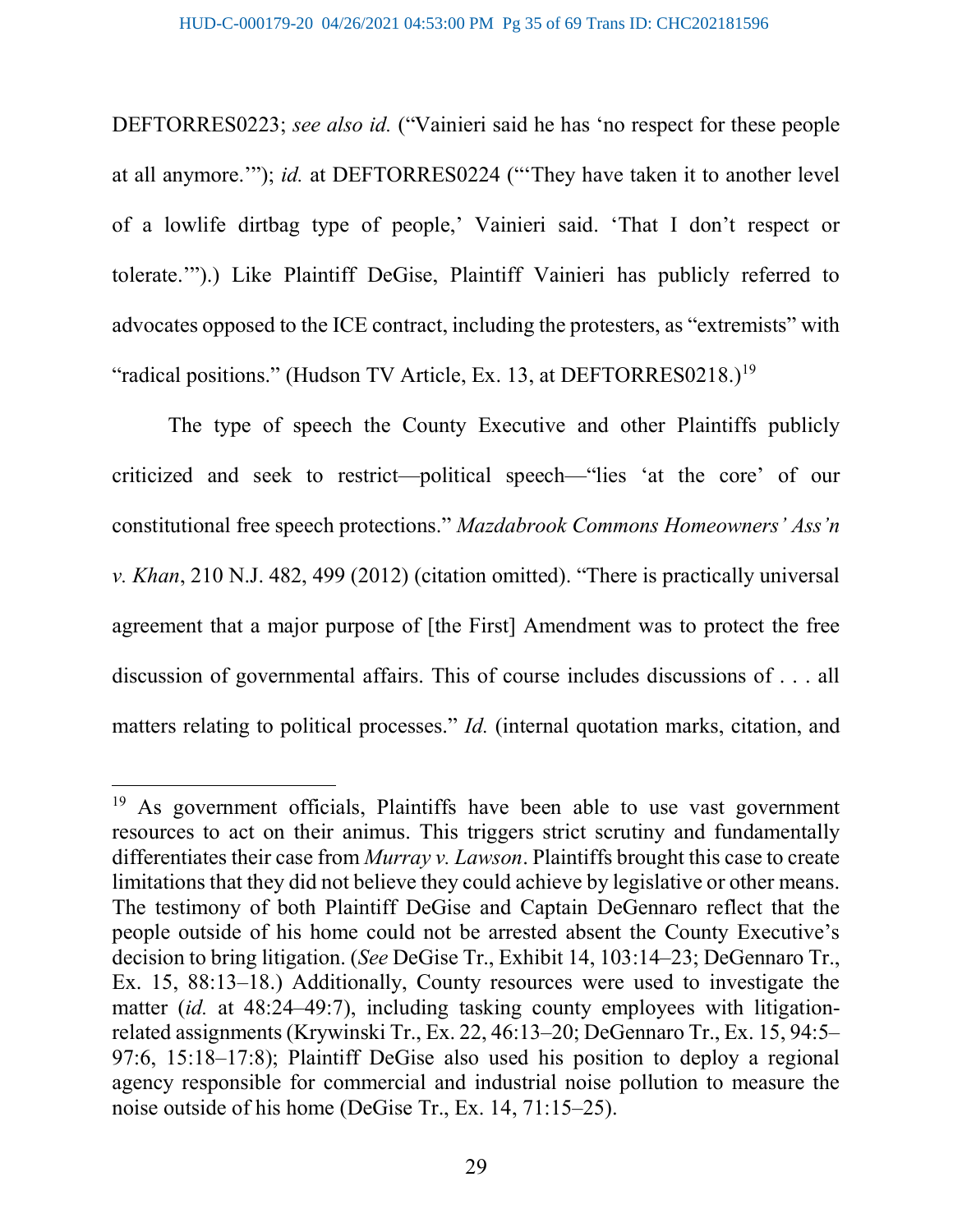DEFTORRES0223; see also id. ("Vainieri said he has 'no respect for these people at all anymore.'"); id. at DEFTORRES0224 ("'They have taken it to another level of a lowlife dirtbag type of people,' Vainieri said. 'That I don't respect or tolerate.'").) Like Plaintiff DeGise, Plaintiff Vainieri has publicly referred to advocates opposed to the ICE contract, including the protesters, as "extremists" with "radical positions." (Hudson TV Article, Ex. 13, at DEFTORRES0218.)<sup>19</sup>

The type of speech the County Executive and other Plaintiffs publicly criticized and seek to restrict—political speech—"lies 'at the core' of our constitutional free speech protections." Mazdabrook Commons Homeowners' Ass'n v. Khan, 210 N.J. 482, 499 (2012) (citation omitted). "There is practically universal agreement that a major purpose of [the First] Amendment was to protect the free discussion of governmental affairs. This of course includes discussions of . . . all matters relating to political processes." *Id.* (internal quotation marks, citation, and

 $19$  As government officials, Plaintiffs have been able to use vast government resources to act on their animus. This triggers strict scrutiny and fundamentally differentiates their case from *Murray v. Lawson*. Plaintiffs brought this case to create limitations that they did not believe they could achieve by legislative or other means. The testimony of both Plaintiff DeGise and Captain DeGennaro reflect that the people outside of his home could not be arrested absent the County Executive's decision to bring litigation. (See DeGise Tr., Exhibit 14, 103:14–23; DeGennaro Tr., Ex. 15, 88:13–18.) Additionally, County resources were used to investigate the matter (id. at 48:24–49:7), including tasking county employees with litigationrelated assignments (Krywinski Tr., Ex. 22, 46:13–20; DeGennaro Tr., Ex. 15, 94:5– 97:6, 15:18–17:8); Plaintiff DeGise also used his position to deploy a regional agency responsible for commercial and industrial noise pollution to measure the noise outside of his home (DeGise Tr., Ex. 14, 71:15–25).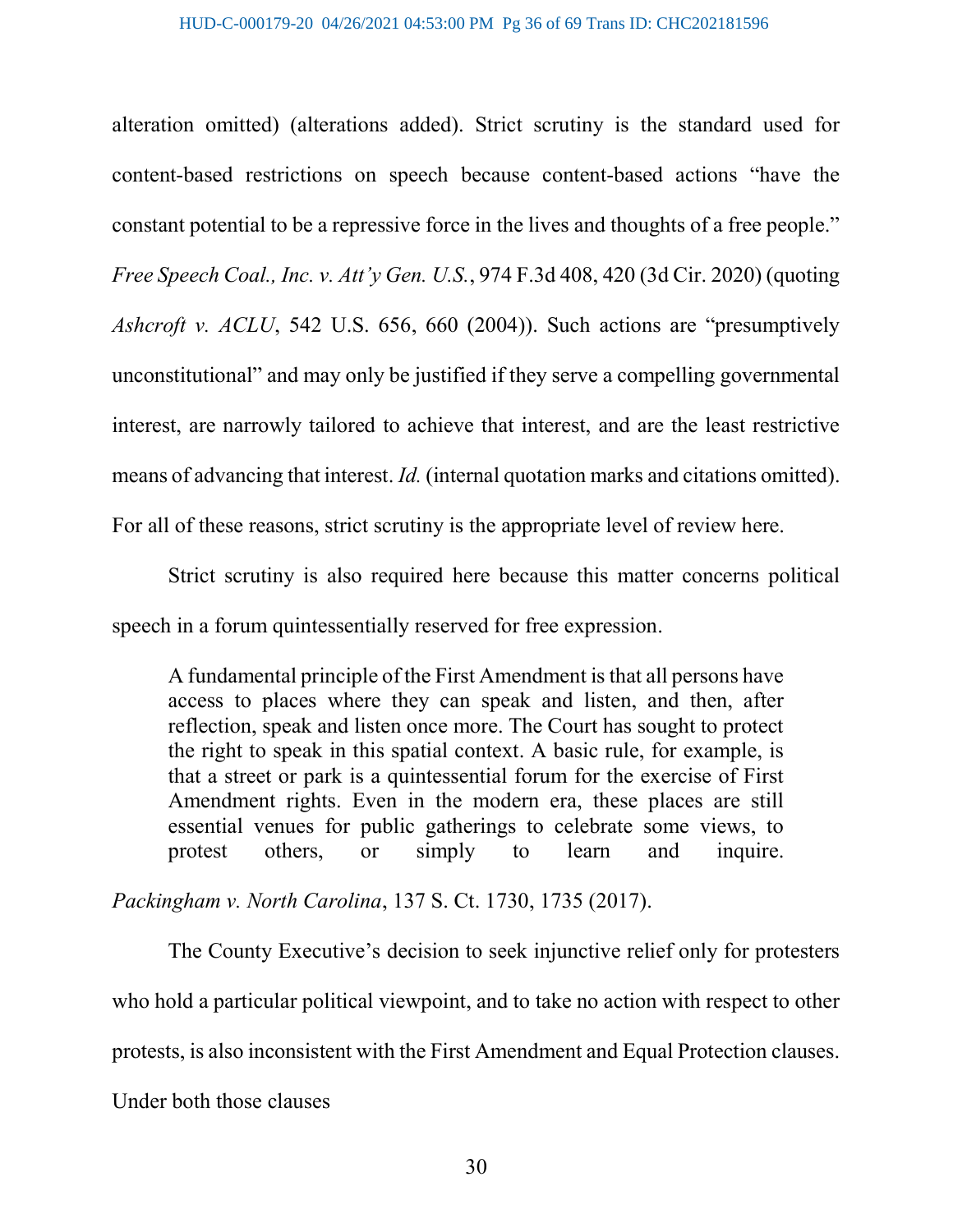alteration omitted) (alterations added). Strict scrutiny is the standard used for content-based restrictions on speech because content-based actions "have the constant potential to be a repressive force in the lives and thoughts of a free people." Free Speech Coal., Inc. v. Att'y Gen. U.S., 974 F.3d 408, 420 (3d Cir. 2020) (quoting Ashcroft v. ACLU, 542 U.S. 656, 660 (2004)). Such actions are "presumptively unconstitutional" and may only be justified if they serve a compelling governmental interest, are narrowly tailored to achieve that interest, and are the least restrictive means of advancing that interest. Id. (internal quotation marks and citations omitted). For all of these reasons, strict scrutiny is the appropriate level of review here.

Strict scrutiny is also required here because this matter concerns political speech in a forum quintessentially reserved for free expression.

A fundamental principle of the First Amendment is that all persons have access to places where they can speak and listen, and then, after reflection, speak and listen once more. The Court has sought to protect the right to speak in this spatial context. A basic rule, for example, is that a street or park is a quintessential forum for the exercise of First Amendment rights. Even in the modern era, these places are still essential venues for public gatherings to celebrate some views, to protest others, or simply to learn and inquire.

Packingham v. North Carolina, 137 S. Ct. 1730, 1735 (2017).

The County Executive's decision to seek injunctive relief only for protesters who hold a particular political viewpoint, and to take no action with respect to other protests, is also inconsistent with the First Amendment and Equal Protection clauses.

Under both those clauses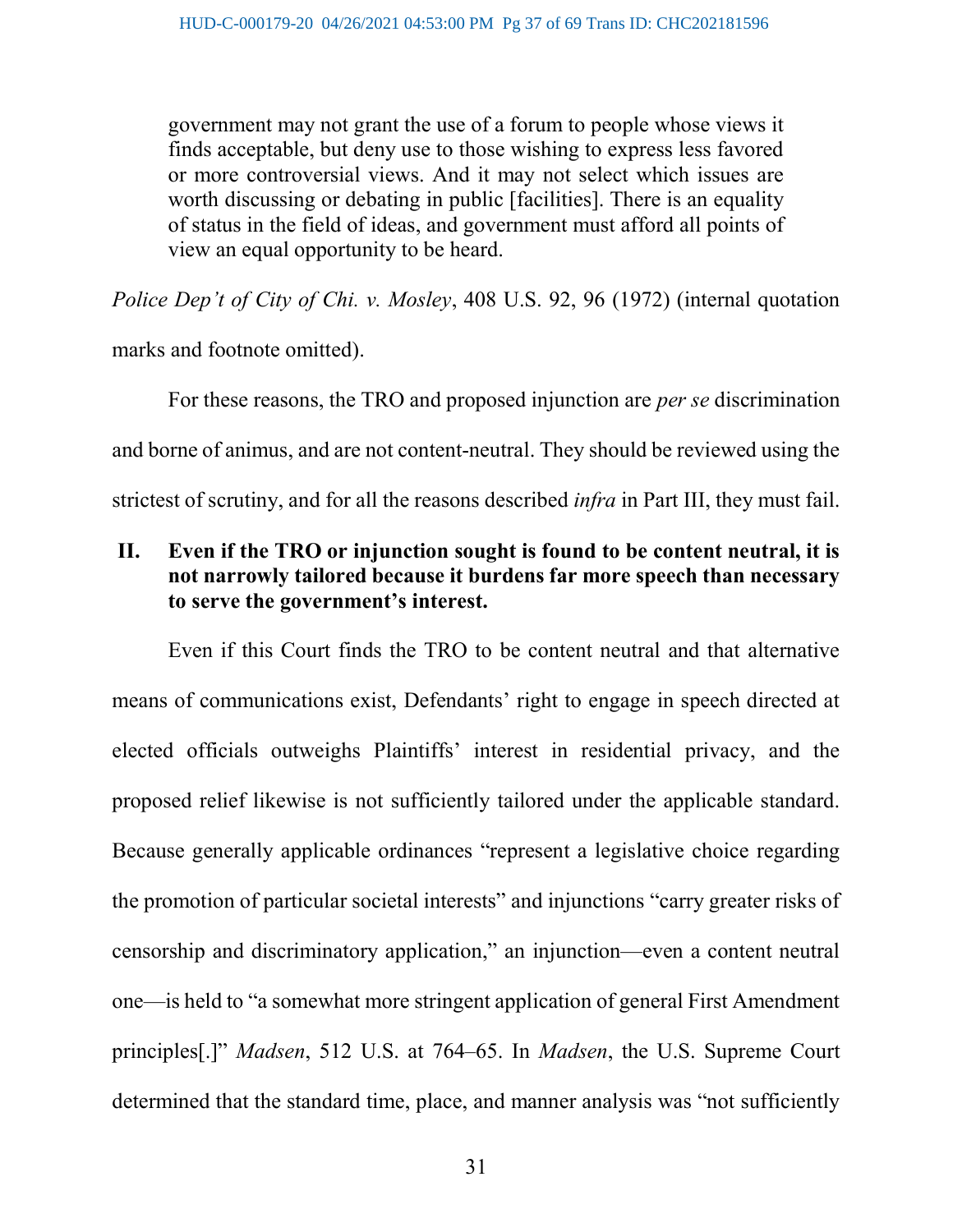government may not grant the use of a forum to people whose views it finds acceptable, but deny use to those wishing to express less favored or more controversial views. And it may not select which issues are worth discussing or debating in public [facilities]. There is an equality of status in the field of ideas, and government must afford all points of view an equal opportunity to be heard.

Police Dep't of City of Chi. v. Mosley, 408 U.S. 92, 96 (1972) (internal quotation

marks and footnote omitted).

For these reasons, the TRO and proposed injunction are *per se* discrimination and borne of animus, and are not content-neutral. They should be reviewed using the strictest of scrutiny, and for all the reasons described infra in Part III, they must fail.

# II. Even if the TRO or injunction sought is found to be content neutral, it is not narrowly tailored because it burdens far more speech than necessary to serve the government's interest.

Even if this Court finds the TRO to be content neutral and that alternative means of communications exist, Defendants' right to engage in speech directed at elected officials outweighs Plaintiffs' interest in residential privacy, and the proposed relief likewise is not sufficiently tailored under the applicable standard. Because generally applicable ordinances "represent a legislative choice regarding the promotion of particular societal interests" and injunctions "carry greater risks of censorship and discriminatory application," an injunction—even a content neutral one—is held to "a somewhat more stringent application of general First Amendment principles[.]" Madsen, 512 U.S. at 764–65. In Madsen, the U.S. Supreme Court determined that the standard time, place, and manner analysis was "not sufficiently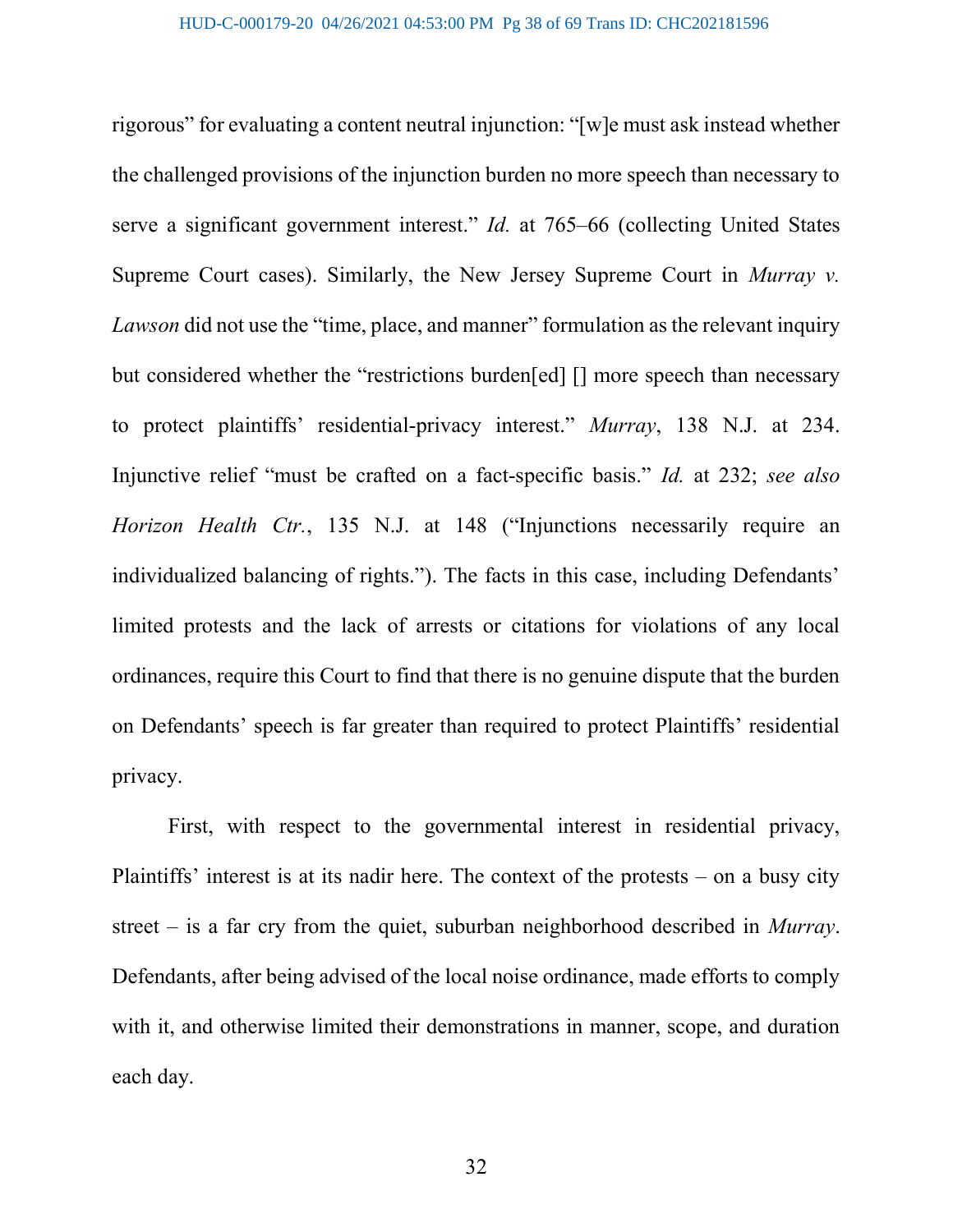rigorous" for evaluating a content neutral injunction: "[w]e must ask instead whether the challenged provisions of the injunction burden no more speech than necessary to serve a significant government interest." *Id.* at 765–66 (collecting United States Supreme Court cases). Similarly, the New Jersey Supreme Court in *Murray v.* Lawson did not use the "time, place, and manner" formulation as the relevant inquiry but considered whether the "restrictions burden[ed] [] more speech than necessary to protect plaintiffs' residential-privacy interest." Murray, 138 N.J. at 234. Injunctive relief "must be crafted on a fact-specific basis." Id. at 232; see also Horizon Health Ctr., 135 N.J. at 148 ("Injunctions necessarily require an individualized balancing of rights."). The facts in this case, including Defendants' limited protests and the lack of arrests or citations for violations of any local ordinances, require this Court to find that there is no genuine dispute that the burden on Defendants' speech is far greater than required to protect Plaintiffs' residential privacy.

First, with respect to the governmental interest in residential privacy, Plaintiffs' interest is at its nadir here. The context of the protests – on a busy city street – is a far cry from the quiet, suburban neighborhood described in Murray. Defendants, after being advised of the local noise ordinance, made efforts to comply with it, and otherwise limited their demonstrations in manner, scope, and duration each day.

32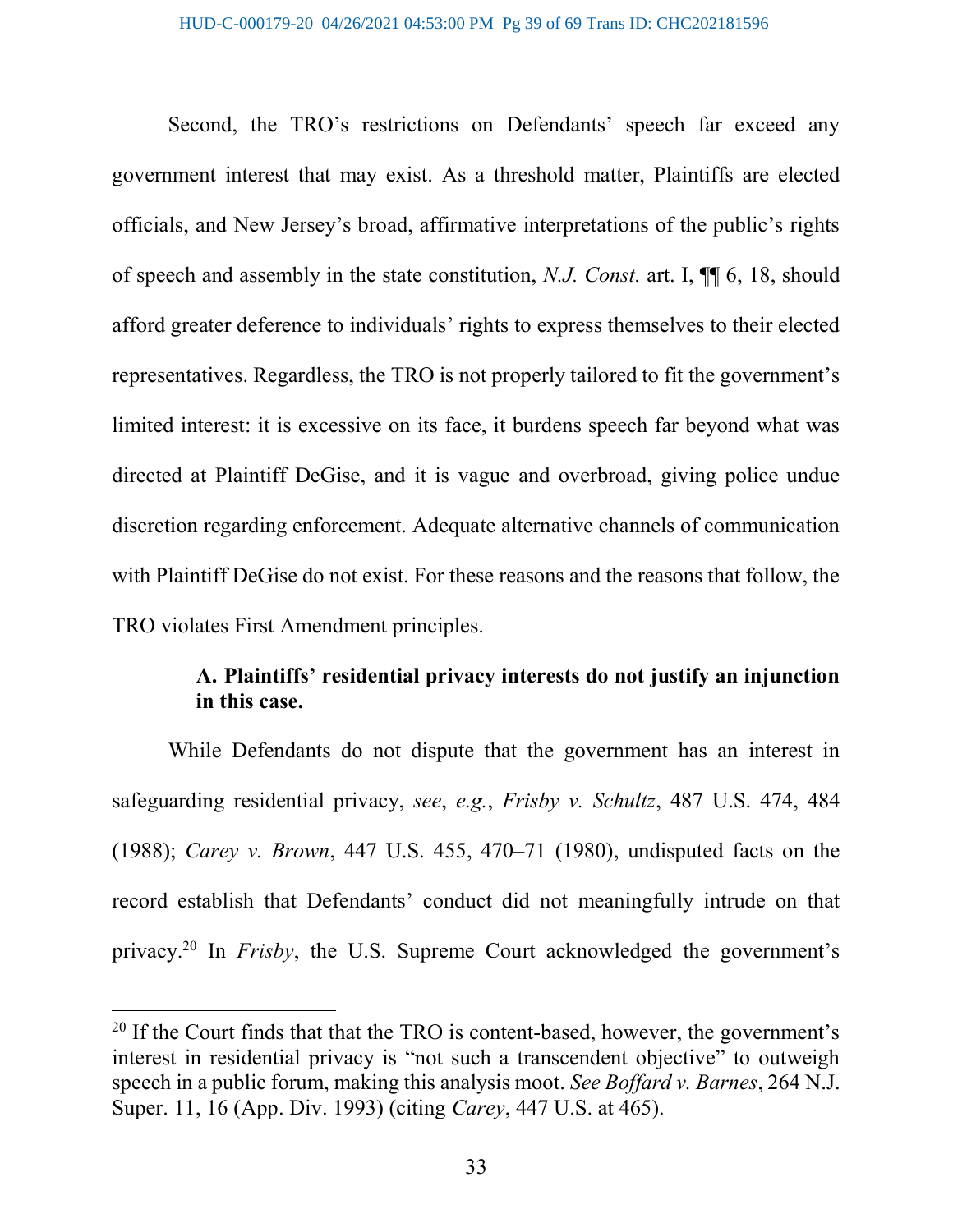Second, the TRO's restrictions on Defendants' speech far exceed any government interest that may exist. As a threshold matter, Plaintiffs are elected officials, and New Jersey's broad, affirmative interpretations of the public's rights of speech and assembly in the state constitution, N.J. Const. art. I, ¶¶ 6, 18, should afford greater deference to individuals' rights to express themselves to their elected representatives. Regardless, the TRO is not properly tailored to fit the government's limited interest: it is excessive on its face, it burdens speech far beyond what was directed at Plaintiff DeGise, and it is vague and overbroad, giving police undue discretion regarding enforcement. Adequate alternative channels of communication with Plaintiff DeGise do not exist. For these reasons and the reasons that follow, the TRO violates First Amendment principles.

# A. Plaintiffs' residential privacy interests do not justify an injunction in this case.

While Defendants do not dispute that the government has an interest in safeguarding residential privacy, see, e.g., Frisby v. Schultz, 487 U.S. 474, 484 (1988); Carey v. Brown, 447 U.S. 455, 470–71 (1980), undisputed facts on the record establish that Defendants' conduct did not meaningfully intrude on that privacy.<sup>20</sup> In *Frisby*, the U.S. Supreme Court acknowledged the government's

 $20$  If the Court finds that that the TRO is content-based, however, the government's interest in residential privacy is "not such a transcendent objective" to outweigh speech in a public forum, making this analysis moot. See Boffard v. Barnes, 264 N.J. Super. 11, 16 (App. Div. 1993) (citing Carey, 447 U.S. at 465).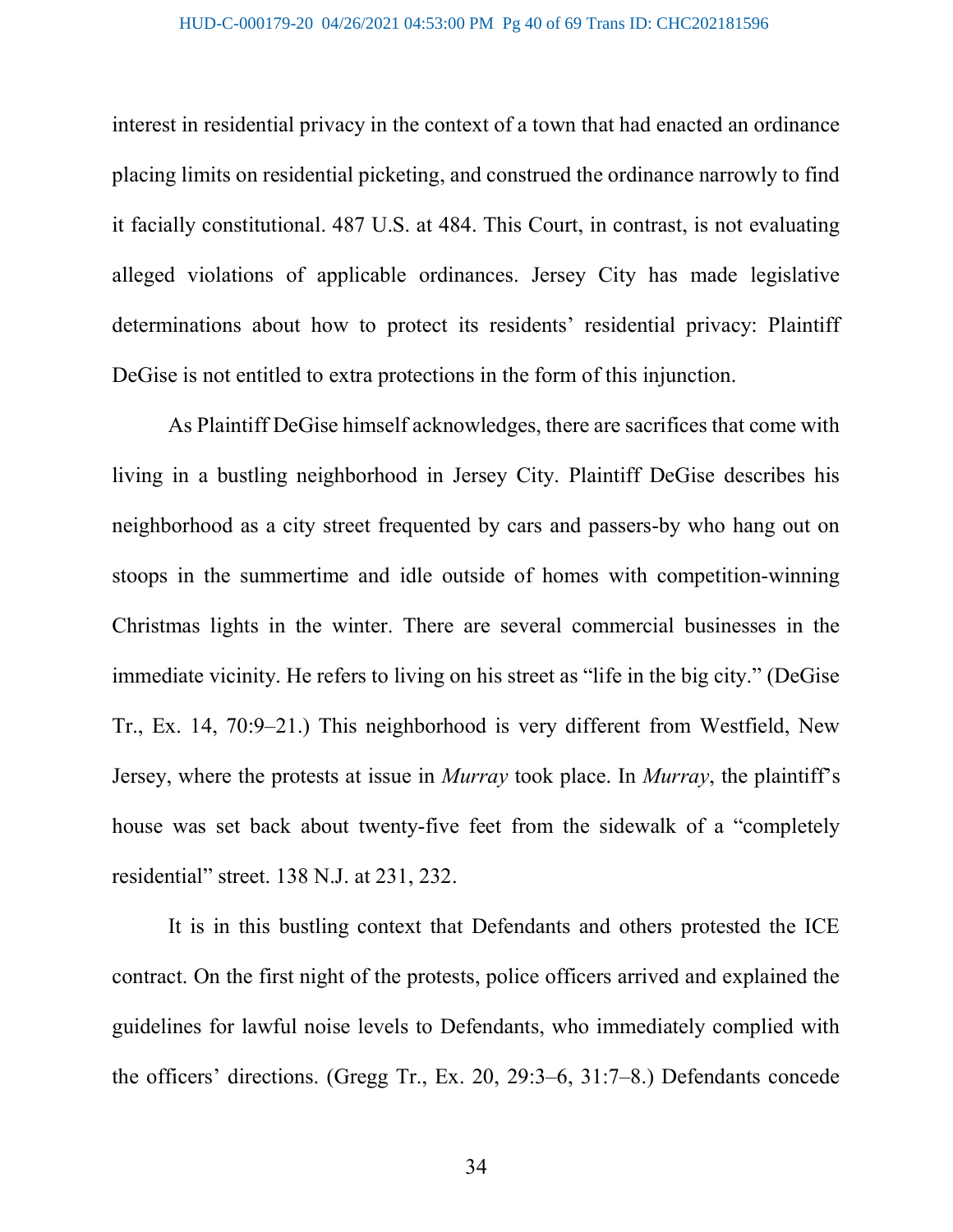interest in residential privacy in the context of a town that had enacted an ordinance placing limits on residential picketing, and construed the ordinance narrowly to find it facially constitutional. 487 U.S. at 484. This Court, in contrast, is not evaluating alleged violations of applicable ordinances. Jersey City has made legislative determinations about how to protect its residents' residential privacy: Plaintiff DeGise is not entitled to extra protections in the form of this injunction.

As Plaintiff DeGise himself acknowledges, there are sacrifices that come with living in a bustling neighborhood in Jersey City. Plaintiff DeGise describes his neighborhood as a city street frequented by cars and passers-by who hang out on stoops in the summertime and idle outside of homes with competition-winning Christmas lights in the winter. There are several commercial businesses in the immediate vicinity. He refers to living on his street as "life in the big city." (DeGise Tr., Ex. 14, 70:9–21.) This neighborhood is very different from Westfield, New Jersey, where the protests at issue in Murray took place. In Murray, the plaintiff's house was set back about twenty-five feet from the sidewalk of a "completely residential" street. 138 N.J. at 231, 232.

It is in this bustling context that Defendants and others protested the ICE contract. On the first night of the protests, police officers arrived and explained the guidelines for lawful noise levels to Defendants, who immediately complied with the officers' directions. (Gregg Tr., Ex. 20, 29:3–6, 31:7–8.) Defendants concede

34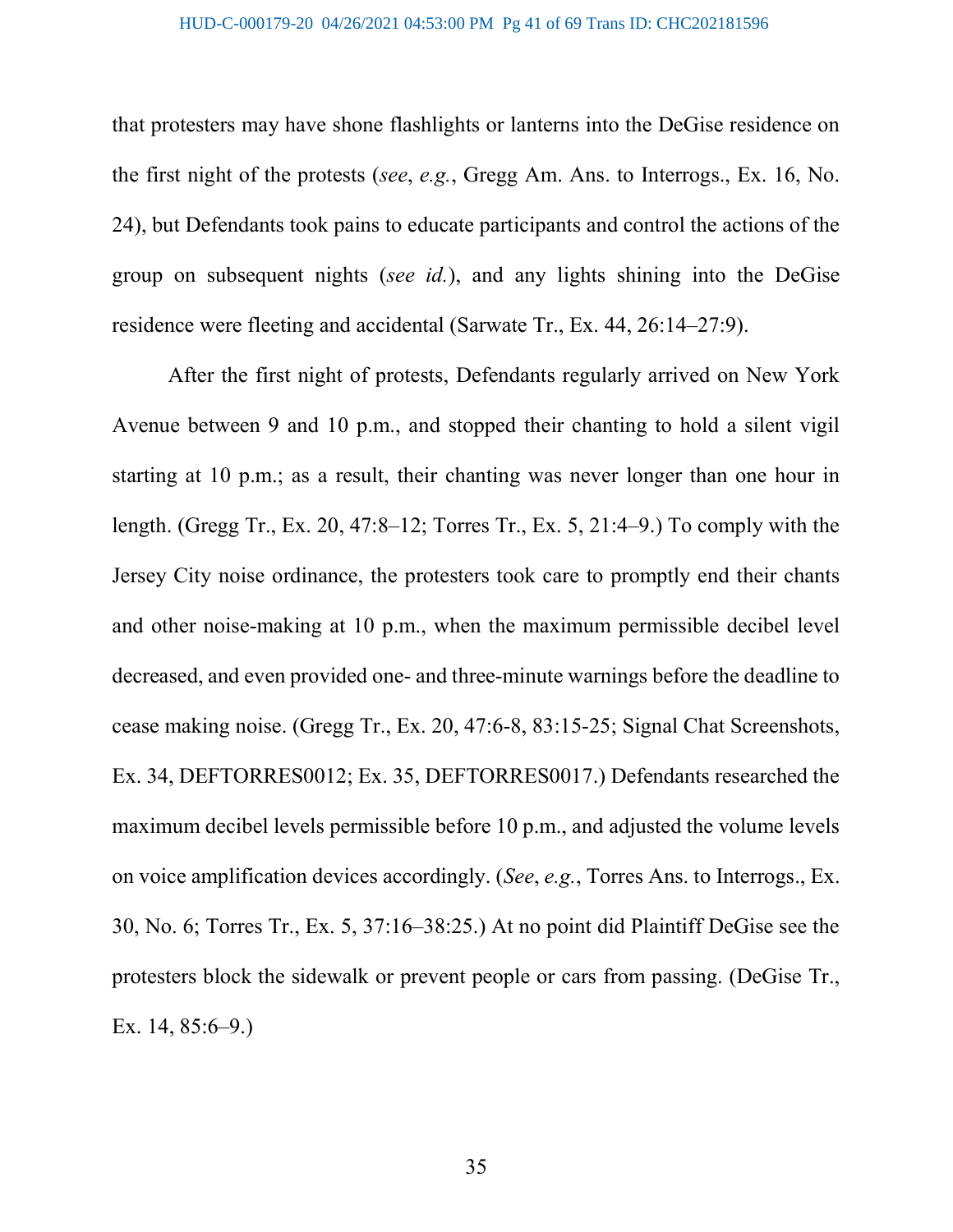that protesters may have shone flashlights or lanterns into the DeGise residence on the first night of the protests (see, e.g., Gregg Am. Ans. to Interrogs., Ex. 16, No. 24), but Defendants took pains to educate participants and control the actions of the group on subsequent nights (see id.), and any lights shining into the DeGise residence were fleeting and accidental (Sarwate Tr., Ex. 44, 26:14–27:9).

After the first night of protests, Defendants regularly arrived on New York Avenue between 9 and 10 p.m., and stopped their chanting to hold a silent vigil starting at 10 p.m.; as a result, their chanting was never longer than one hour in length. (Gregg Tr., Ex. 20, 47:8–12; Torres Tr., Ex. 5, 21:4–9.) To comply with the Jersey City noise ordinance, the protesters took care to promptly end their chants and other noise-making at 10 p.m., when the maximum permissible decibel level decreased, and even provided one- and three-minute warnings before the deadline to cease making noise. (Gregg Tr., Ex. 20, 47:6-8, 83:15-25; Signal Chat Screenshots, Ex. 34, DEFTORRES0012; Ex. 35, DEFTORRES0017.) Defendants researched the maximum decibel levels permissible before 10 p.m., and adjusted the volume levels on voice amplification devices accordingly. (See, e.g., Torres Ans. to Interrogs., Ex. 30, No. 6; Torres Tr., Ex. 5, 37:16–38:25.) At no point did Plaintiff DeGise see the protesters block the sidewalk or prevent people or cars from passing. (DeGise Tr., Ex. 14, 85:6–9.)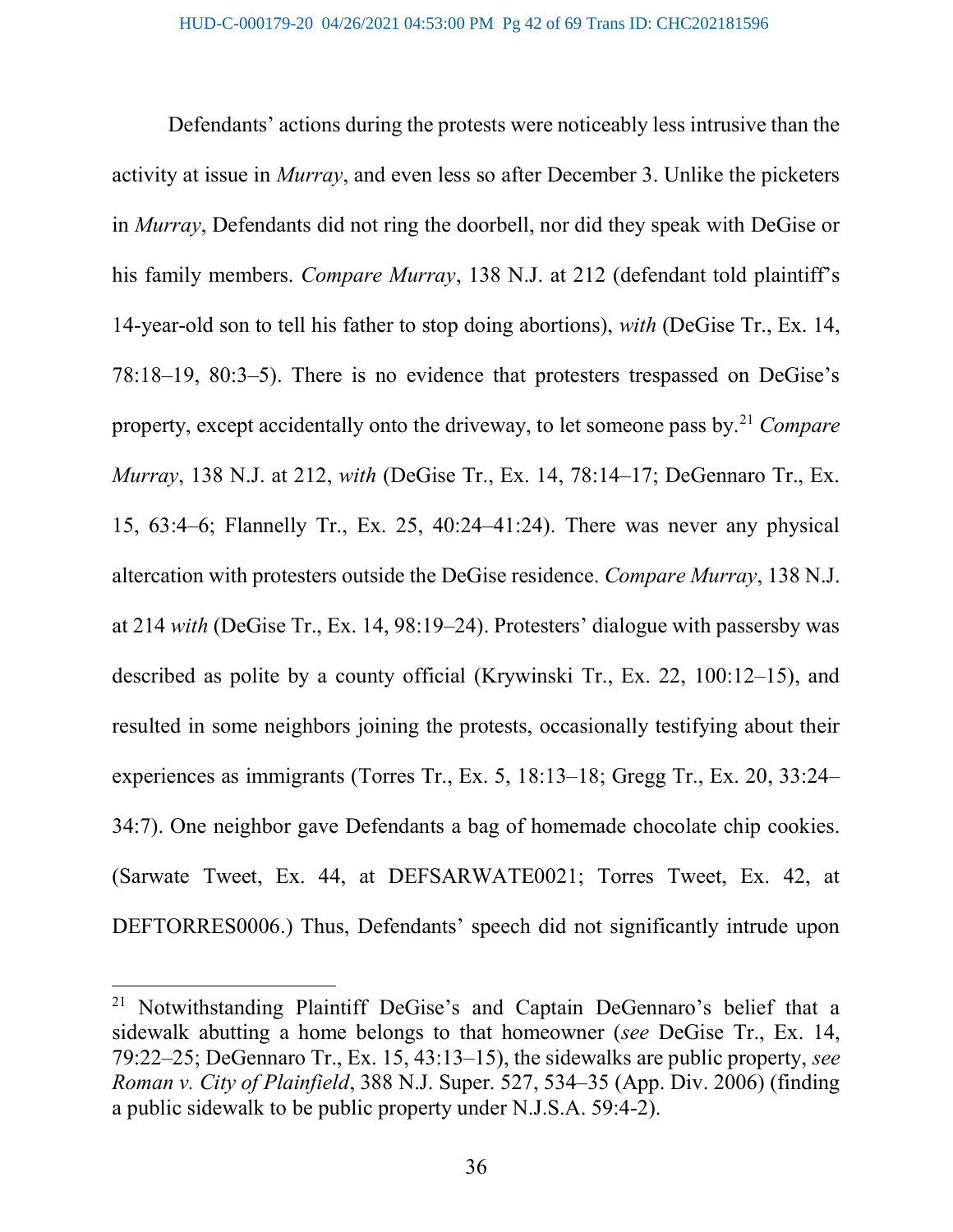Defendants' actions during the protests were noticeably less intrusive than the activity at issue in Murray, and even less so after December 3. Unlike the picketers in Murray, Defendants did not ring the doorbell, nor did they speak with DeGise or his family members. *Compare Murray*, 138 N.J. at 212 (defendant told plaintiff's 14-year-old son to tell his father to stop doing abortions), with (DeGise Tr., Ex. 14, 78:18–19, 80:3–5). There is no evidence that protesters trespassed on DeGise's property, except accidentally onto the driveway, to let someone pass by.<sup>21</sup> Compare Murray, 138 N.J. at 212, with (DeGise Tr., Ex. 14, 78:14–17; DeGennaro Tr., Ex. 15, 63:4–6; Flannelly Tr., Ex. 25, 40:24–41:24). There was never any physical altercation with protesters outside the DeGise residence. Compare Murray, 138 N.J. at 214 with (DeGise Tr., Ex. 14, 98:19–24). Protesters' dialogue with passersby was described as polite by a county official (Krywinski Tr., Ex. 22, 100:12–15), and resulted in some neighbors joining the protests, occasionally testifying about their experiences as immigrants (Torres Tr., Ex. 5, 18:13–18; Gregg Tr., Ex. 20, 33:24– 34:7). One neighbor gave Defendants a bag of homemade chocolate chip cookies. (Sarwate Tweet, Ex. 44, at DEFSARWATE0021; Torres Tweet, Ex. 42, at DEFTORRES0006.) Thus, Defendants' speech did not significantly intrude upon

<sup>&</sup>lt;sup>21</sup> Notwithstanding Plaintiff DeGise's and Captain DeGennaro's belief that a sidewalk abutting a home belongs to that homeowner (see DeGise Tr., Ex. 14, 79:22–25; DeGennaro Tr., Ex. 15, 43:13–15), the sidewalks are public property, see Roman v. City of Plainfield, 388 N.J. Super. 527, 534–35 (App. Div. 2006) (finding a public sidewalk to be public property under N.J.S.A. 59:4-2).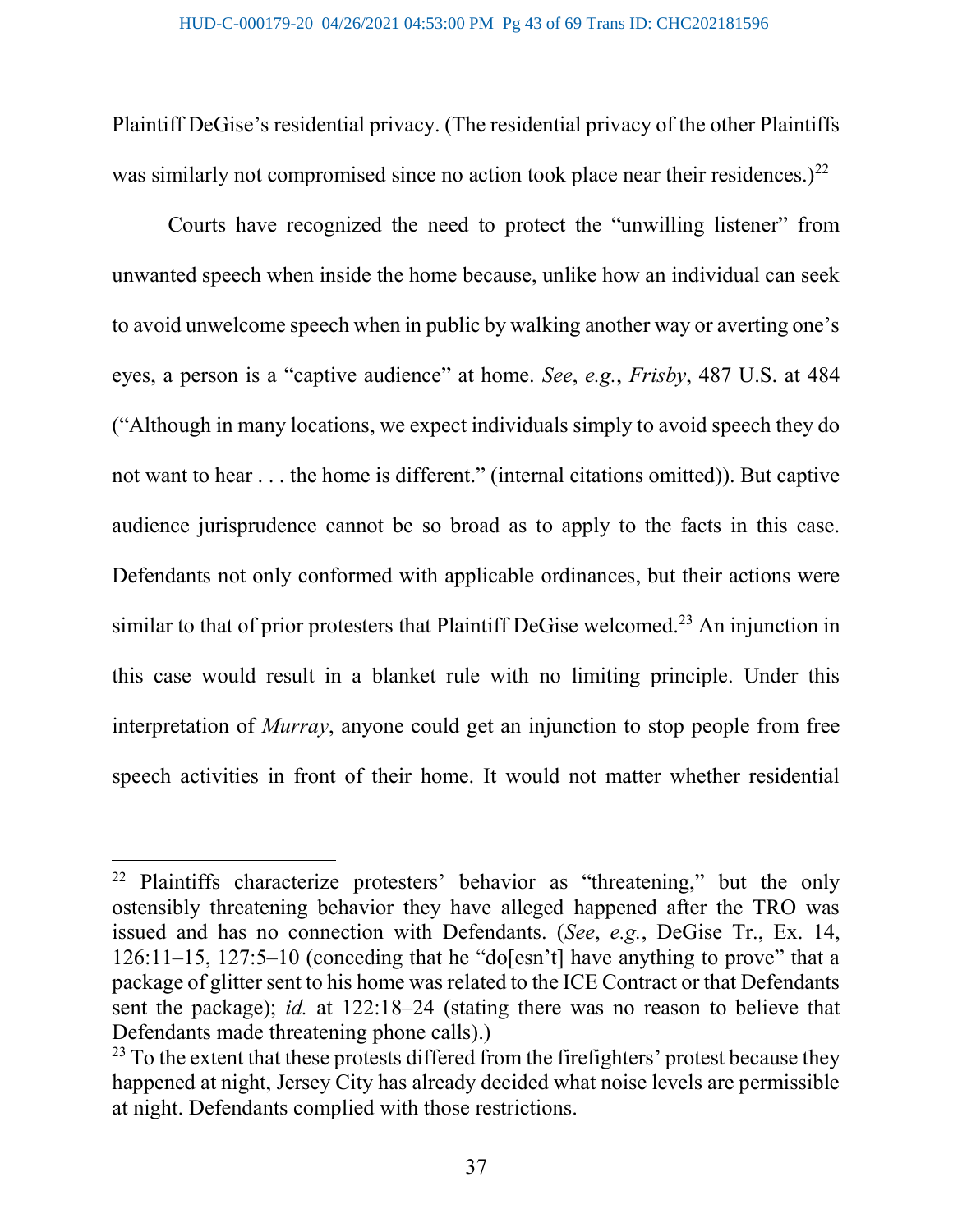Plaintiff DeGise's residential privacy. (The residential privacy of the other Plaintiffs was similarly not compromised since no action took place near their residences.) $^{22}$ 

Courts have recognized the need to protect the "unwilling listener" from unwanted speech when inside the home because, unlike how an individual can seek to avoid unwelcome speech when in public by walking another way or averting one's eyes, a person is a "captive audience" at home. See, e.g., Frisby, 487 U.S. at 484 ("Although in many locations, we expect individuals simply to avoid speech they do not want to hear . . . the home is different." (internal citations omitted)). But captive audience jurisprudence cannot be so broad as to apply to the facts in this case. Defendants not only conformed with applicable ordinances, but their actions were similar to that of prior protesters that Plaintiff DeGise welcomed.<sup>23</sup> An injunction in this case would result in a blanket rule with no limiting principle. Under this interpretation of Murray, anyone could get an injunction to stop people from free speech activities in front of their home. It would not matter whether residential

<sup>&</sup>lt;sup>22</sup> Plaintiffs characterize protesters' behavior as "threatening," but the only ostensibly threatening behavior they have alleged happened after the TRO was issued and has no connection with Defendants. (See, e.g., DeGise Tr., Ex. 14, 126:11–15, 127:5–10 (conceding that he "do[esn't] have anything to prove" that a package of glitter sent to his home was related to the ICE Contract or that Defendants sent the package); id. at 122:18–24 (stating there was no reason to believe that Defendants made threatening phone calls).)

 $^{23}$  To the extent that these protests differed from the firefighters' protest because they happened at night, Jersey City has already decided what noise levels are permissible at night. Defendants complied with those restrictions.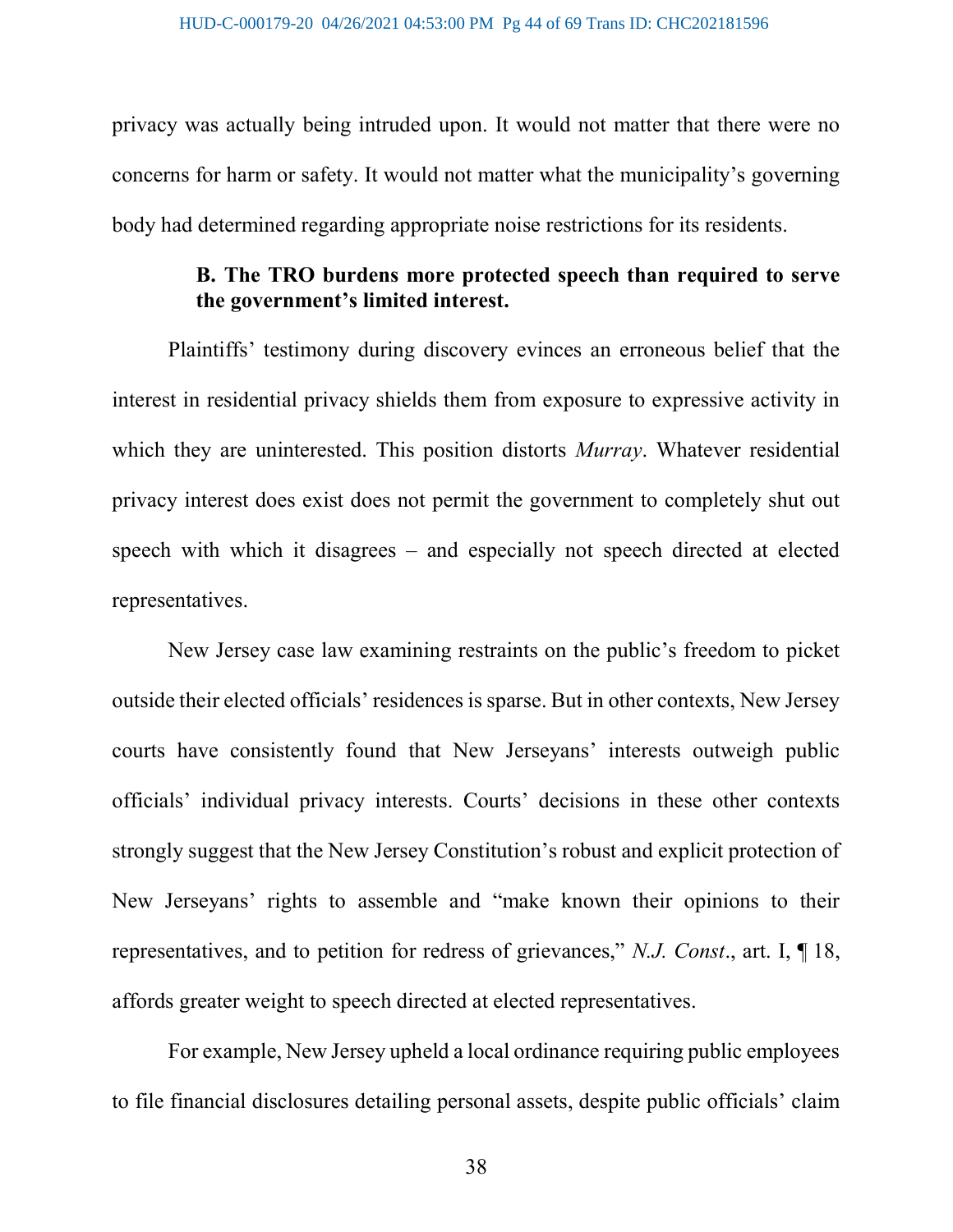privacy was actually being intruded upon. It would not matter that there were no concerns for harm or safety. It would not matter what the municipality's governing body had determined regarding appropriate noise restrictions for its residents.

# B. The TRO burdens more protected speech than required to serve the government's limited interest.

Plaintiffs' testimony during discovery evinces an erroneous belief that the interest in residential privacy shields them from exposure to expressive activity in which they are uninterested. This position distorts *Murray*. Whatever residential privacy interest does exist does not permit the government to completely shut out speech with which it disagrees – and especially not speech directed at elected representatives.

New Jersey case law examining restraints on the public's freedom to picket outside their elected officials' residences is sparse. But in other contexts, New Jersey courts have consistently found that New Jerseyans' interests outweigh public officials' individual privacy interests. Courts' decisions in these other contexts strongly suggest that the New Jersey Constitution's robust and explicit protection of New Jerseyans' rights to assemble and "make known their opinions to their representatives, and to petition for redress of grievances," N.J. Const., art. I, ¶ 18, affords greater weight to speech directed at elected representatives.

For example, New Jersey upheld a local ordinance requiring public employees to file financial disclosures detailing personal assets, despite public officials' claim

38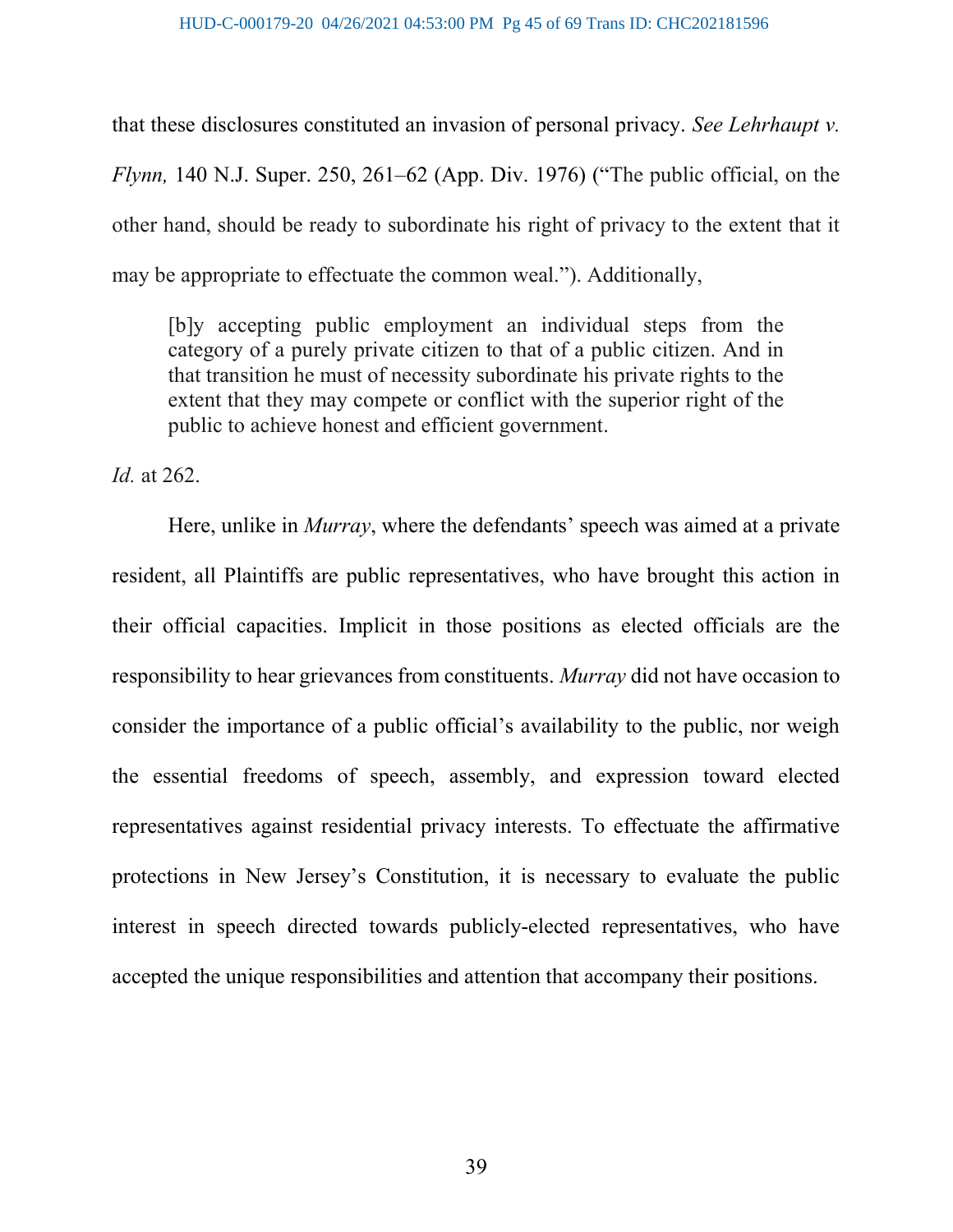that these disclosures constituted an invasion of personal privacy. See Lehrhaupt v. Flynn, 140 N.J. Super. 250, 261–62 (App. Div. 1976) ("The public official, on the other hand, should be ready to subordinate his right of privacy to the extent that it may be appropriate to effectuate the common weal."). Additionally,

[b]y accepting public employment an individual steps from the category of a purely private citizen to that of a public citizen. And in that transition he must of necessity subordinate his private rights to the extent that they may compete or conflict with the superior right of the public to achieve honest and efficient government.

Id. at 262.

Here, unlike in *Murray*, where the defendants' speech was aimed at a private resident, all Plaintiffs are public representatives, who have brought this action in their official capacities. Implicit in those positions as elected officials are the responsibility to hear grievances from constituents. Murray did not have occasion to consider the importance of a public official's availability to the public, nor weigh the essential freedoms of speech, assembly, and expression toward elected representatives against residential privacy interests. To effectuate the affirmative protections in New Jersey's Constitution, it is necessary to evaluate the public interest in speech directed towards publicly-elected representatives, who have accepted the unique responsibilities and attention that accompany their positions.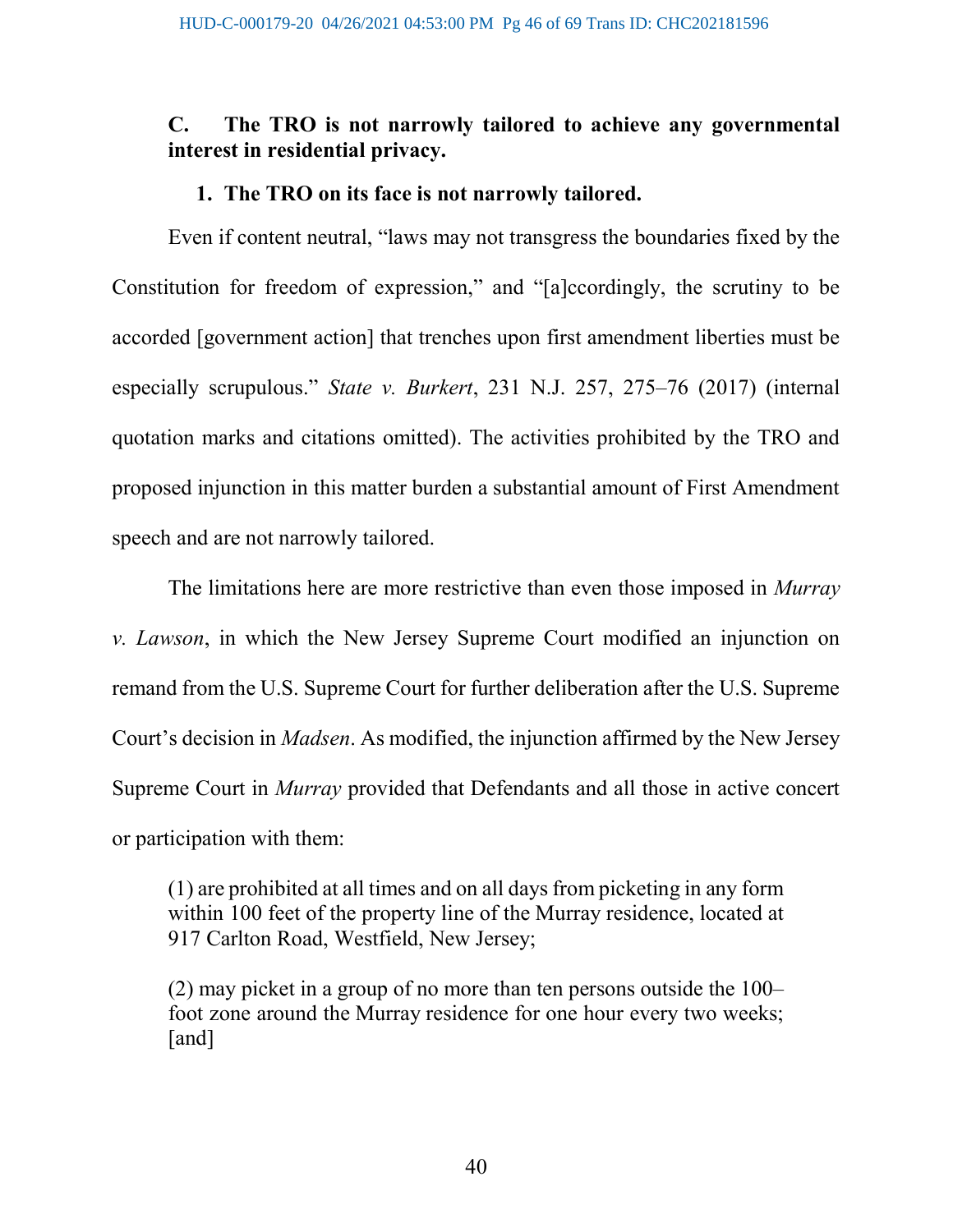# C. The TRO is not narrowly tailored to achieve any governmental interest in residential privacy.

#### 1. The TRO on its face is not narrowly tailored.

Even if content neutral, "laws may not transgress the boundaries fixed by the Constitution for freedom of expression," and "[a]ccordingly, the scrutiny to be accorded [government action] that trenches upon first amendment liberties must be especially scrupulous." State v. Burkert, 231 N.J. 257, 275–76 (2017) (internal quotation marks and citations omitted). The activities prohibited by the TRO and proposed injunction in this matter burden a substantial amount of First Amendment speech and are not narrowly tailored.

The limitations here are more restrictive than even those imposed in *Murray* v. Lawson, in which the New Jersey Supreme Court modified an injunction on remand from the U.S. Supreme Court for further deliberation after the U.S. Supreme Court's decision in Madsen. As modified, the injunction affirmed by the New Jersey Supreme Court in *Murray* provided that Defendants and all those in active concert or participation with them:

(1) are prohibited at all times and on all days from picketing in any form within 100 feet of the property line of the Murray residence, located at 917 Carlton Road, Westfield, New Jersey;

(2) may picket in a group of no more than ten persons outside the 100– foot zone around the Murray residence for one hour every two weeks; [and]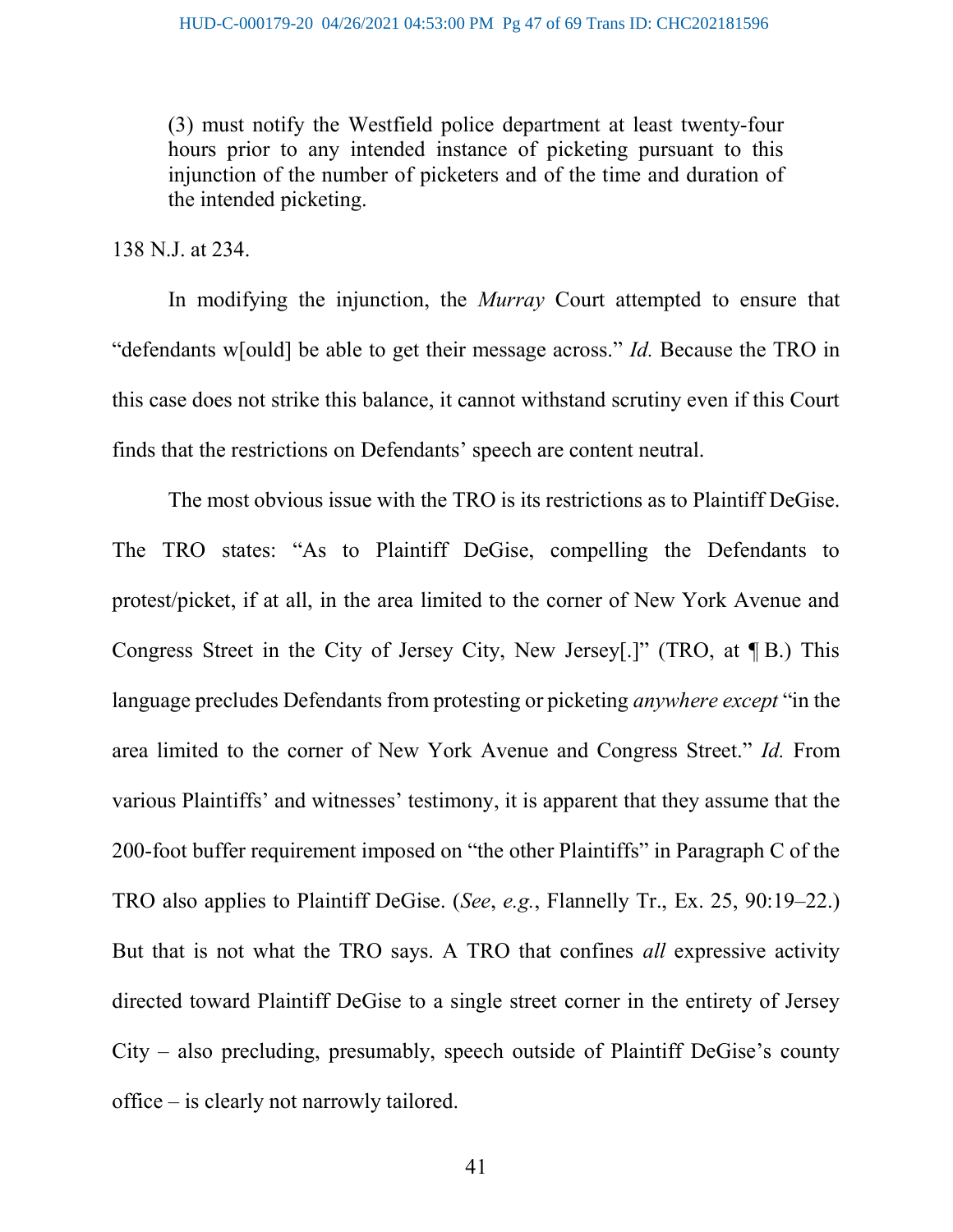(3) must notify the Westfield police department at least twenty-four hours prior to any intended instance of picketing pursuant to this injunction of the number of picketers and of the time and duration of the intended picketing.

138 N.J. at 234.

In modifying the injunction, the *Murray* Court attempted to ensure that "defendants w[ould] be able to get their message across." *Id*. Because the TRO in this case does not strike this balance, it cannot withstand scrutiny even if this Court finds that the restrictions on Defendants' speech are content neutral.

The most obvious issue with the TRO is its restrictions as to Plaintiff DeGise. The TRO states: "As to Plaintiff DeGise, compelling the Defendants to protest/picket, if at all, in the area limited to the corner of New York Avenue and Congress Street in the City of Jersey City, New Jersey[.]" (TRO, at ¶ B.) This language precludes Defendants from protesting or picketing *anywhere except* "in the area limited to the corner of New York Avenue and Congress Street." Id. From various Plaintiffs' and witnesses' testimony, it is apparent that they assume that the 200-foot buffer requirement imposed on "the other Plaintiffs" in Paragraph C of the TRO also applies to Plaintiff DeGise. (See, e.g., Flannelly Tr., Ex. 25, 90:19–22.) But that is not what the TRO says. A TRO that confines all expressive activity directed toward Plaintiff DeGise to a single street corner in the entirety of Jersey City – also precluding, presumably, speech outside of Plaintiff DeGise's county office – is clearly not narrowly tailored.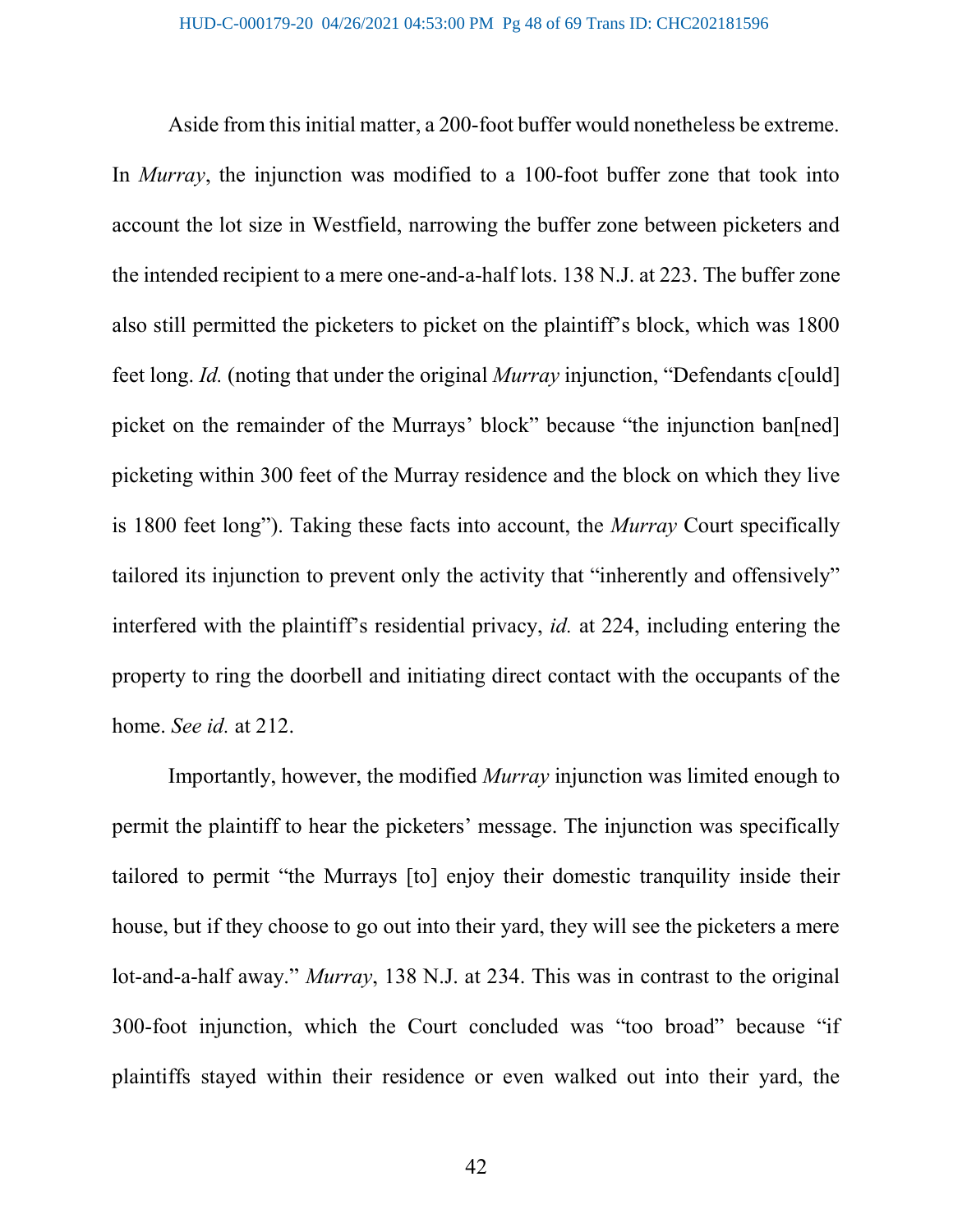Aside from this initial matter, a 200-foot buffer would nonetheless be extreme. In *Murray*, the injunction was modified to a 100-foot buffer zone that took into account the lot size in Westfield, narrowing the buffer zone between picketers and the intended recipient to a mere one-and-a-half lots. 138 N.J. at 223. The buffer zone also still permitted the picketers to picket on the plaintiff's block, which was 1800 feet long. Id. (noting that under the original Murray injunction, "Defendants c[ould] picket on the remainder of the Murrays' block" because "the injunction ban[ned] picketing within 300 feet of the Murray residence and the block on which they live is 1800 feet long"). Taking these facts into account, the Murray Court specifically tailored its injunction to prevent only the activity that "inherently and offensively" interfered with the plaintiff's residential privacy, id. at 224, including entering the property to ring the doorbell and initiating direct contact with the occupants of the home. See id. at 212.

Importantly, however, the modified Murray injunction was limited enough to permit the plaintiff to hear the picketers' message. The injunction was specifically tailored to permit "the Murrays [to] enjoy their domestic tranquility inside their house, but if they choose to go out into their yard, they will see the picketers a mere lot-and-a-half away." Murray, 138 N.J. at 234. This was in contrast to the original 300-foot injunction, which the Court concluded was "too broad" because "if plaintiffs stayed within their residence or even walked out into their yard, the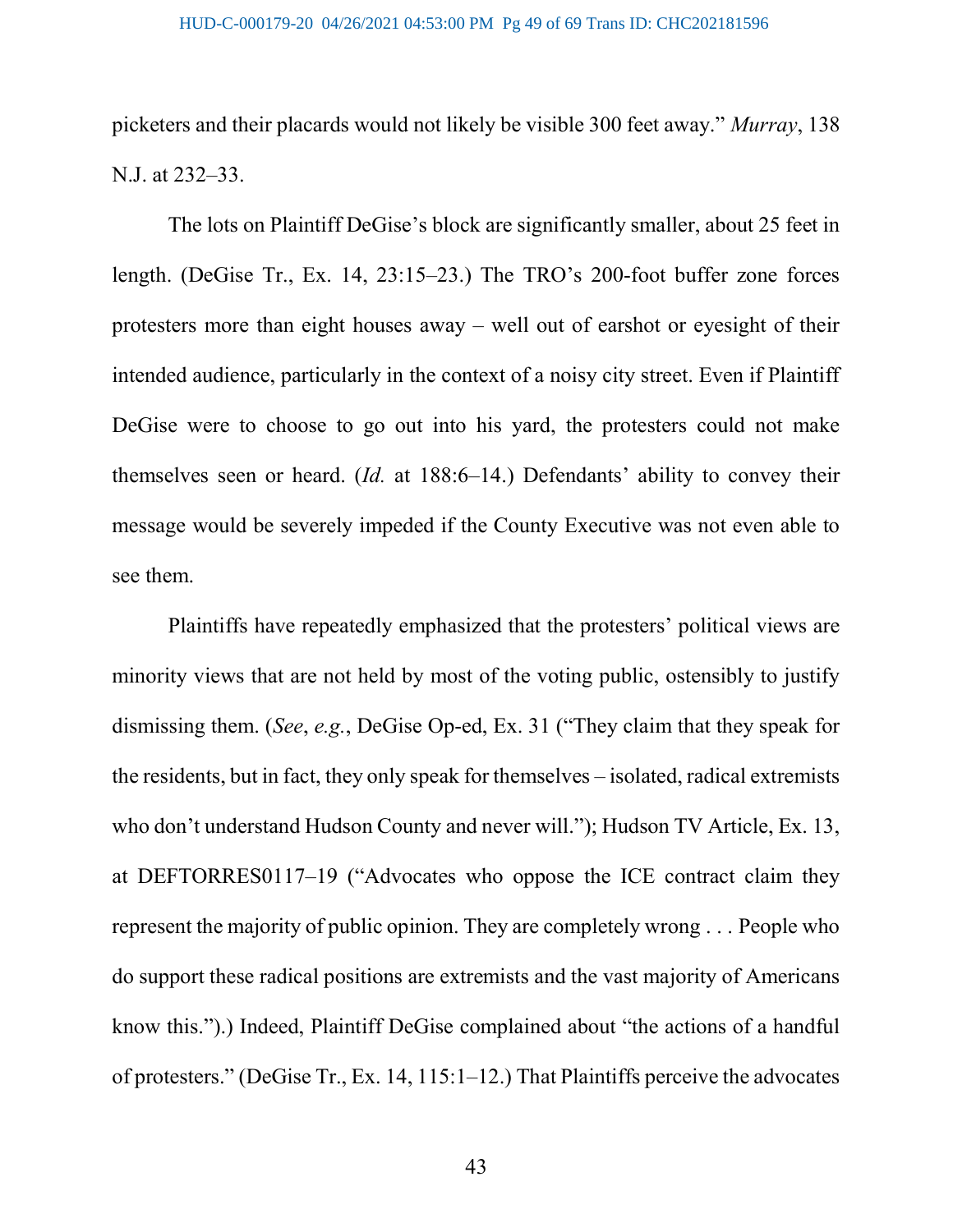picketers and their placards would not likely be visible 300 feet away." Murray, 138 N.J. at 232–33.

The lots on Plaintiff DeGise's block are significantly smaller, about 25 feet in length. (DeGise Tr., Ex. 14, 23:15–23.) The TRO's 200-foot buffer zone forces protesters more than eight houses away – well out of earshot or eyesight of their intended audience, particularly in the context of a noisy city street. Even if Plaintiff DeGise were to choose to go out into his yard, the protesters could not make themselves seen or heard. (Id. at 188:6–14.) Defendants' ability to convey their message would be severely impeded if the County Executive was not even able to see them.

Plaintiffs have repeatedly emphasized that the protesters' political views are minority views that are not held by most of the voting public, ostensibly to justify dismissing them. (See, e.g., DeGise Op-ed, Ex. 31 ("They claim that they speak for the residents, but in fact, they only speak for themselves – isolated, radical extremists who don't understand Hudson County and never will."); Hudson TV Article, Ex. 13, at DEFTORRES0117–19 ("Advocates who oppose the ICE contract claim they represent the majority of public opinion. They are completely wrong . . . People who do support these radical positions are extremists and the vast majority of Americans know this.").) Indeed, Plaintiff DeGise complained about "the actions of a handful of protesters." (DeGise Tr., Ex. 14, 115:1–12.) That Plaintiffs perceive the advocates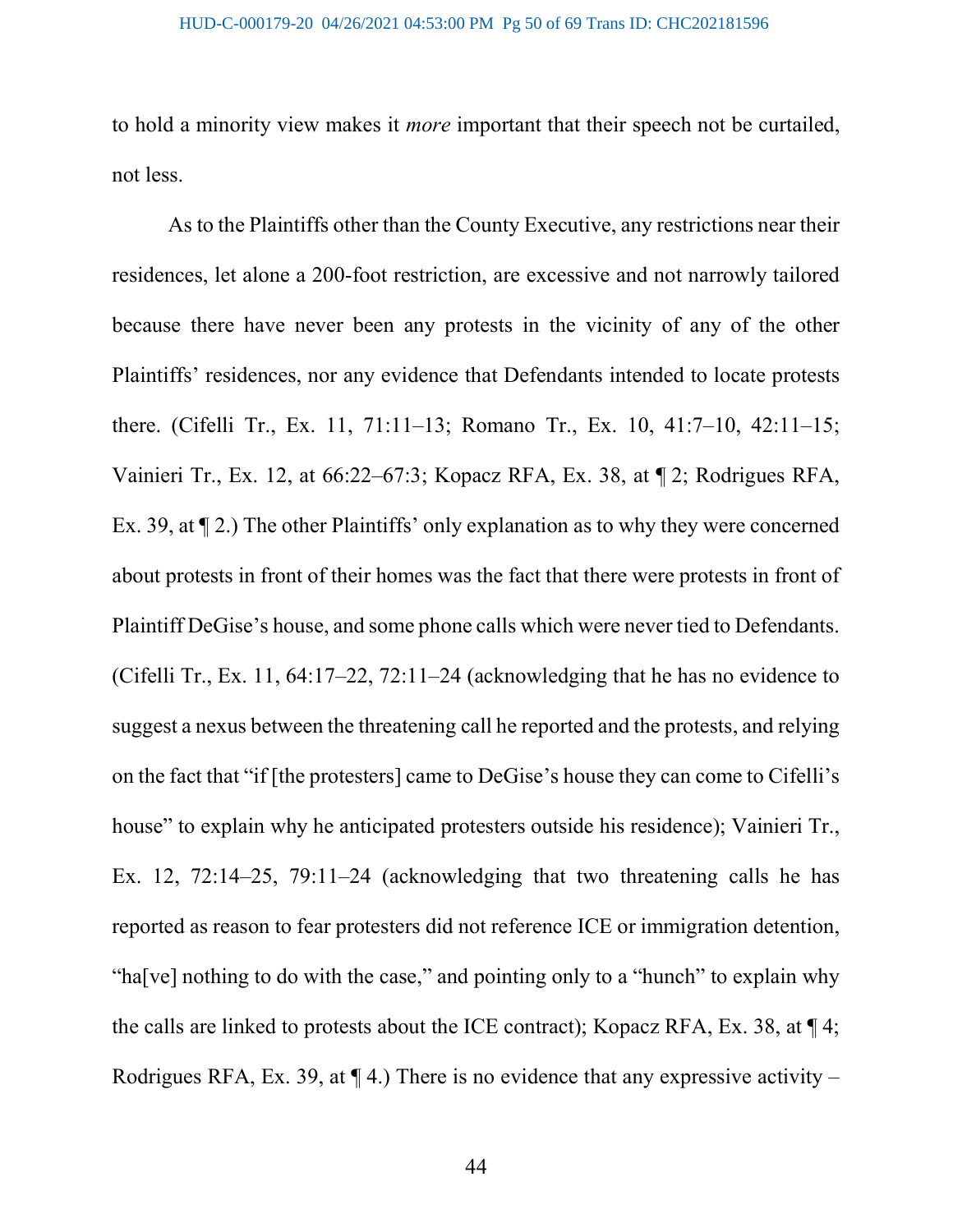to hold a minority view makes it more important that their speech not be curtailed, not less.

As to the Plaintiffs other than the County Executive, any restrictions near their residences, let alone a 200-foot restriction, are excessive and not narrowly tailored because there have never been any protests in the vicinity of any of the other Plaintiffs' residences, nor any evidence that Defendants intended to locate protests there. (Cifelli Tr., Ex. 11, 71:11–13; Romano Tr., Ex. 10, 41:7–10, 42:11–15; Vainieri Tr., Ex. 12, at 66:22–67:3; Kopacz RFA, Ex. 38, at ¶ 2; Rodrigues RFA, Ex. 39, at ¶ 2.) The other Plaintiffs' only explanation as to why they were concerned about protests in front of their homes was the fact that there were protests in front of Plaintiff DeGise's house, and some phone calls which were never tied to Defendants. (Cifelli Tr., Ex. 11, 64:17–22, 72:11–24 (acknowledging that he has no evidence to suggest a nexus between the threatening call he reported and the protests, and relying on the fact that "if [the protesters] came to DeGise's house they can come to Cifelli's house" to explain why he anticipated protesters outside his residence); Vainieri Tr., Ex. 12, 72:14–25, 79:11–24 (acknowledging that two threatening calls he has reported as reason to fear protesters did not reference ICE or immigration detention, "ha[ve] nothing to do with the case," and pointing only to a "hunch" to explain why the calls are linked to protests about the ICE contract); Kopacz RFA, Ex. 38, at ¶ 4; Rodrigues RFA, Ex. 39, at  $\P$  4.) There is no evidence that any expressive activity –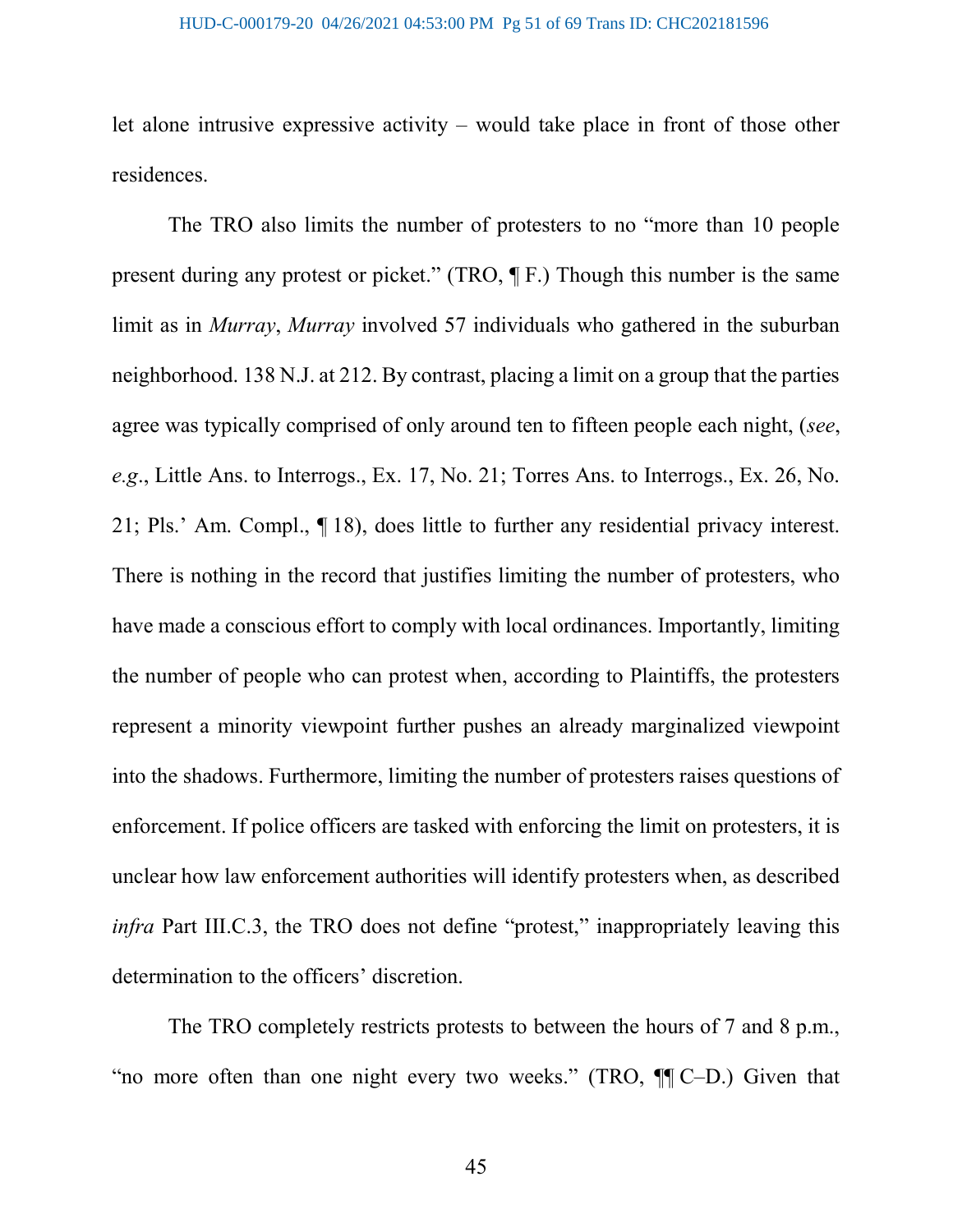let alone intrusive expressive activity – would take place in front of those other residences.

The TRO also limits the number of protesters to no "more than 10 people present during any protest or picket." (TRO, ¶ F.) Though this number is the same limit as in Murray, Murray involved 57 individuals who gathered in the suburban neighborhood. 138 N.J. at 212. By contrast, placing a limit on a group that the parties agree was typically comprised of only around ten to fifteen people each night, (see, e.g., Little Ans. to Interrogs., Ex. 17, No. 21; Torres Ans. to Interrogs., Ex. 26, No. 21; Pls.' Am. Compl., ¶ 18), does little to further any residential privacy interest. There is nothing in the record that justifies limiting the number of protesters, who have made a conscious effort to comply with local ordinances. Importantly, limiting the number of people who can protest when, according to Plaintiffs, the protesters represent a minority viewpoint further pushes an already marginalized viewpoint into the shadows. Furthermore, limiting the number of protesters raises questions of enforcement. If police officers are tasked with enforcing the limit on protesters, it is unclear how law enforcement authorities will identify protesters when, as described infra Part III.C.3, the TRO does not define "protest," inappropriately leaving this determination to the officers' discretion.

The TRO completely restricts protests to between the hours of 7 and 8 p.m., "no more often than one night every two weeks." (TRO, ¶¶ C–D.) Given that

45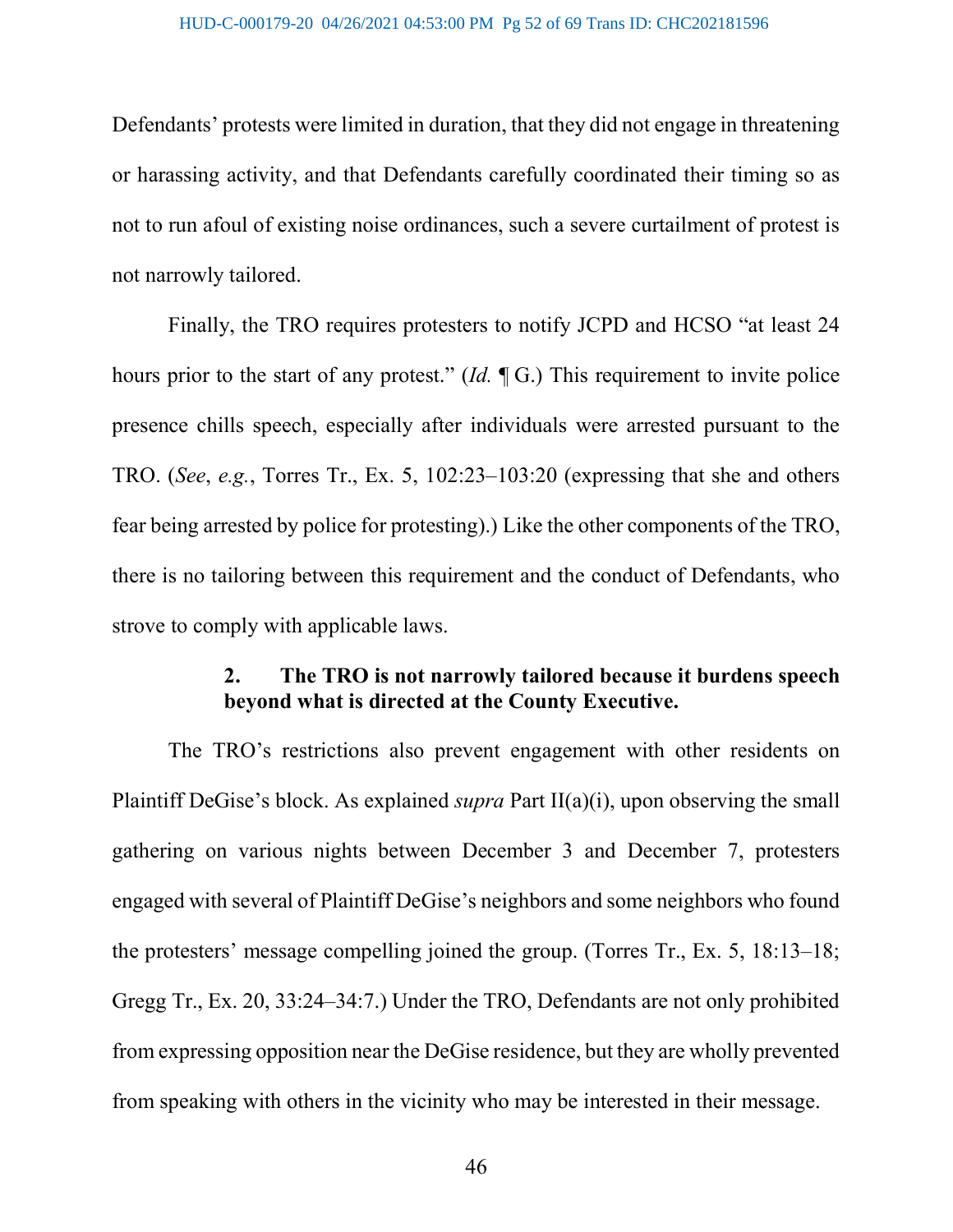Defendants' protests were limited in duration, that they did not engage in threatening or harassing activity, and that Defendants carefully coordinated their timing so as not to run afoul of existing noise ordinances, such a severe curtailment of protest is not narrowly tailored.

Finally, the TRO requires protesters to notify JCPD and HCSO "at least 24 hours prior to the start of any protest." (Id. ¶ G.) This requirement to invite police presence chills speech, especially after individuals were arrested pursuant to the TRO. (See, e.g., Torres Tr., Ex. 5, 102:23–103:20 (expressing that she and others fear being arrested by police for protesting).) Like the other components of the TRO, there is no tailoring between this requirement and the conduct of Defendants, who strove to comply with applicable laws.

## 2. The TRO is not narrowly tailored because it burdens speech beyond what is directed at the County Executive.

The TRO's restrictions also prevent engagement with other residents on Plaintiff DeGise's block. As explained *supra* Part  $II(a)(i)$ , upon observing the small gathering on various nights between December 3 and December 7, protesters engaged with several of Plaintiff DeGise's neighbors and some neighbors who found the protesters' message compelling joined the group. (Torres Tr., Ex. 5, 18:13–18; Gregg Tr., Ex. 20, 33:24–34:7.) Under the TRO, Defendants are not only prohibited from expressing opposition near the DeGise residence, but they are wholly prevented from speaking with others in the vicinity who may be interested in their message.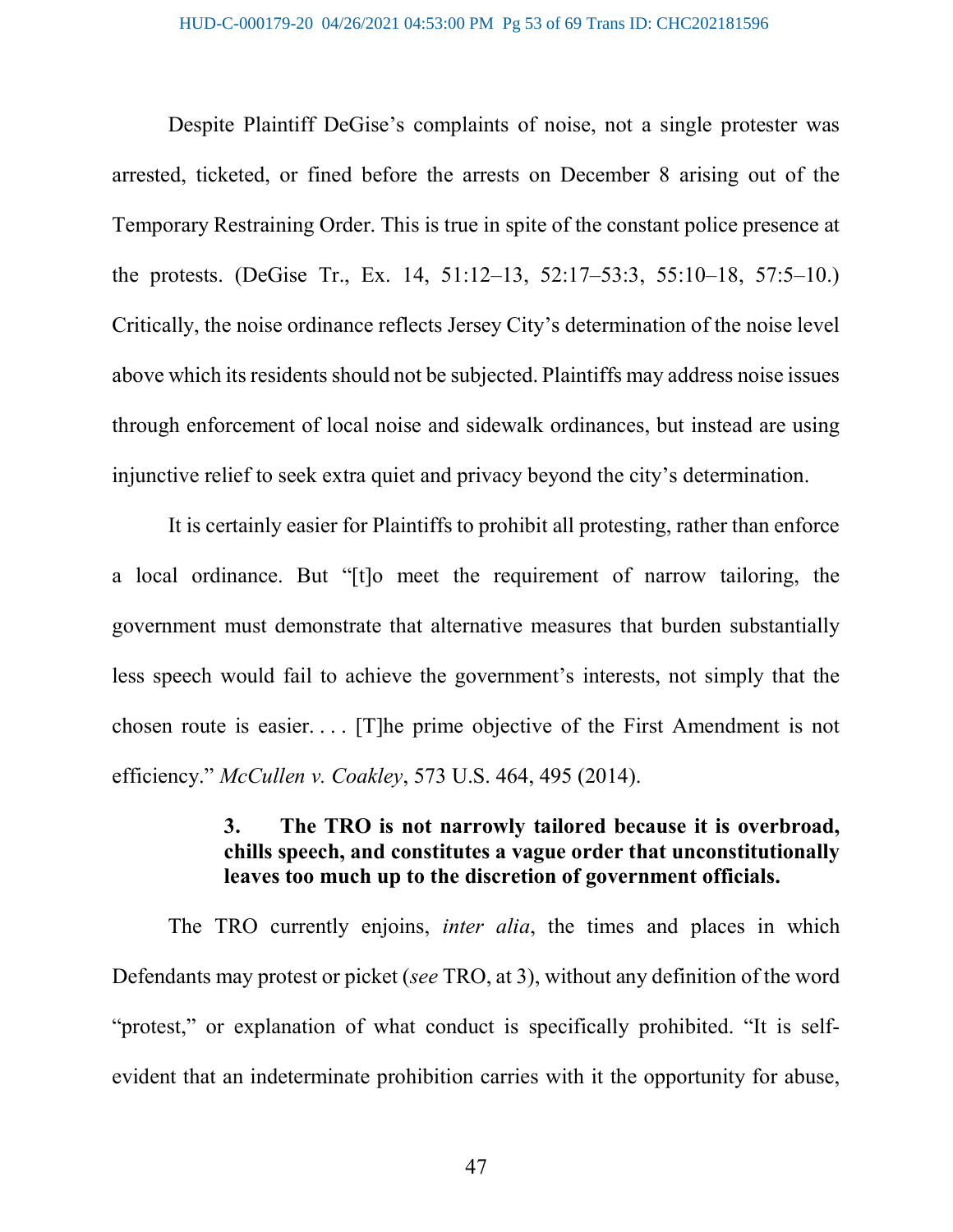Despite Plaintiff DeGise's complaints of noise, not a single protester was arrested, ticketed, or fined before the arrests on December 8 arising out of the Temporary Restraining Order. This is true in spite of the constant police presence at the protests. (DeGise Tr., Ex. 14, 51:12–13, 52:17–53:3, 55:10–18, 57:5–10.) Critically, the noise ordinance reflects Jersey City's determination of the noise level above which its residents should not be subjected. Plaintiffs may address noise issues through enforcement of local noise and sidewalk ordinances, but instead are using injunctive relief to seek extra quiet and privacy beyond the city's determination.

It is certainly easier for Plaintiffs to prohibit all protesting, rather than enforce a local ordinance. But "[t]o meet the requirement of narrow tailoring, the government must demonstrate that alternative measures that burden substantially less speech would fail to achieve the government's interests, not simply that the chosen route is easier. . . . [T]he prime objective of the First Amendment is not efficiency." McCullen v. Coakley, 573 U.S. 464, 495 (2014).

## 3. The TRO is not narrowly tailored because it is overbroad, chills speech, and constitutes a vague order that unconstitutionally leaves too much up to the discretion of government officials.

The TRO currently enjoins, *inter alia*, the times and places in which Defendants may protest or picket (see TRO, at 3), without any definition of the word "protest," or explanation of what conduct is specifically prohibited. "It is selfevident that an indeterminate prohibition carries with it the opportunity for abuse,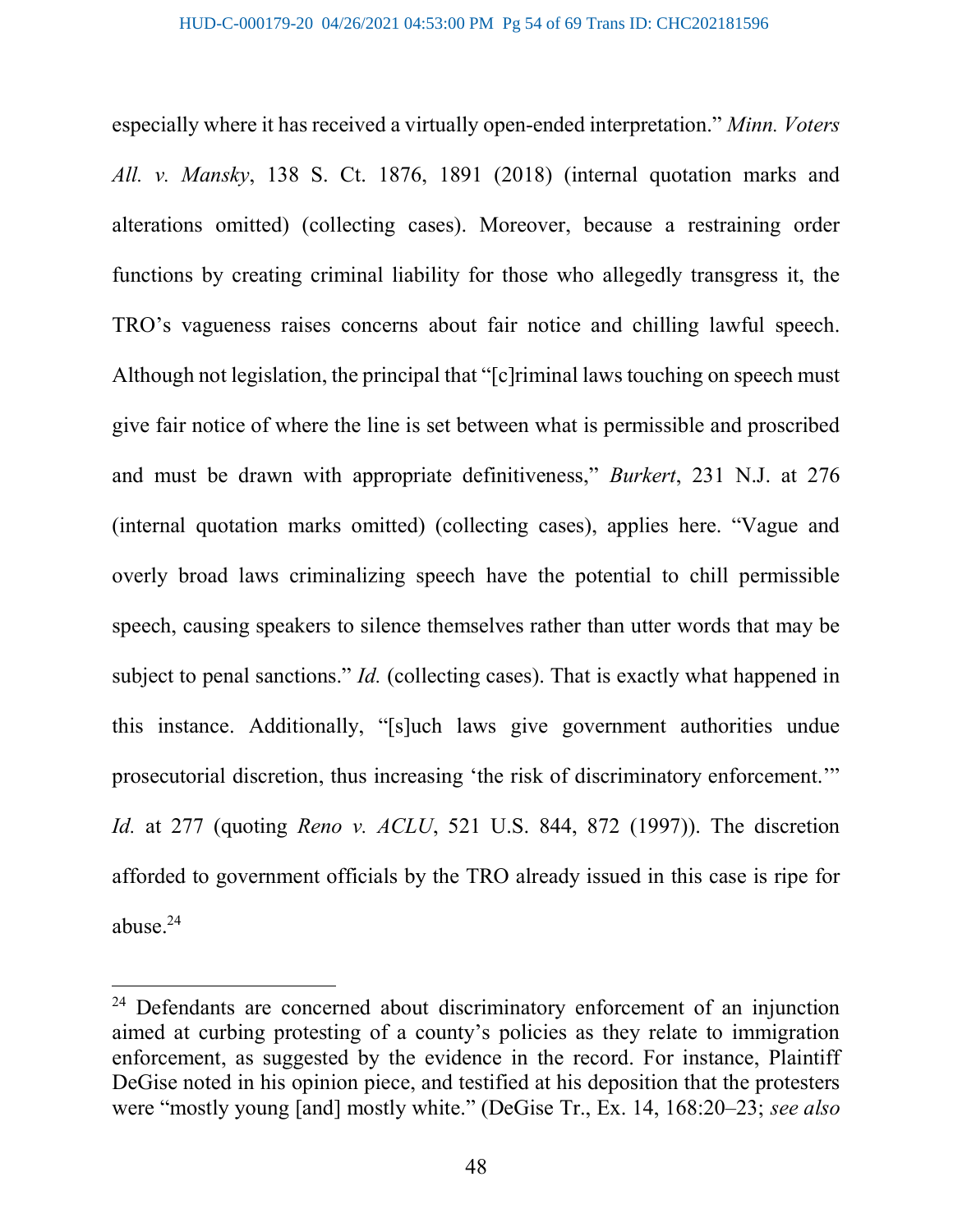especially where it has received a virtually open-ended interpretation." Minn. Voters All. v. Mansky, 138 S. Ct. 1876, 1891 (2018) (internal quotation marks and alterations omitted) (collecting cases). Moreover, because a restraining order functions by creating criminal liability for those who allegedly transgress it, the TRO's vagueness raises concerns about fair notice and chilling lawful speech. Although not legislation, the principal that "[c]riminal laws touching on speech must give fair notice of where the line is set between what is permissible and proscribed and must be drawn with appropriate definitiveness," Burkert, 231 N.J. at 276 (internal quotation marks omitted) (collecting cases), applies here. "Vague and overly broad laws criminalizing speech have the potential to chill permissible speech, causing speakers to silence themselves rather than utter words that may be subject to penal sanctions." *Id.* (collecting cases). That is exactly what happened in this instance. Additionally, "[s]uch laws give government authorities undue prosecutorial discretion, thus increasing 'the risk of discriminatory enforcement.'" Id. at 277 (quoting Reno v. ACLU, 521 U.S. 844, 872 (1997)). The discretion afforded to government officials by the TRO already issued in this case is ripe for abuse. $^{24}$ 

<sup>&</sup>lt;sup>24</sup> Defendants are concerned about discriminatory enforcement of an injunction aimed at curbing protesting of a county's policies as they relate to immigration enforcement, as suggested by the evidence in the record. For instance, Plaintiff DeGise noted in his opinion piece, and testified at his deposition that the protesters were "mostly young [and] mostly white." (DeGise Tr., Ex. 14, 168:20–23; see also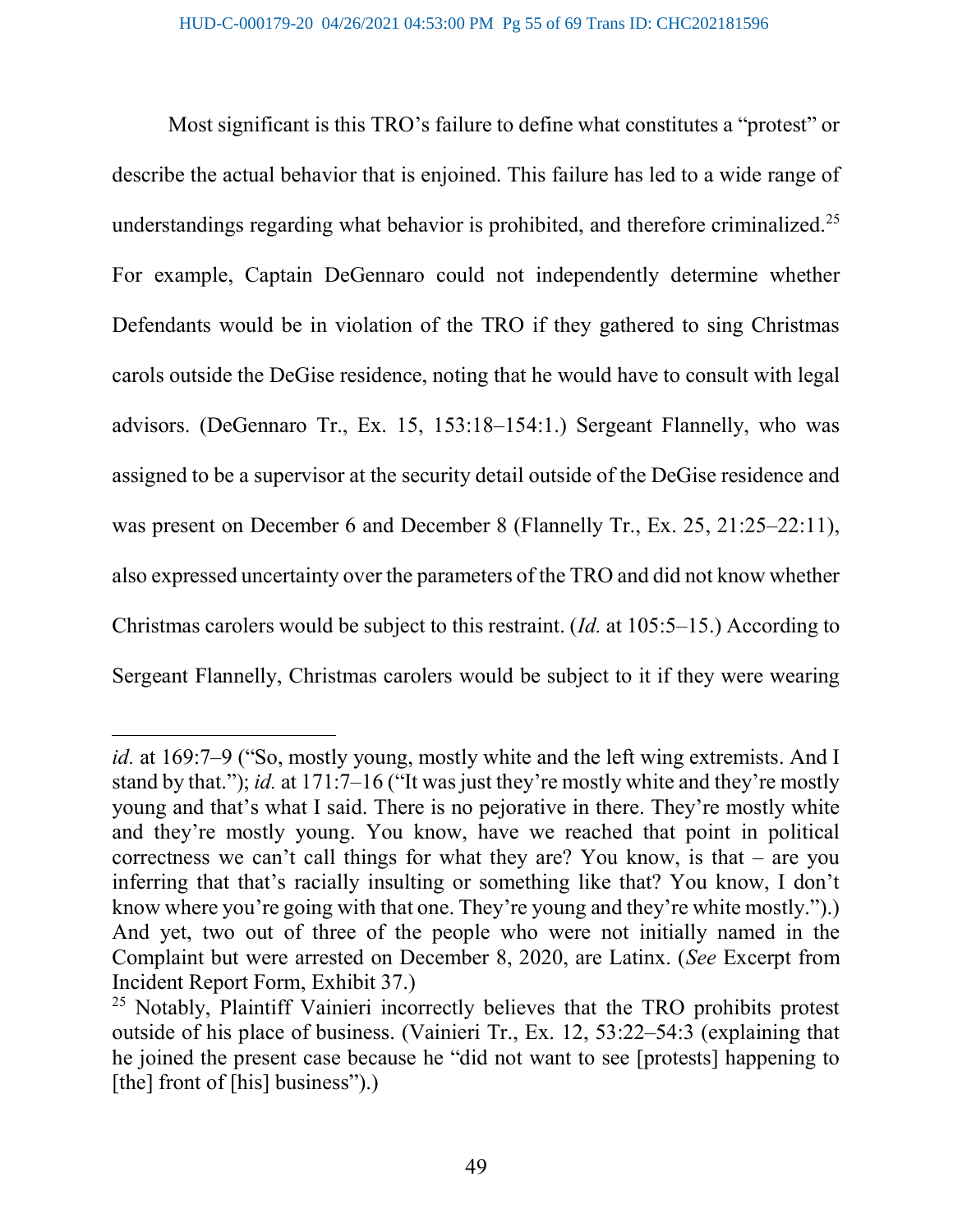Most significant is this TRO's failure to define what constitutes a "protest" or describe the actual behavior that is enjoined. This failure has led to a wide range of understandings regarding what behavior is prohibited, and therefore criminalized.<sup>25</sup> For example, Captain DeGennaro could not independently determine whether Defendants would be in violation of the TRO if they gathered to sing Christmas carols outside the DeGise residence, noting that he would have to consult with legal advisors. (DeGennaro Tr., Ex. 15, 153:18–154:1.) Sergeant Flannelly, who was assigned to be a supervisor at the security detail outside of the DeGise residence and was present on December 6 and December 8 (Flannelly Tr., Ex. 25, 21:25–22:11), also expressed uncertainty over the parameters of the TRO and did not know whether Christmas carolers would be subject to this restraint. (Id. at 105:5–15.) According to Sergeant Flannelly, Christmas carolers would be subject to it if they were wearing

id. at 169:7–9 ("So, mostly young, mostly white and the left wing extremists. And I stand by that."); id. at 171:7–16 ("It was just they're mostly white and they're mostly young and that's what I said. There is no pejorative in there. They're mostly white and they're mostly young. You know, have we reached that point in political correctness we can't call things for what they are? You know, is that – are you inferring that that's racially insulting or something like that? You know, I don't know where you're going with that one. They're young and they're white mostly.").) And yet, two out of three of the people who were not initially named in the Complaint but were arrested on December 8, 2020, are Latinx. (See Excerpt from Incident Report Form, Exhibit 37.)

<sup>&</sup>lt;sup>25</sup> Notably, Plaintiff Vainieri incorrectly believes that the TRO prohibits protest outside of his place of business. (Vainieri Tr., Ex. 12, 53:22–54:3 (explaining that he joined the present case because he "did not want to see [protests] happening to [the] front of [his] business").)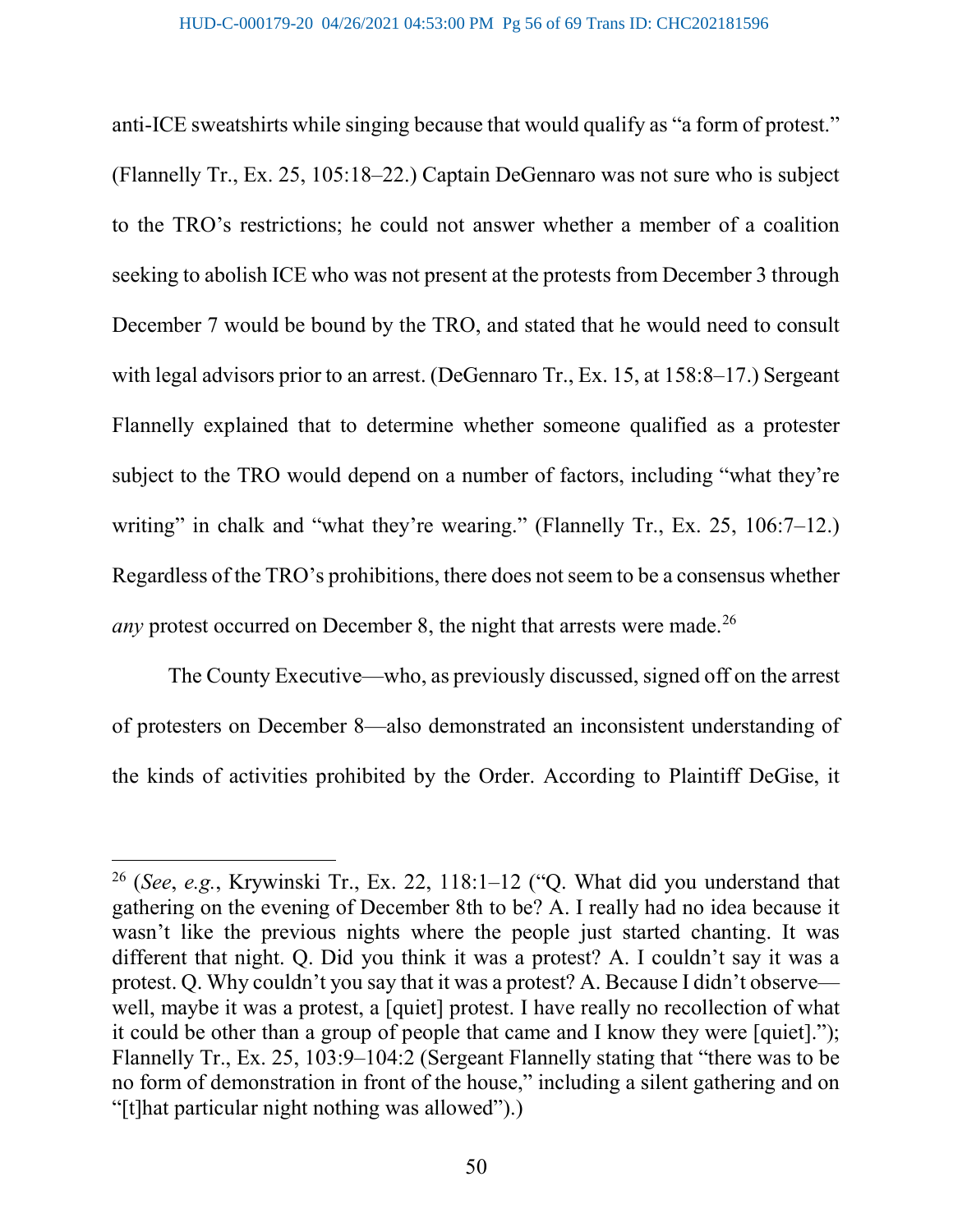anti-ICE sweatshirts while singing because that would qualify as "a form of protest." (Flannelly Tr., Ex. 25, 105:18–22.) Captain DeGennaro was not sure who is subject to the TRO's restrictions; he could not answer whether a member of a coalition seeking to abolish ICE who was not present at the protests from December 3 through December 7 would be bound by the TRO, and stated that he would need to consult with legal advisors prior to an arrest. (DeGennaro Tr., Ex. 15, at 158:8–17.) Sergeant Flannelly explained that to determine whether someone qualified as a protester subject to the TRO would depend on a number of factors, including "what they're writing" in chalk and "what they're wearing." (Flannelly Tr., Ex. 25, 106:7–12.) Regardless of the TRO's prohibitions, there does not seem to be a consensus whether *any* protest occurred on December 8, the night that arrests were made.<sup>26</sup>

The County Executive—who, as previously discussed, signed off on the arrest of protesters on December 8—also demonstrated an inconsistent understanding of the kinds of activities prohibited by the Order. According to Plaintiff DeGise, it

 $26$  (See, e.g., Krywinski Tr., Ex. 22, 118:1-12 ("Q. What did you understand that gathering on the evening of December 8th to be? A. I really had no idea because it wasn't like the previous nights where the people just started chanting. It was different that night. Q. Did you think it was a protest? A. I couldn't say it was a protest. Q. Why couldn't you say that it was a protest? A. Because I didn't observe well, maybe it was a protest, a [quiet] protest. I have really no recollection of what it could be other than a group of people that came and I know they were [quiet]."); Flannelly Tr., Ex. 25, 103:9–104:2 (Sergeant Flannelly stating that "there was to be no form of demonstration in front of the house," including a silent gathering and on "[t]hat particular night nothing was allowed").)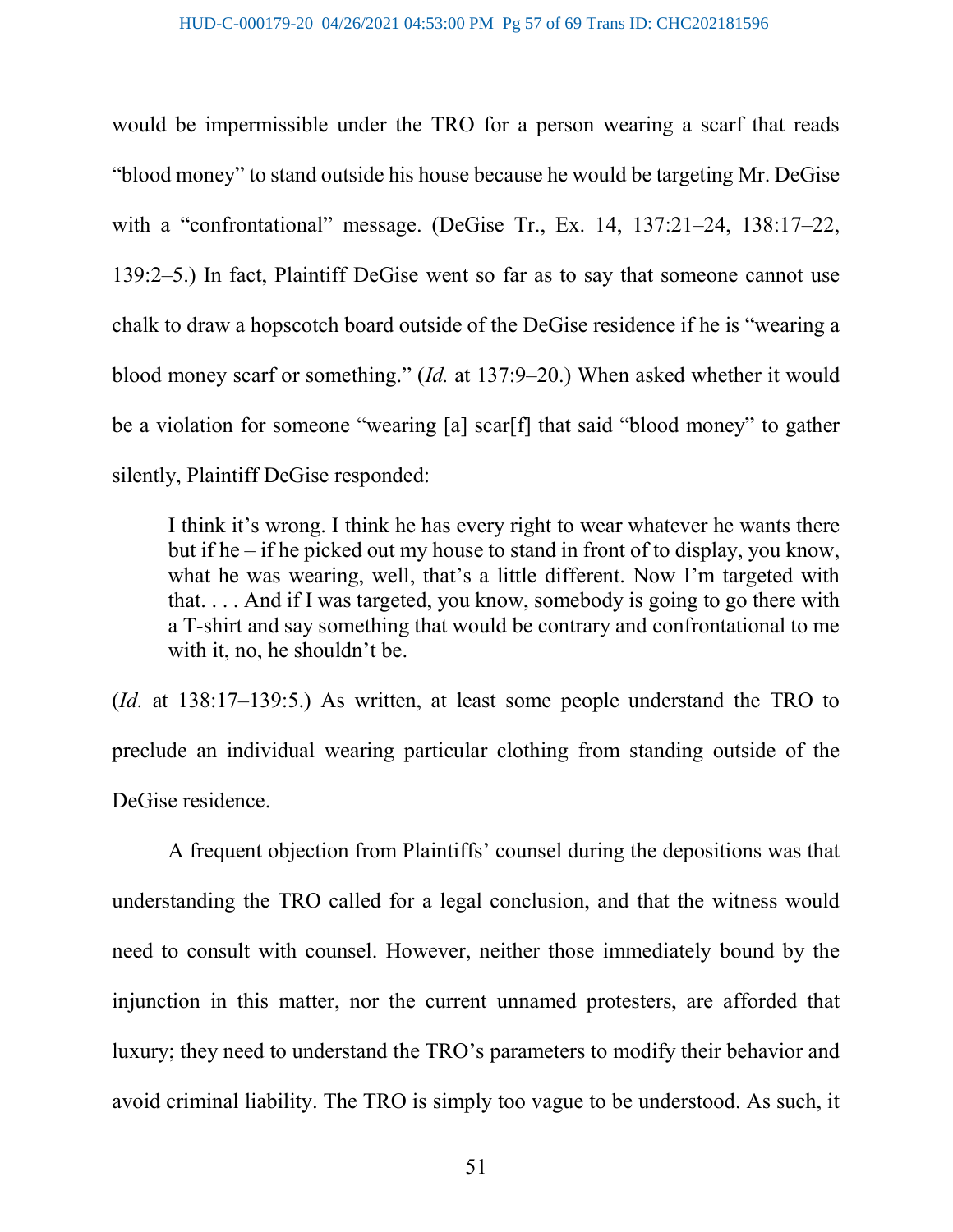would be impermissible under the TRO for a person wearing a scarf that reads "blood money" to stand outside his house because he would be targeting Mr. DeGise with a "confrontational" message. (DeGise Tr., Ex. 14, 137:21–24, 138:17–22, 139:2–5.) In fact, Plaintiff DeGise went so far as to say that someone cannot use chalk to draw a hopscotch board outside of the DeGise residence if he is "wearing a blood money scarf or something." (Id. at 137:9–20.) When asked whether it would be a violation for someone "wearing [a] scar[f] that said "blood money" to gather silently, Plaintiff DeGise responded:

I think it's wrong. I think he has every right to wear whatever he wants there but if he – if he picked out my house to stand in front of to display, you know, what he was wearing, well, that's a little different. Now I'm targeted with that. . . . And if I was targeted, you know, somebody is going to go there with a T-shirt and say something that would be contrary and confrontational to me with it, no, he shouldn't be.

(Id. at 138:17–139:5.) As written, at least some people understand the TRO to preclude an individual wearing particular clothing from standing outside of the DeGise residence.

 A frequent objection from Plaintiffs' counsel during the depositions was that understanding the TRO called for a legal conclusion, and that the witness would need to consult with counsel. However, neither those immediately bound by the injunction in this matter, nor the current unnamed protesters, are afforded that luxury; they need to understand the TRO's parameters to modify their behavior and avoid criminal liability. The TRO is simply too vague to be understood. As such, it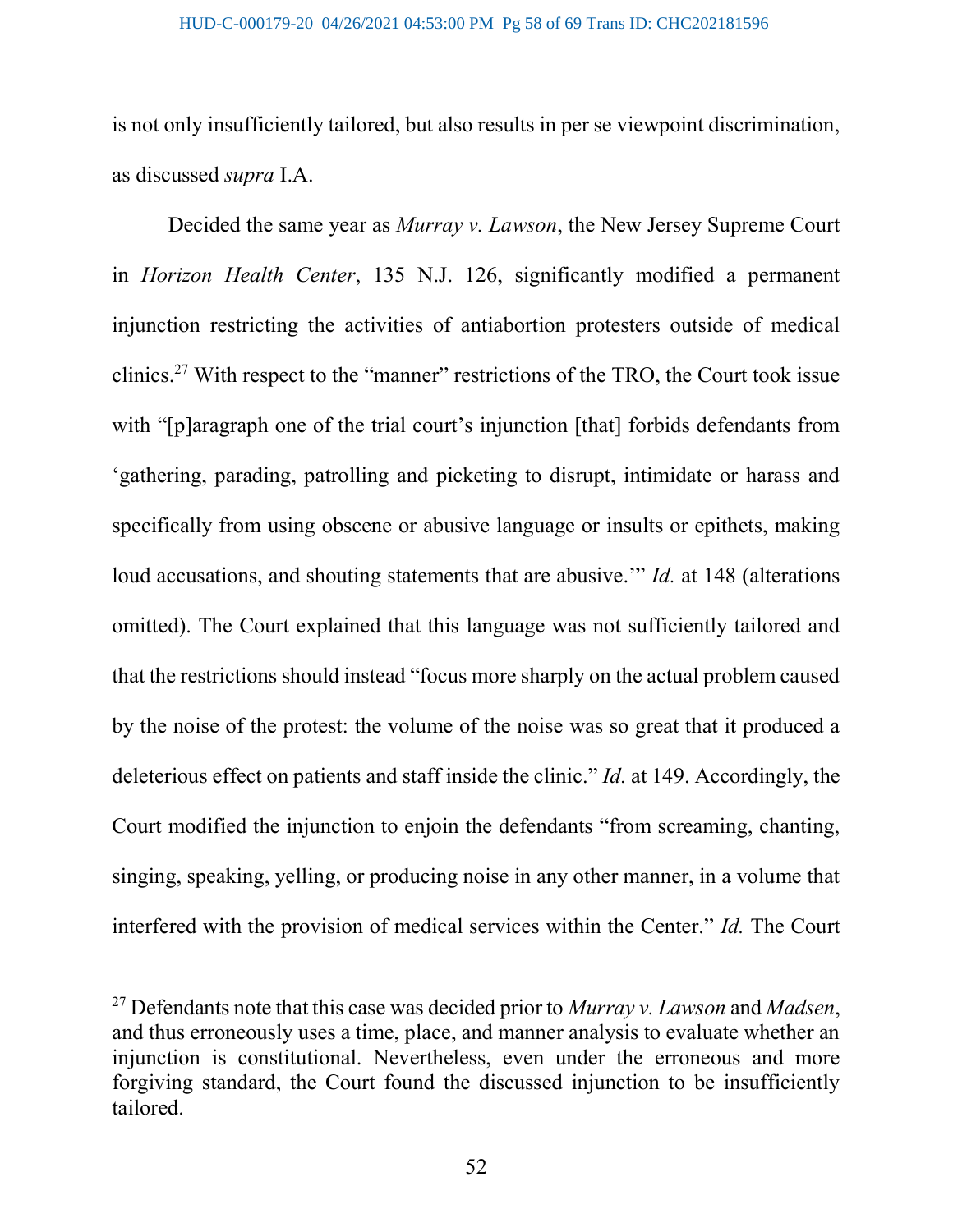is not only insufficiently tailored, but also results in per se viewpoint discrimination, as discussed supra I.A.

Decided the same year as *Murray v. Lawson*, the New Jersey Supreme Court in Horizon Health Center, 135 N.J. 126, significantly modified a permanent injunction restricting the activities of antiabortion protesters outside of medical clinics.<sup>27</sup> With respect to the "manner" restrictions of the TRO, the Court took issue with "[p]aragraph one of the trial court's injunction [that] forbids defendants from 'gathering, parading, patrolling and picketing to disrupt, intimidate or harass and specifically from using obscene or abusive language or insults or epithets, making loud accusations, and shouting statements that are abusive." Id. at 148 (alterations omitted). The Court explained that this language was not sufficiently tailored and that the restrictions should instead "focus more sharply on the actual problem caused by the noise of the protest: the volume of the noise was so great that it produced a deleterious effect on patients and staff inside the clinic." *Id.* at 149. Accordingly, the Court modified the injunction to enjoin the defendants "from screaming, chanting, singing, speaking, yelling, or producing noise in any other manner, in a volume that interfered with the provision of medical services within the Center." Id. The Court

<sup>&</sup>lt;sup>27</sup> Defendants note that this case was decided prior to *Murray v. Lawson* and *Madsen*, and thus erroneously uses a time, place, and manner analysis to evaluate whether an injunction is constitutional. Nevertheless, even under the erroneous and more forgiving standard, the Court found the discussed injunction to be insufficiently tailored.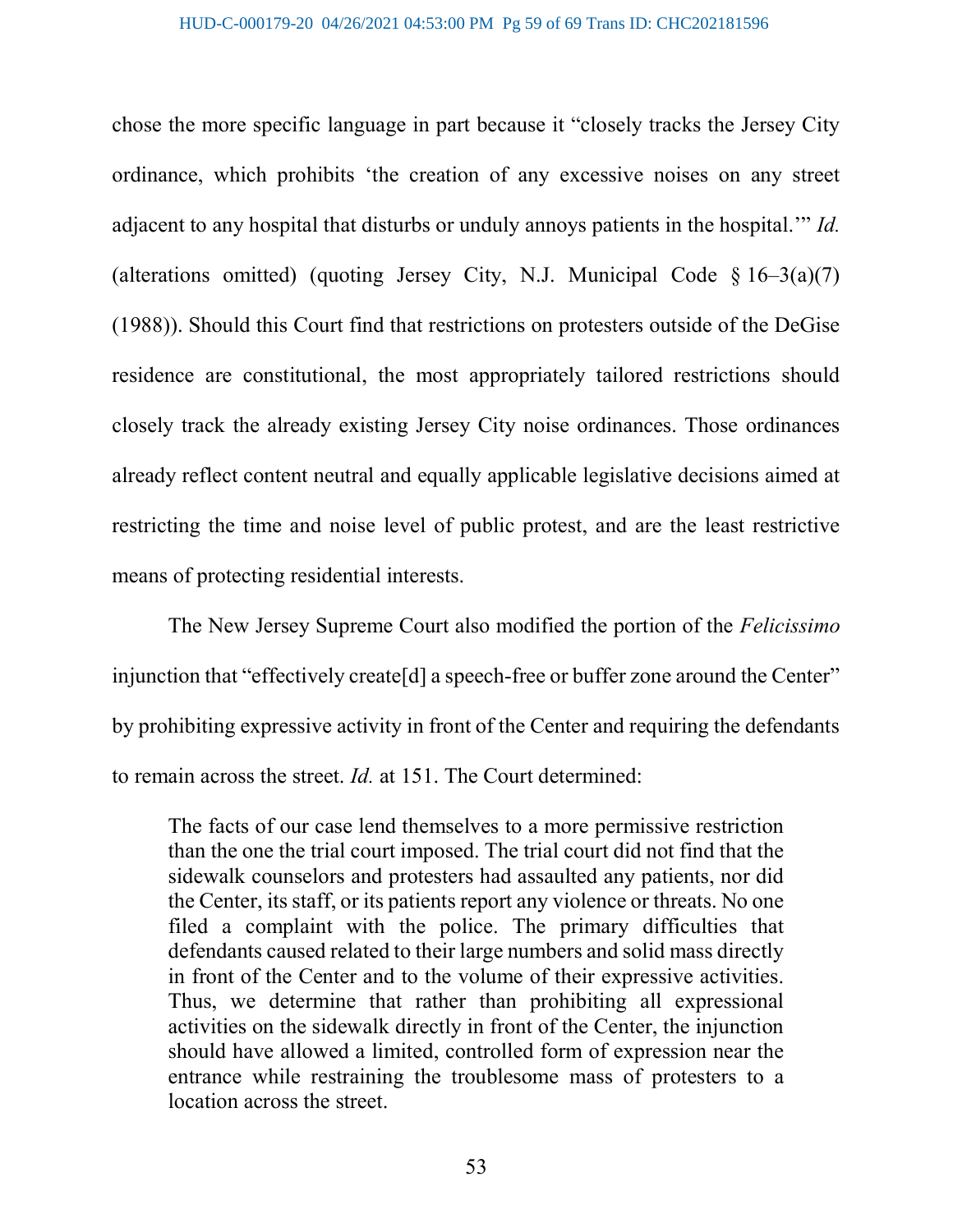chose the more specific language in part because it "closely tracks the Jersey City ordinance, which prohibits 'the creation of any excessive noises on any street adjacent to any hospital that disturbs or unduly annoys patients in the hospital.'" Id. (alterations omitted) (quoting Jersey City, N.J. Municipal Code  $\S 16-3(a)(7)$ (1988)). Should this Court find that restrictions on protesters outside of the DeGise residence are constitutional, the most appropriately tailored restrictions should closely track the already existing Jersey City noise ordinances. Those ordinances already reflect content neutral and equally applicable legislative decisions aimed at restricting the time and noise level of public protest, and are the least restrictive means of protecting residential interests.

The New Jersey Supreme Court also modified the portion of the Felicissimo injunction that "effectively create<sup>[d]</sup> a speech-free or buffer zone around the Center" by prohibiting expressive activity in front of the Center and requiring the defendants to remain across the street. Id. at 151. The Court determined:

The facts of our case lend themselves to a more permissive restriction than the one the trial court imposed. The trial court did not find that the sidewalk counselors and protesters had assaulted any patients, nor did the Center, its staff, or its patients report any violence or threats. No one filed a complaint with the police. The primary difficulties that defendants caused related to their large numbers and solid mass directly in front of the Center and to the volume of their expressive activities. Thus, we determine that rather than prohibiting all expressional activities on the sidewalk directly in front of the Center, the injunction should have allowed a limited, controlled form of expression near the entrance while restraining the troublesome mass of protesters to a location across the street.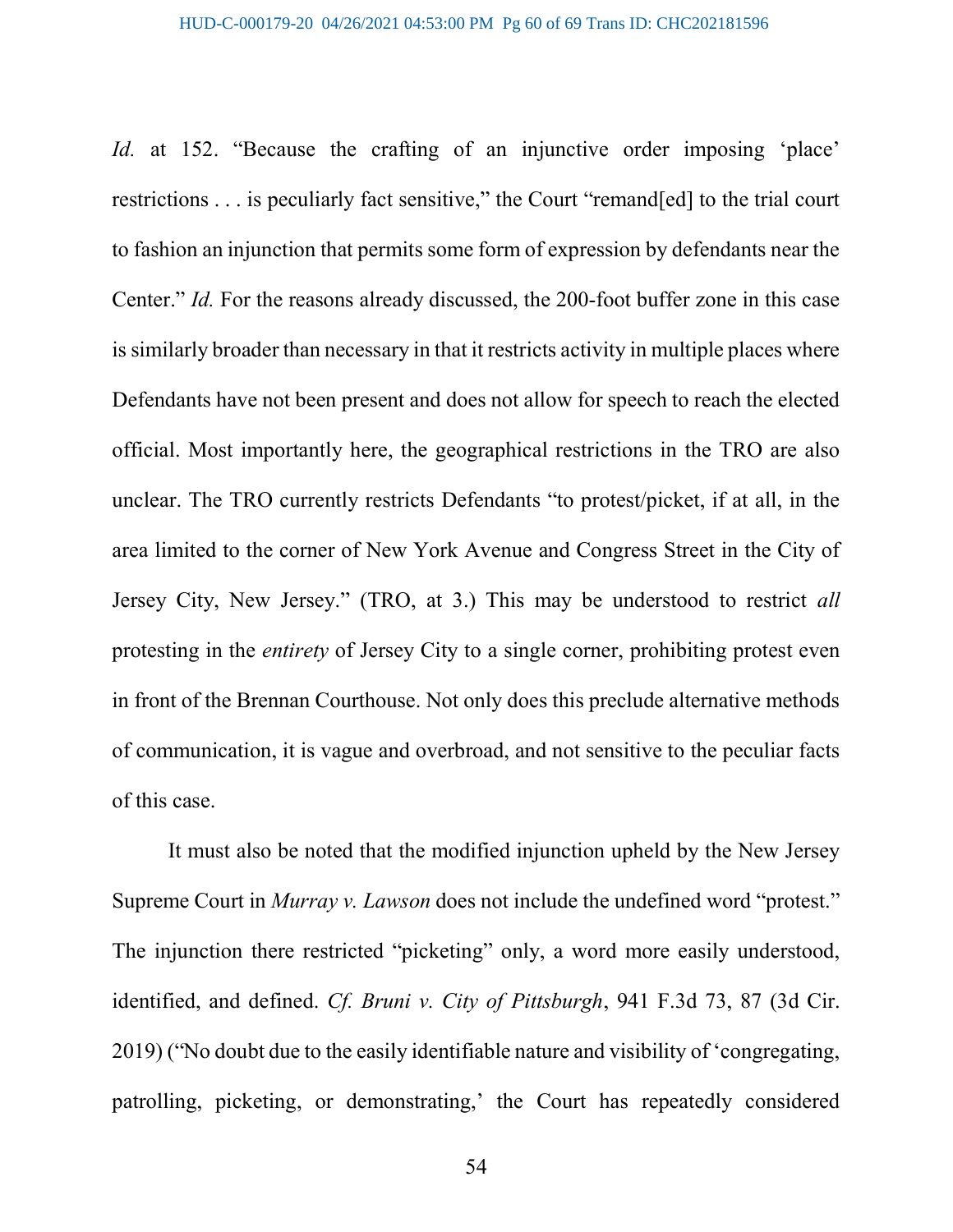Id. at 152. "Because the crafting of an injunctive order imposing 'place' restrictions . . . is peculiarly fact sensitive," the Court "remand[ed] to the trial court to fashion an injunction that permits some form of expression by defendants near the Center." Id. For the reasons already discussed, the 200-foot buffer zone in this case is similarly broader than necessary in that it restricts activity in multiple places where Defendants have not been present and does not allow for speech to reach the elected official. Most importantly here, the geographical restrictions in the TRO are also unclear. The TRO currently restricts Defendants "to protest/picket, if at all, in the area limited to the corner of New York Avenue and Congress Street in the City of Jersey City, New Jersey." (TRO, at 3.) This may be understood to restrict all protesting in the entirety of Jersey City to a single corner, prohibiting protest even in front of the Brennan Courthouse. Not only does this preclude alternative methods of communication, it is vague and overbroad, and not sensitive to the peculiar facts of this case.

 It must also be noted that the modified injunction upheld by the New Jersey Supreme Court in Murray v. Lawson does not include the undefined word "protest." The injunction there restricted "picketing" only, a word more easily understood, identified, and defined. Cf. Bruni v. City of Pittsburgh, 941 F.3d 73, 87 (3d Cir. 2019) ("No doubt due to the easily identifiable nature and visibility of 'congregating, patrolling, picketing, or demonstrating,' the Court has repeatedly considered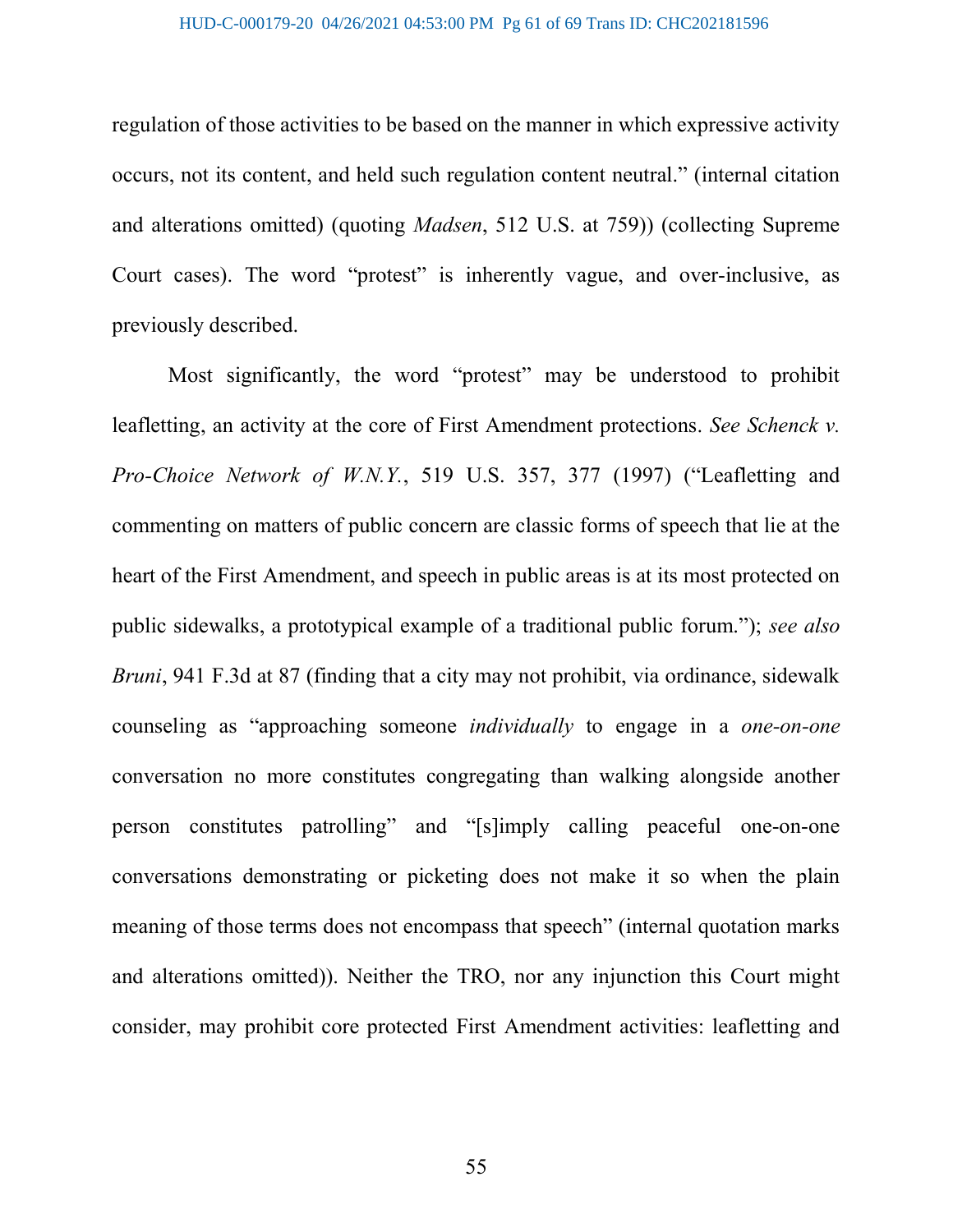regulation of those activities to be based on the manner in which expressive activity occurs, not its content, and held such regulation content neutral." (internal citation and alterations omitted) (quoting Madsen, 512 U.S. at 759)) (collecting Supreme Court cases). The word "protest" is inherently vague, and over-inclusive, as previously described.

Most significantly, the word "protest" may be understood to prohibit leafletting, an activity at the core of First Amendment protections. See Schenck v. Pro-Choice Network of W.N.Y., 519 U.S. 357, 377 (1997) ("Leafletting and commenting on matters of public concern are classic forms of speech that lie at the heart of the First Amendment, and speech in public areas is at its most protected on public sidewalks, a prototypical example of a traditional public forum."); see also Bruni, 941 F.3d at 87 (finding that a city may not prohibit, via ordinance, sidewalk counseling as "approaching someone individually to engage in a one-on-one conversation no more constitutes congregating than walking alongside another person constitutes patrolling" and "[s]imply calling peaceful one-on-one conversations demonstrating or picketing does not make it so when the plain meaning of those terms does not encompass that speech" (internal quotation marks and alterations omitted)). Neither the TRO, nor any injunction this Court might consider, may prohibit core protected First Amendment activities: leafletting and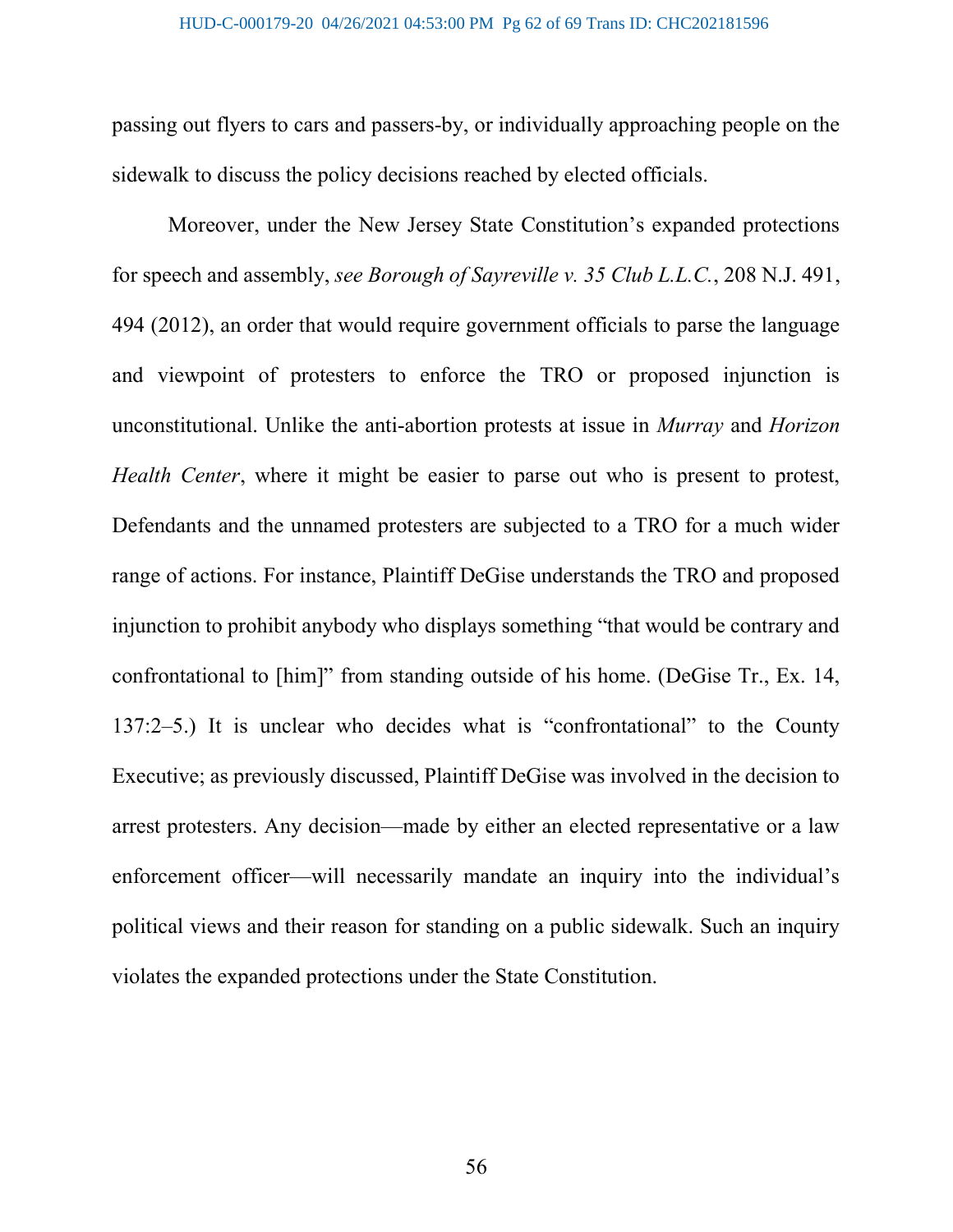passing out flyers to cars and passers-by, or individually approaching people on the sidewalk to discuss the policy decisions reached by elected officials.

Moreover, under the New Jersey State Constitution's expanded protections for speech and assembly, see Borough of Sayreville v. 35 Club L.L.C., 208 N.J. 491, 494 (2012), an order that would require government officials to parse the language and viewpoint of protesters to enforce the TRO or proposed injunction is unconstitutional. Unlike the anti-abortion protests at issue in Murray and Horizon Health Center, where it might be easier to parse out who is present to protest, Defendants and the unnamed protesters are subjected to a TRO for a much wider range of actions. For instance, Plaintiff DeGise understands the TRO and proposed injunction to prohibit anybody who displays something "that would be contrary and confrontational to [him]" from standing outside of his home. (DeGise Tr., Ex. 14, 137:2–5.) It is unclear who decides what is "confrontational" to the County Executive; as previously discussed, Plaintiff DeGise was involved in the decision to arrest protesters. Any decision—made by either an elected representative or a law enforcement officer—will necessarily mandate an inquiry into the individual's political views and their reason for standing on a public sidewalk. Such an inquiry violates the expanded protections under the State Constitution.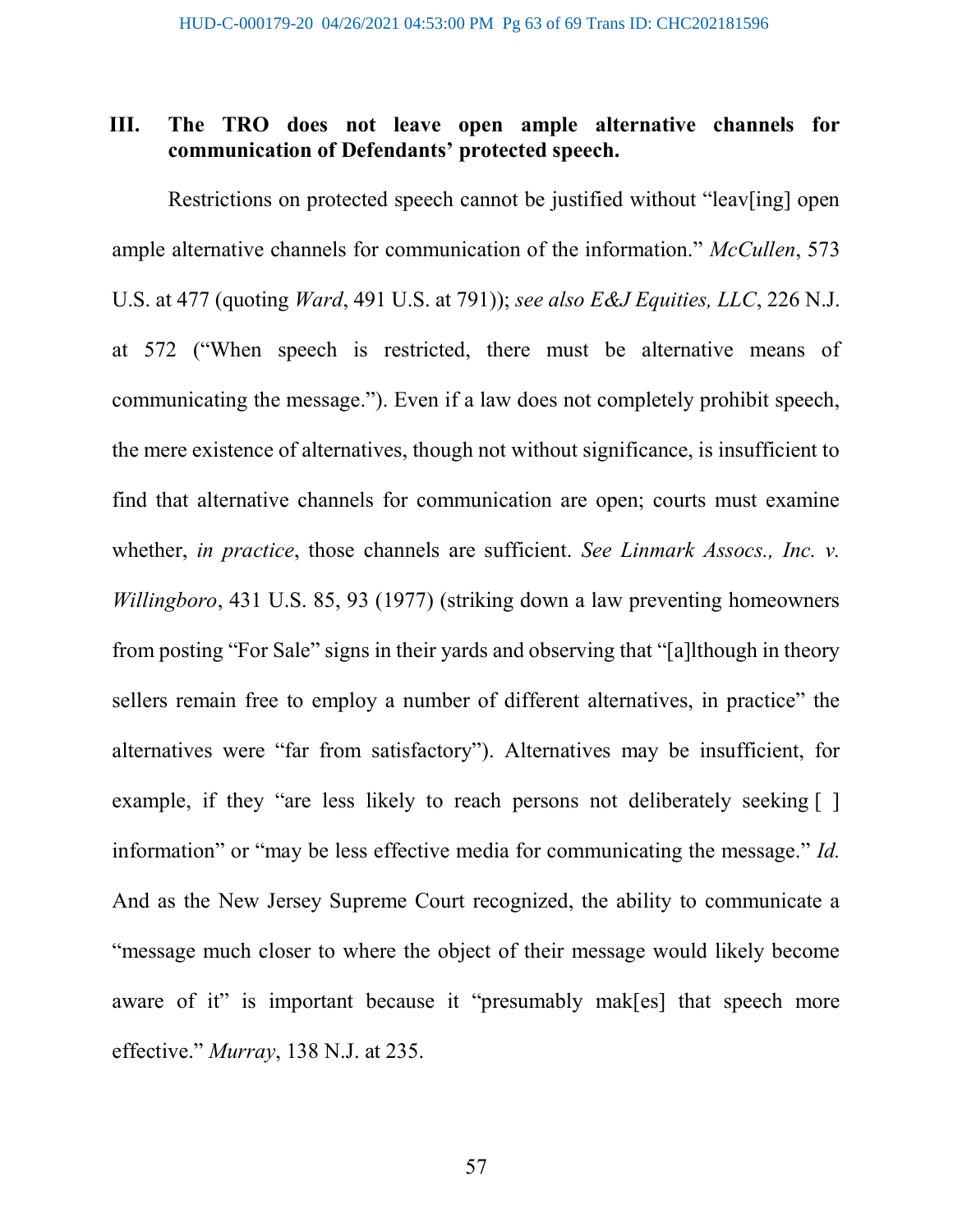## III. The TRO does not leave open ample alternative channels for communication of Defendants' protected speech.

Restrictions on protected speech cannot be justified without "leav[ing] open ample alternative channels for communication of the information." McCullen, 573 U.S. at 477 (quoting Ward, 491 U.S. at 791)); see also E&J Equities, LLC, 226 N.J. at 572 ("When speech is restricted, there must be alternative means of communicating the message."). Even if a law does not completely prohibit speech, the mere existence of alternatives, though not without significance, is insufficient to find that alternative channels for communication are open; courts must examine whether, *in practice*, those channels are sufficient. See Linmark Assocs., Inc. v. Willingboro, 431 U.S. 85, 93 (1977) (striking down a law preventing homeowners from posting "For Sale" signs in their yards and observing that "[a]lthough in theory sellers remain free to employ a number of different alternatives, in practice" the alternatives were "far from satisfactory"). Alternatives may be insufficient, for example, if they "are less likely to reach persons not deliberately seeking [ ] information" or "may be less effective media for communicating the message." Id. And as the New Jersey Supreme Court recognized, the ability to communicate a "message much closer to where the object of their message would likely become aware of it" is important because it "presumably mak[es] that speech more effective." Murray, 138 N.J. at 235.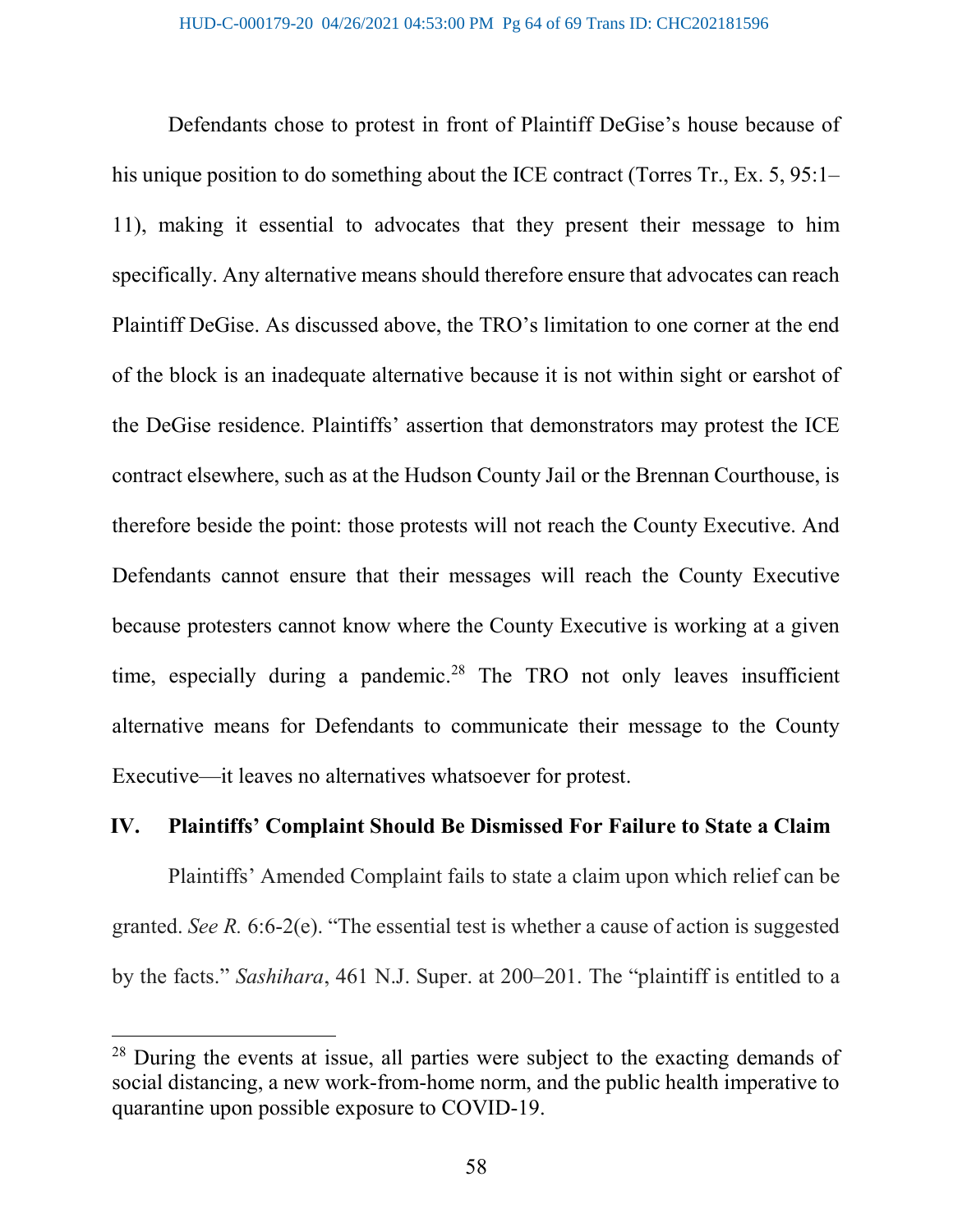Defendants chose to protest in front of Plaintiff DeGise's house because of his unique position to do something about the ICE contract (Torres Tr., Ex. 5, 95:1– 11), making it essential to advocates that they present their message to him specifically. Any alternative means should therefore ensure that advocates can reach Plaintiff DeGise. As discussed above, the TRO's limitation to one corner at the end of the block is an inadequate alternative because it is not within sight or earshot of the DeGise residence. Plaintiffs' assertion that demonstrators may protest the ICE contract elsewhere, such as at the Hudson County Jail or the Brennan Courthouse, is therefore beside the point: those protests will not reach the County Executive. And Defendants cannot ensure that their messages will reach the County Executive because protesters cannot know where the County Executive is working at a given time, especially during a pandemic.<sup>28</sup> The TRO not only leaves insufficient alternative means for Defendants to communicate their message to the County Executive—it leaves no alternatives whatsoever for protest.

#### IV. Plaintiffs' Complaint Should Be Dismissed For Failure to State a Claim

Plaintiffs' Amended Complaint fails to state a claim upon which relief can be granted. See R. 6:6-2(e). "The essential test is whether a cause of action is suggested by the facts." Sashihara, 461 N.J. Super. at 200–201. The "plaintiff is entitled to a

 $28$  During the events at issue, all parties were subject to the exacting demands of social distancing, a new work-from-home norm, and the public health imperative to quarantine upon possible exposure to COVID-19.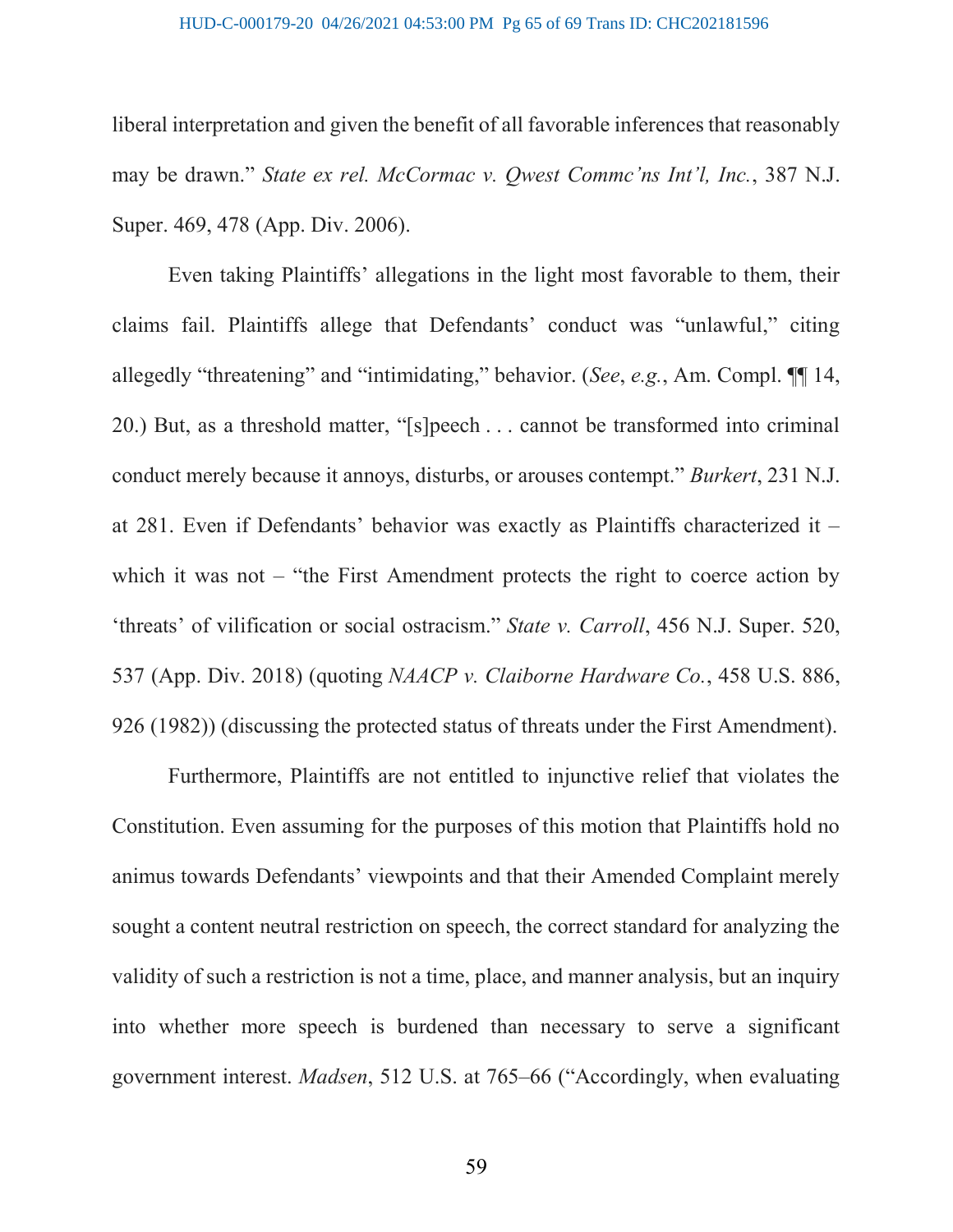#### HUD-C-000179-20 04/26/2021 04:53:00 PM Pg 65 of 69 Trans ID: CHC202181596

liberal interpretation and given the benefit of all favorable inferences that reasonably may be drawn." State ex rel. McCormac v. Owest Comme'ns Int'l, Inc., 387 N.J. Super. 469, 478 (App. Div. 2006).

Even taking Plaintiffs' allegations in the light most favorable to them, their claims fail. Plaintiffs allege that Defendants' conduct was "unlawful," citing allegedly "threatening" and "intimidating," behavior. (See, e.g., Am. Compl. ¶¶ 14, 20.) But, as a threshold matter, "[s]peech . . . cannot be transformed into criminal conduct merely because it annoys, disturbs, or arouses contempt." Burkert, 231 N.J. at 281. Even if Defendants' behavior was exactly as Plaintiffs characterized it – which it was not – "the First Amendment protects the right to coerce action by 'threats' of vilification or social ostracism." State v. Carroll, 456 N.J. Super. 520, 537 (App. Div. 2018) (quoting NAACP v. Claiborne Hardware Co., 458 U.S. 886, 926 (1982)) (discussing the protected status of threats under the First Amendment).

Furthermore, Plaintiffs are not entitled to injunctive relief that violates the Constitution. Even assuming for the purposes of this motion that Plaintiffs hold no animus towards Defendants' viewpoints and that their Amended Complaint merely sought a content neutral restriction on speech, the correct standard for analyzing the validity of such a restriction is not a time, place, and manner analysis, but an inquiry into whether more speech is burdened than necessary to serve a significant government interest. Madsen, 512 U.S. at 765–66 ("Accordingly, when evaluating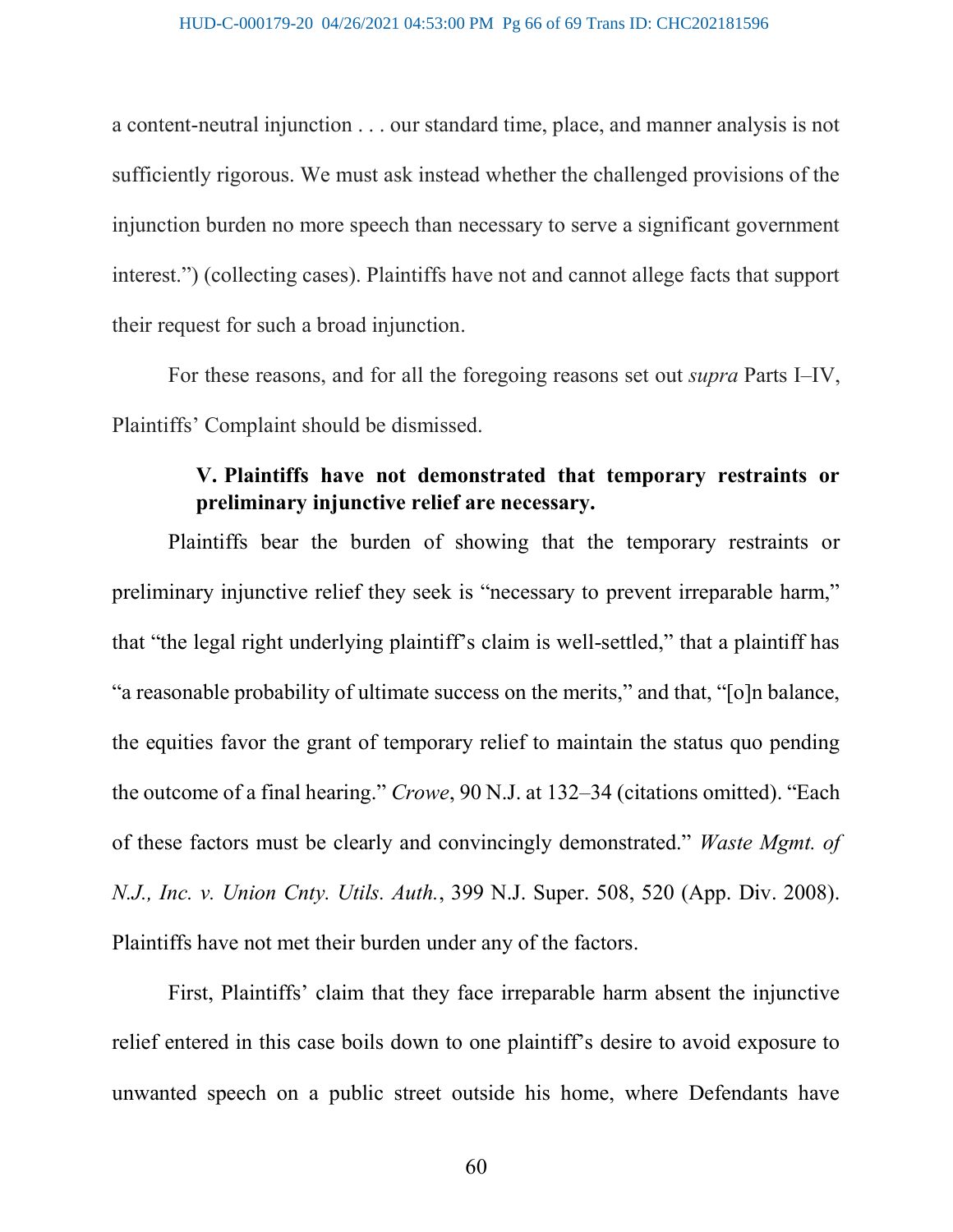a content-neutral injunction . . . our standard time, place, and manner analysis is not sufficiently rigorous. We must ask instead whether the challenged provisions of the injunction burden no more speech than necessary to serve a significant government interest.") (collecting cases). Plaintiffs have not and cannot allege facts that support their request for such a broad injunction.

For these reasons, and for all the foregoing reasons set out supra Parts I–IV, Plaintiffs' Complaint should be dismissed.

# V. Plaintiffs have not demonstrated that temporary restraints or preliminary injunctive relief are necessary.

Plaintiffs bear the burden of showing that the temporary restraints or preliminary injunctive relief they seek is "necessary to prevent irreparable harm," that "the legal right underlying plaintiff's claim is well-settled," that a plaintiff has "a reasonable probability of ultimate success on the merits," and that, "[o]n balance, the equities favor the grant of temporary relief to maintain the status quo pending the outcome of a final hearing." Crowe, 90 N.J. at 132–34 (citations omitted). "Each of these factors must be clearly and convincingly demonstrated." Waste Mgmt. of N.J., Inc. v. Union Cnty. Utils. Auth., 399 N.J. Super. 508, 520 (App. Div. 2008). Plaintiffs have not met their burden under any of the factors.

First, Plaintiffs' claim that they face irreparable harm absent the injunctive relief entered in this case boils down to one plaintiff's desire to avoid exposure to unwanted speech on a public street outside his home, where Defendants have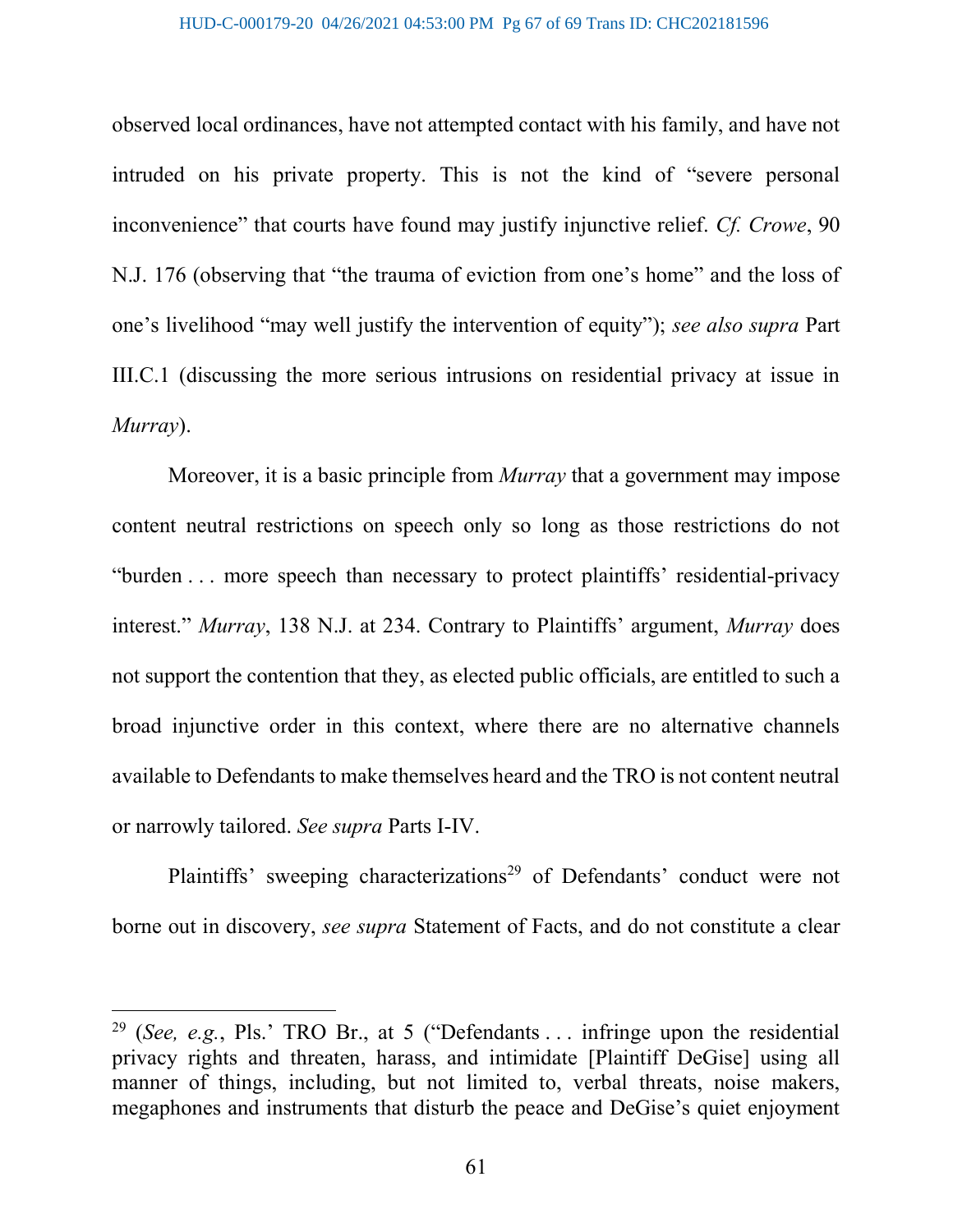#### HUD-C-000179-20 04/26/2021 04:53:00 PM Pg 67 of 69 Trans ID: CHC202181596

observed local ordinances, have not attempted contact with his family, and have not intruded on his private property. This is not the kind of "severe personal inconvenience" that courts have found may justify injunctive relief. Cf. Crowe, 90 N.J. 176 (observing that "the trauma of eviction from one's home" and the loss of one's livelihood "may well justify the intervention of equity"); see also supra Part III.C.1 (discussing the more serious intrusions on residential privacy at issue in Murray).

Moreover, it is a basic principle from *Murray* that a government may impose content neutral restrictions on speech only so long as those restrictions do not "burden . . . more speech than necessary to protect plaintiffs' residential-privacy interest." *Murray*, 138 N.J. at 234. Contrary to Plaintiffs' argument, *Murray* does not support the contention that they, as elected public officials, are entitled to such a broad injunctive order in this context, where there are no alternative channels available to Defendants to make themselves heard and the TRO is not content neutral or narrowly tailored. See supra Parts I-IV.

Plaintiffs' sweeping characterizations<sup>29</sup> of Defendants' conduct were not borne out in discovery, see supra Statement of Facts, and do not constitute a clear

<sup>&</sup>lt;sup>29</sup> (See, e.g., Pls.' TRO Br., at 5 ("Defendants ... infringe upon the residential privacy rights and threaten, harass, and intimidate [Plaintiff DeGise] using all manner of things, including, but not limited to, verbal threats, noise makers, megaphones and instruments that disturb the peace and DeGise's quiet enjoyment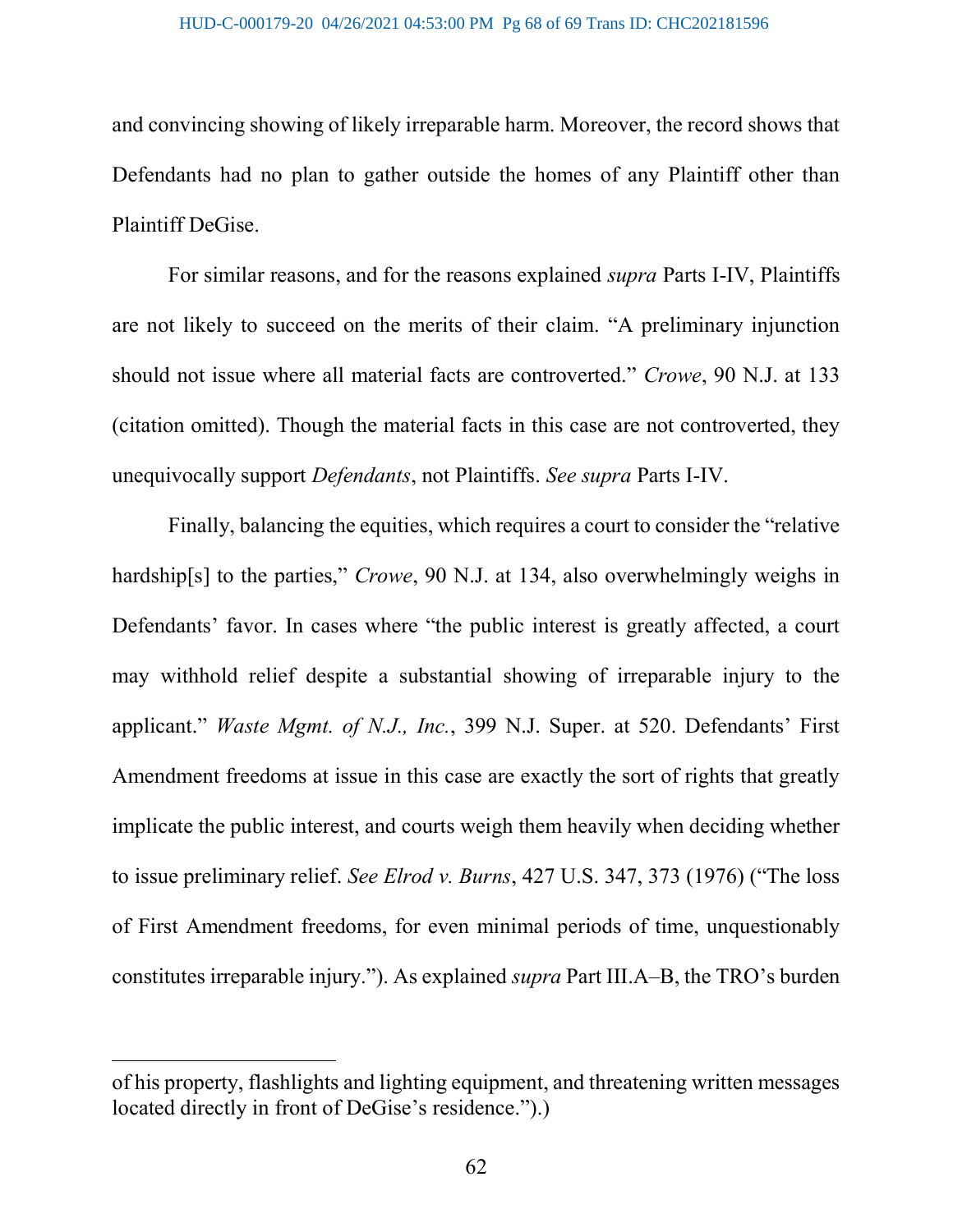and convincing showing of likely irreparable harm. Moreover, the record shows that Defendants had no plan to gather outside the homes of any Plaintiff other than Plaintiff DeGise.

For similar reasons, and for the reasons explained supra Parts I-IV, Plaintiffs are not likely to succeed on the merits of their claim. "A preliminary injunction should not issue where all material facts are controverted." Crowe, 90 N.J. at 133 (citation omitted). Though the material facts in this case are not controverted, they unequivocally support Defendants, not Plaintiffs. See supra Parts I-IV.

Finally, balancing the equities, which requires a court to consider the "relative hardship[s] to the parties," *Crowe*, 90 N.J. at 134, also overwhelmingly weighs in Defendants' favor. In cases where "the public interest is greatly affected, a court may withhold relief despite a substantial showing of irreparable injury to the applicant." Waste Mgmt. of N.J., Inc., 399 N.J. Super. at 520. Defendants' First Amendment freedoms at issue in this case are exactly the sort of rights that greatly implicate the public interest, and courts weigh them heavily when deciding whether to issue preliminary relief. See Elrod v. Burns, 427 U.S. 347, 373 (1976) ("The loss of First Amendment freedoms, for even minimal periods of time, unquestionably constitutes irreparable injury."). As explained supra Part III.A–B, the TRO's burden

of his property, flashlights and lighting equipment, and threatening written messages located directly in front of DeGise's residence.").)